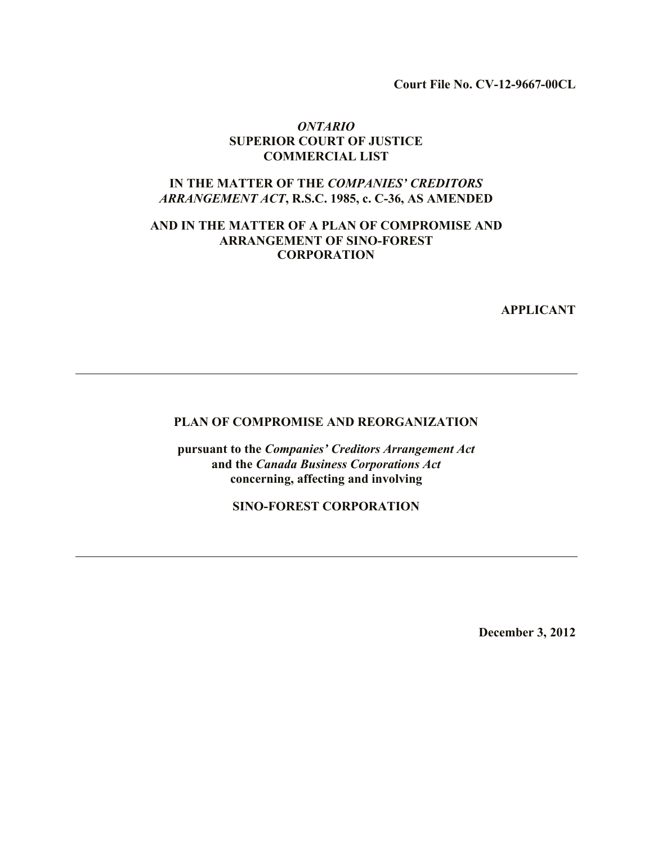**Court File No. CV-12-9667-00CL**

#### *ONTARIO* **SUPERIOR COURT OF JUSTICE COMMERCIAL LIST**

## **IN THE MATTER OF THE** *COMPANIES' CREDITORS ARRANGEMENT ACT***, R.S.C. 1985, c. C-36, AS AMENDED**

#### **AND IN THE MATTER OF A PLAN OF COMPROMISE AND ARRANGEMENT OF SINO-FOREST CORPORATION**

**APPLICANT**

#### **PLAN OF COMPROMISE AND REORGANIZATION**

**pursuant to the** *Companies' Creditors Arrangement Act*  **and the** *Canada Business Corporations Act* **concerning, affecting and involving**

**SINO-FOREST CORPORATION**

**December 3, 2012**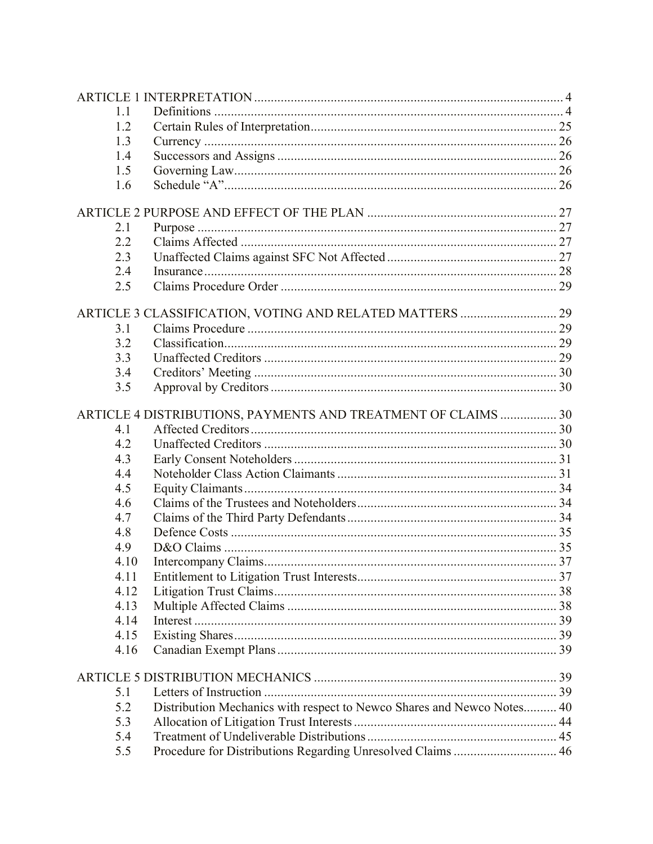| 1.1  |                                                                        |  |
|------|------------------------------------------------------------------------|--|
| 1.2  |                                                                        |  |
| 1.3  |                                                                        |  |
| 1.4  |                                                                        |  |
| 1.5  |                                                                        |  |
| 1.6  |                                                                        |  |
|      |                                                                        |  |
| 2.1  |                                                                        |  |
| 2.2  |                                                                        |  |
| 2.3  |                                                                        |  |
| 2.4  |                                                                        |  |
| 2.5  |                                                                        |  |
|      | ARTICLE 3 CLASSIFICATION, VOTING AND RELATED MATTERS  29               |  |
| 3.1  |                                                                        |  |
| 3.2  |                                                                        |  |
| 3.3  |                                                                        |  |
| 3.4  |                                                                        |  |
| 3.5  |                                                                        |  |
|      |                                                                        |  |
|      | ARTICLE 4 DISTRIBUTIONS, PAYMENTS AND TREATMENT OF CLAIMS  30          |  |
| 4.1  |                                                                        |  |
| 4.2  |                                                                        |  |
| 4.3  |                                                                        |  |
| 4.4  |                                                                        |  |
| 4.5  |                                                                        |  |
| 4.6  |                                                                        |  |
| 4.7  |                                                                        |  |
| 4.8  |                                                                        |  |
| 4.9  |                                                                        |  |
| 4.10 |                                                                        |  |
| 4.11 |                                                                        |  |
| 4.12 |                                                                        |  |
| 4.13 |                                                                        |  |
| 4.14 |                                                                        |  |
| 4.15 |                                                                        |  |
| 4.16 |                                                                        |  |
|      |                                                                        |  |
| 5.1  |                                                                        |  |
| 5.2  | Distribution Mechanics with respect to Newco Shares and Newco Notes 40 |  |
| 5.3  |                                                                        |  |
| 5.4  |                                                                        |  |
| 5.5  | Procedure for Distributions Regarding Unresolved Claims  46            |  |
|      |                                                                        |  |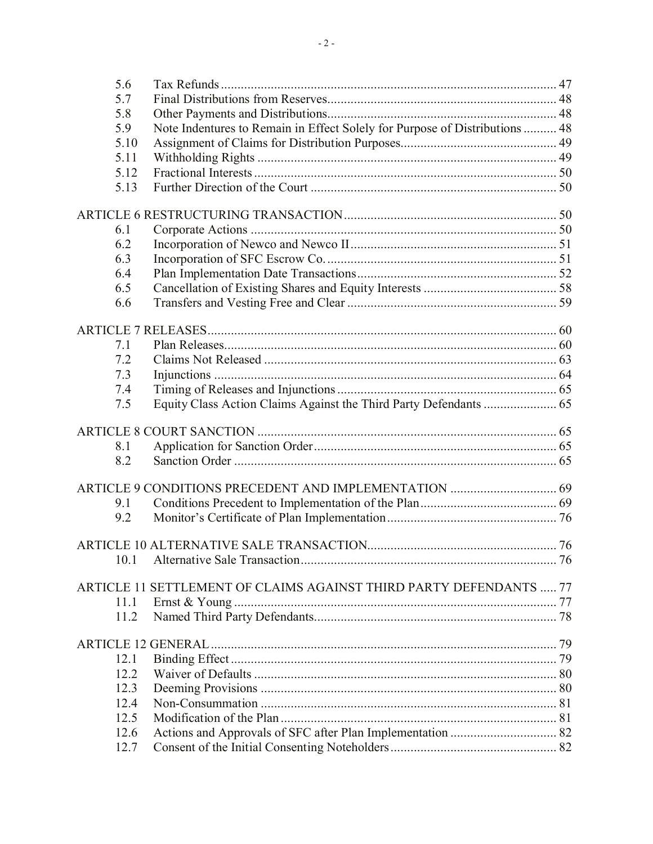| 5.6  |                                                                             |  |
|------|-----------------------------------------------------------------------------|--|
| 5.7  |                                                                             |  |
| 5.8  |                                                                             |  |
| 5.9  | Note Indentures to Remain in Effect Solely for Purpose of Distributions  48 |  |
| 5.10 |                                                                             |  |
| 5.11 |                                                                             |  |
| 5.12 |                                                                             |  |
| 5.13 |                                                                             |  |
|      |                                                                             |  |
|      |                                                                             |  |
| 6.1  |                                                                             |  |
| 6.2  |                                                                             |  |
| 6.3  |                                                                             |  |
|      |                                                                             |  |
| 6.4  |                                                                             |  |
| 6.5  |                                                                             |  |
| 6.6  |                                                                             |  |
|      |                                                                             |  |
|      |                                                                             |  |
| 7.1  |                                                                             |  |
| 7.2  |                                                                             |  |
| 7.3  |                                                                             |  |
| 7.4  |                                                                             |  |
| 7.5  |                                                                             |  |
|      |                                                                             |  |
|      |                                                                             |  |
| 8.1  |                                                                             |  |
| 8.2  |                                                                             |  |
|      |                                                                             |  |
|      |                                                                             |  |
| 9.1  |                                                                             |  |
| 9.2  |                                                                             |  |
|      |                                                                             |  |
|      |                                                                             |  |
| 10.1 |                                                                             |  |
|      |                                                                             |  |
|      | ARTICLE 11 SETTLEMENT OF CLAIMS AGAINST THIRD PARTY DEFENDANTS  77          |  |
| 11.1 |                                                                             |  |
| 11.2 |                                                                             |  |
|      |                                                                             |  |
|      |                                                                             |  |
| 12.1 |                                                                             |  |
| 12.2 |                                                                             |  |
| 12.3 |                                                                             |  |
| 12.4 |                                                                             |  |
| 12.5 |                                                                             |  |
| 12.6 |                                                                             |  |
| 12.7 |                                                                             |  |
|      |                                                                             |  |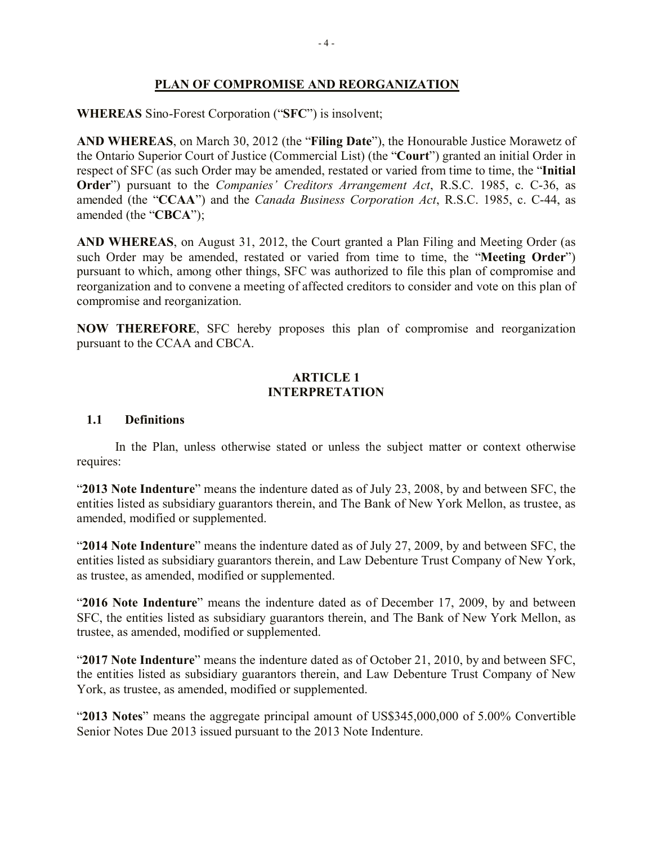# **PLAN OF COMPROMISE AND REORGANIZATION**

# **WHEREAS** Sino-Forest Corporation ("**SFC**") is insolvent;

**AND WHEREAS**, on March 30, 2012 (the "**Filing Date**"), the Honourable Justice Morawetz of the Ontario Superior Court of Justice (Commercial List) (the "**Court**") granted an initial Order in respect of SFC (as such Order may be amended, restated or varied from time to time, the "**Initial Order**") pursuant to the *Companies' Creditors Arrangement Act*, R.S.C. 1985, c. C-36, as amended (the "**CCAA**") and the *Canada Business Corporation Act*, R.S.C. 1985, c. C-44, as amended (the "**CBCA**");

**AND WHEREAS**, on August 31, 2012, the Court granted a Plan Filing and Meeting Order (as such Order may be amended, restated or varied from time to time, the "**Meeting Order**") pursuant to which, among other things, SFC was authorized to file this plan of compromise and reorganization and to convene a meeting of affected creditors to consider and vote on this plan of compromise and reorganization.

**NOW THEREFORE**, SFC hereby proposes this plan of compromise and reorganization pursuant to the CCAA and CBCA.

### **ARTICLE 1 INTERPRETATION**

## **1.1 Definitions**

In the Plan, unless otherwise stated or unless the subject matter or context otherwise requires:

"**2013 Note Indenture**" means the indenture dated as of July 23, 2008, by and between SFC, the entities listed as subsidiary guarantors therein, and The Bank of New York Mellon, as trustee, as amended, modified or supplemented.

"**2014 Note Indenture**" means the indenture dated as of July 27, 2009, by and between SFC, the entities listed as subsidiary guarantors therein, and Law Debenture Trust Company of New York, as trustee, as amended, modified or supplemented.

"**2016 Note Indenture**" means the indenture dated as of December 17, 2009, by and between SFC, the entities listed as subsidiary guarantors therein, and The Bank of New York Mellon, as trustee, as amended, modified or supplemented.

"**2017 Note Indenture**" means the indenture dated as of October 21, 2010, by and between SFC, the entities listed as subsidiary guarantors therein, and Law Debenture Trust Company of New York, as trustee, as amended, modified or supplemented.

"**2013 Notes**" means the aggregate principal amount of US\$345,000,000 of 5.00% Convertible Senior Notes Due 2013 issued pursuant to the 2013 Note Indenture.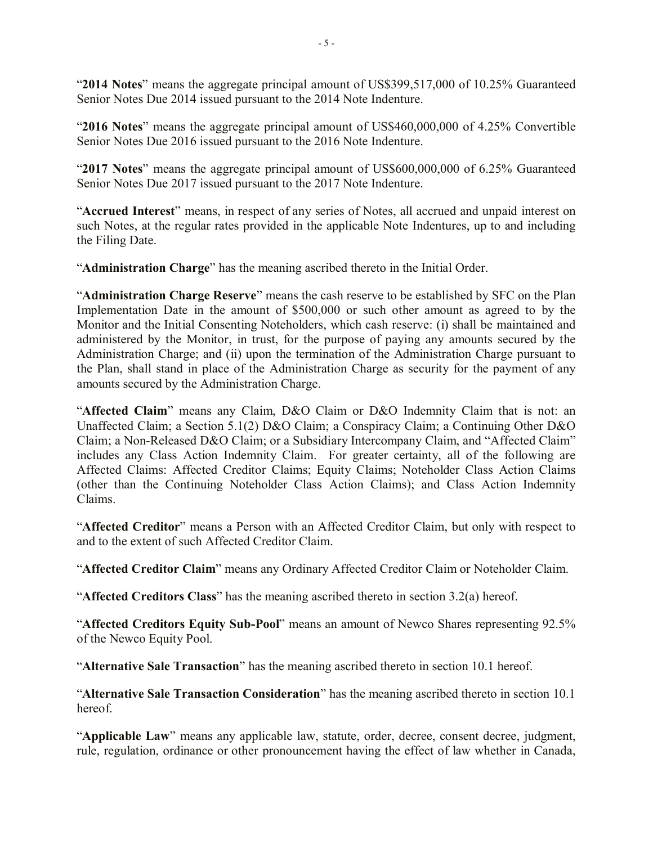"**2014 Notes**" means the aggregate principal amount of US\$399,517,000 of 10.25% Guaranteed Senior Notes Due 2014 issued pursuant to the 2014 Note Indenture.

"**2016 Notes**" means the aggregate principal amount of US\$460,000,000 of 4.25% Convertible Senior Notes Due 2016 issued pursuant to the 2016 Note Indenture.

"**2017 Notes**" means the aggregate principal amount of US\$600,000,000 of 6.25% Guaranteed Senior Notes Due 2017 issued pursuant to the 2017 Note Indenture.

"**Accrued Interest**" means, in respect of any series of Notes, all accrued and unpaid interest on such Notes, at the regular rates provided in the applicable Note Indentures, up to and including the Filing Date.

"**Administration Charge**" has the meaning ascribed thereto in the Initial Order.

"**Administration Charge Reserve**" means the cash reserve to be established by SFC on the Plan Implementation Date in the amount of \$500,000 or such other amount as agreed to by the Monitor and the Initial Consenting Noteholders, which cash reserve: (i) shall be maintained and administered by the Monitor, in trust, for the purpose of paying any amounts secured by the Administration Charge; and (ii) upon the termination of the Administration Charge pursuant to the Plan, shall stand in place of the Administration Charge as security for the payment of any amounts secured by the Administration Charge.

"**Affected Claim**" means any Claim, D&O Claim or D&O Indemnity Claim that is not: an Unaffected Claim; a Section 5.1(2) D&O Claim; a Conspiracy Claim; a Continuing Other D&O Claim; a Non-Released D&O Claim; or a Subsidiary Intercompany Claim, and "Affected Claim" includes any Class Action Indemnity Claim. For greater certainty, all of the following are Affected Claims: Affected Creditor Claims; Equity Claims; Noteholder Class Action Claims (other than the Continuing Noteholder Class Action Claims); and Class Action Indemnity Claims.

"**Affected Creditor**" means a Person with an Affected Creditor Claim, but only with respect to and to the extent of such Affected Creditor Claim.

"**Affected Creditor Claim**" means any Ordinary Affected Creditor Claim or Noteholder Claim.

"**Affected Creditors Class**" has the meaning ascribed thereto in section 3.2(a) hereof.

"**Affected Creditors Equity Sub-Pool**" means an amount of Newco Shares representing 92.5% of the Newco Equity Pool.

"**Alternative Sale Transaction**" has the meaning ascribed thereto in section 10.1 hereof.

"**Alternative Sale Transaction Consideration**" has the meaning ascribed thereto in section 10.1 hereof.

"**Applicable Law**" means any applicable law, statute, order, decree, consent decree, judgment, rule, regulation, ordinance or other pronouncement having the effect of law whether in Canada,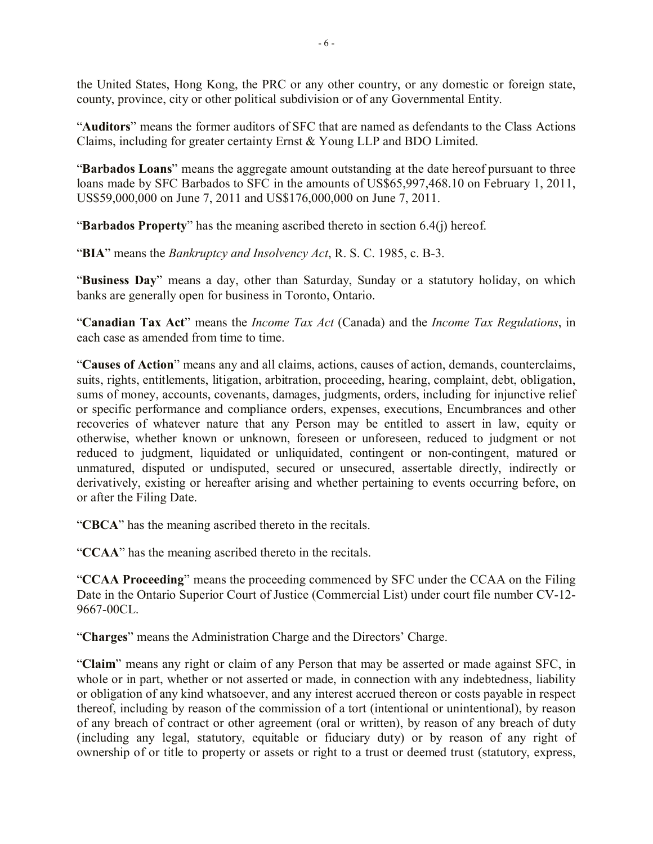the United States, Hong Kong, the PRC or any other country, or any domestic or foreign state, county, province, city or other political subdivision or of any Governmental Entity.

"**Auditors**" means the former auditors of SFC that are named as defendants to the Class Actions Claims, including for greater certainty Ernst & Young LLP and BDO Limited.

"**Barbados Loans**" means the aggregate amount outstanding at the date hereof pursuant to three loans made by SFC Barbados to SFC in the amounts of US\$65,997,468.10 on February 1, 2011, US\$59,000,000 on June 7, 2011 and US\$176,000,000 on June 7, 2011.

"**Barbados Property**" has the meaning ascribed thereto in section 6.4(j) hereof.

"**BIA**" means the *Bankruptcy and Insolvency Act*, R. S. C. 1985, c. B-3.

"**Business Day**" means a day, other than Saturday, Sunday or a statutory holiday, on which banks are generally open for business in Toronto, Ontario.

"**Canadian Tax Act**" means the *Income Tax Act* (Canada) and the *Income Tax Regulations*, in each case as amended from time to time.

"**Causes of Action**" means any and all claims, actions, causes of action, demands, counterclaims, suits, rights, entitlements, litigation, arbitration, proceeding, hearing, complaint, debt, obligation, sums of money, accounts, covenants, damages, judgments, orders, including for injunctive relief or specific performance and compliance orders, expenses, executions, Encumbrances and other recoveries of whatever nature that any Person may be entitled to assert in law, equity or otherwise, whether known or unknown, foreseen or unforeseen, reduced to judgment or not reduced to judgment, liquidated or unliquidated, contingent or non-contingent, matured or unmatured, disputed or undisputed, secured or unsecured, assertable directly, indirectly or derivatively, existing or hereafter arising and whether pertaining to events occurring before, on or after the Filing Date.

"**CBCA**" has the meaning ascribed thereto in the recitals.

"**CCAA**" has the meaning ascribed thereto in the recitals.

"**CCAA Proceeding**" means the proceeding commenced by SFC under the CCAA on the Filing Date in the Ontario Superior Court of Justice (Commercial List) under court file number CV-12- 9667-00CL.

"**Charges**" means the Administration Charge and the Directors' Charge.

"**Claim**" means any right or claim of any Person that may be asserted or made against SFC, in whole or in part, whether or not asserted or made, in connection with any indebtedness, liability or obligation of any kind whatsoever, and any interest accrued thereon or costs payable in respect thereof, including by reason of the commission of a tort (intentional or unintentional), by reason of any breach of contract or other agreement (oral or written), by reason of any breach of duty (including any legal, statutory, equitable or fiduciary duty) or by reason of any right of ownership of or title to property or assets or right to a trust or deemed trust (statutory, express,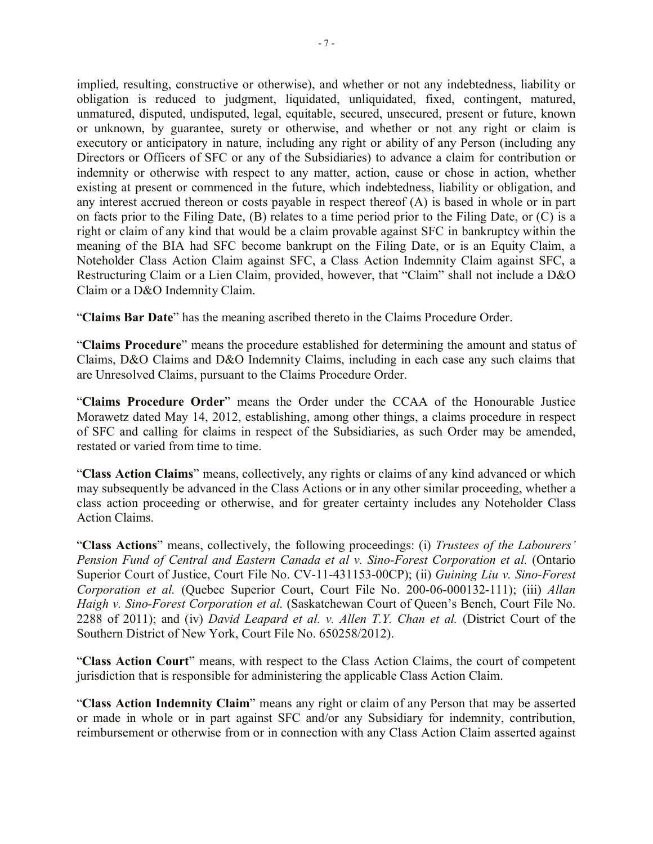implied, resulting, constructive or otherwise), and whether or not any indebtedness, liability or obligation is reduced to judgment, liquidated, unliquidated, fixed, contingent, matured, unmatured, disputed, undisputed, legal, equitable, secured, unsecured, present or future, known or unknown, by guarantee, surety or otherwise, and whether or not any right or claim is executory or anticipatory in nature, including any right or ability of any Person (including any Directors or Officers of SFC or any of the Subsidiaries) to advance a claim for contribution or indemnity or otherwise with respect to any matter, action, cause or chose in action, whether existing at present or commenced in the future, which indebtedness, liability or obligation, and any interest accrued thereon or costs payable in respect thereof (A) is based in whole or in part on facts prior to the Filing Date, (B) relates to a time period prior to the Filing Date, or (C) is a right or claim of any kind that would be a claim provable against SFC in bankruptcy within the meaning of the BIA had SFC become bankrupt on the Filing Date, or is an Equity Claim, a Noteholder Class Action Claim against SFC, a Class Action Indemnity Claim against SFC, a Restructuring Claim or a Lien Claim, provided, however, that "Claim" shall not include a D&O Claim or a D&O Indemnity Claim.

"**Claims Bar Date**" has the meaning ascribed thereto in the Claims Procedure Order.

"**Claims Procedure**" means the procedure established for determining the amount and status of Claims, D&O Claims and D&O Indemnity Claims, including in each case any such claims that are Unresolved Claims, pursuant to the Claims Procedure Order.

"**Claims Procedure Order**" means the Order under the CCAA of the Honourable Justice Morawetz dated May 14, 2012, establishing, among other things, a claims procedure in respect of SFC and calling for claims in respect of the Subsidiaries, as such Order may be amended, restated or varied from time to time.

"**Class Action Claims**" means, collectively, any rights or claims of any kind advanced or which may subsequently be advanced in the Class Actions or in any other similar proceeding, whether a class action proceeding or otherwise, and for greater certainty includes any Noteholder Class Action Claims.

"**Class Actions**" means, collectively, the following proceedings: (i) *Trustees of the Labourers' Pension Fund of Central and Eastern Canada et al v. Sino-Forest Corporation et al.* (Ontario Superior Court of Justice, Court File No. CV-11-431153-00CP); (ii) *Guining Liu v. Sino-Forest Corporation et al.* (Quebec Superior Court, Court File No. 200-06-000132-111); (iii) *Allan Haigh v. Sino-Forest Corporation et al.* (Saskatchewan Court of Queen's Bench, Court File No. 2288 of 2011); and (iv) *David Leapard et al. v. Allen T.Y. Chan et al.* (District Court of the Southern District of New York, Court File No. 650258/2012).

"**Class Action Court**" means, with respect to the Class Action Claims, the court of competent jurisdiction that is responsible for administering the applicable Class Action Claim.

"**Class Action Indemnity Claim**" means any right or claim of any Person that may be asserted or made in whole or in part against SFC and/or any Subsidiary for indemnity, contribution, reimbursement or otherwise from or in connection with any Class Action Claim asserted against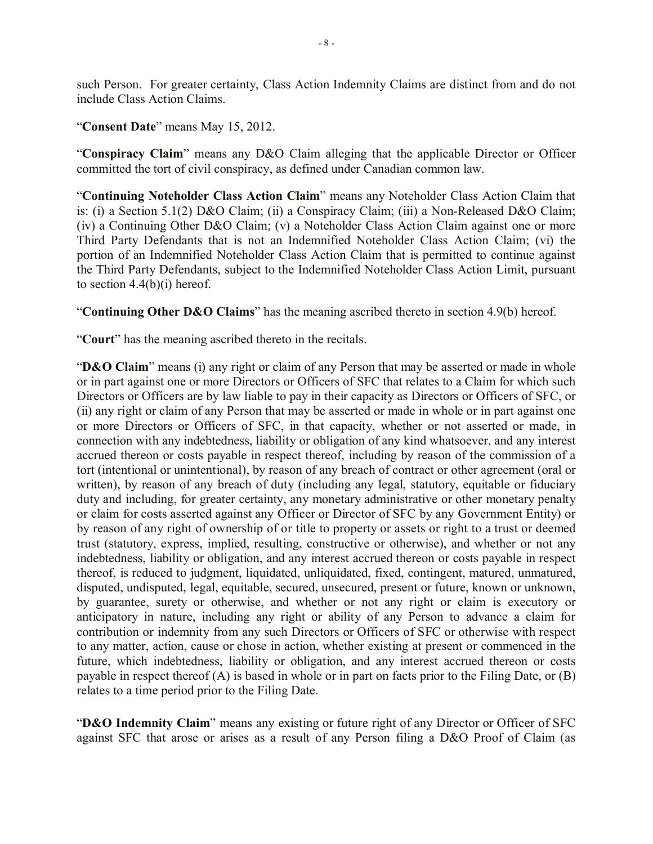such Person. For greater certainty, Class Action Indemnity Claims are distinct from and do not include Class Action Claims.

#### "**Consent Date**" means May 15, 2012.

"**Conspiracy Claim**" means any D&O Claim alleging that the applicable Director or Officer committed the tort of civil conspiracy, as defined under Canadian common law.

"**Continuing Noteholder Class Action Claim**" means any Noteholder Class Action Claim that is: (i) a Section 5.1(2) D&O Claim; (ii) a Conspiracy Claim; (iii) a Non-Released D&O Claim; (iv) a Continuing Other D&O Claim; (v) a Noteholder Class Action Claim against one or more Third Party Defendants that is not an Indemnified Noteholder Class Action Claim; (vi) the portion of an Indemnified Noteholder Class Action Claim that is permitted to continue against the Third Party Defendants, subject to the Indemnified Noteholder Class Action Limit, pursuant to section  $4.4(b)(i)$  hereof.

"**Continuing Other D&O Claims**" has the meaning ascribed thereto in section 4.9(b) hereof.

"**Court**" has the meaning ascribed thereto in the recitals.

"**D&O Claim**" means (i) any right or claim of any Person that may be asserted or made in whole or in part against one or more Directors or Officers of SFC that relates to a Claim for which such Directors or Officers are by law liable to pay in their capacity as Directors or Officers of SFC, or (ii) any right or claim of any Person that may be asserted or made in whole or in part against one or more Directors or Officers of SFC, in that capacity, whether or not asserted or made, in connection with any indebtedness, liability or obligation of any kind whatsoever, and any interest accrued thereon or costs payable in respect thereof, including by reason of the commission of a tort (intentional or unintentional), by reason of any breach of contract or other agreement (oral or written), by reason of any breach of duty (including any legal, statutory, equitable or fiduciary duty and including, for greater certainty, any monetary administrative or other monetary penalty or claim for costs asserted against any Officer or Director of SFC by any Government Entity) or by reason of any right of ownership of or title to property or assets or right to a trust or deemed trust (statutory, express, implied, resulting, constructive or otherwise), and whether or not any indebtedness, liability or obligation, and any interest accrued thereon or costs payable in respect thereof, is reduced to judgment, liquidated, unliquidated, fixed, contingent, matured, unmatured, disputed, undisputed, legal, equitable, secured, unsecured, present or future, known or unknown, by guarantee, surety or otherwise, and whether or not any right or claim is executory or anticipatory in nature, including any right or ability of any Person to advance a claim for contribution or indemnity from any such Directors or Officers of SFC or otherwise with respect to any matter, action, cause or chose in action, whether existing at present or commenced in the future, which indebtedness, liability or obligation, and any interest accrued thereon or costs payable in respect thereof (A) is based in whole or in part on facts prior to the Filing Date, or (B) relates to a time period prior to the Filing Date.

"**D&O Indemnity Claim**" means any existing or future right of any Director or Officer of SFC against SFC that arose or arises as a result of any Person filing a D&O Proof of Claim (as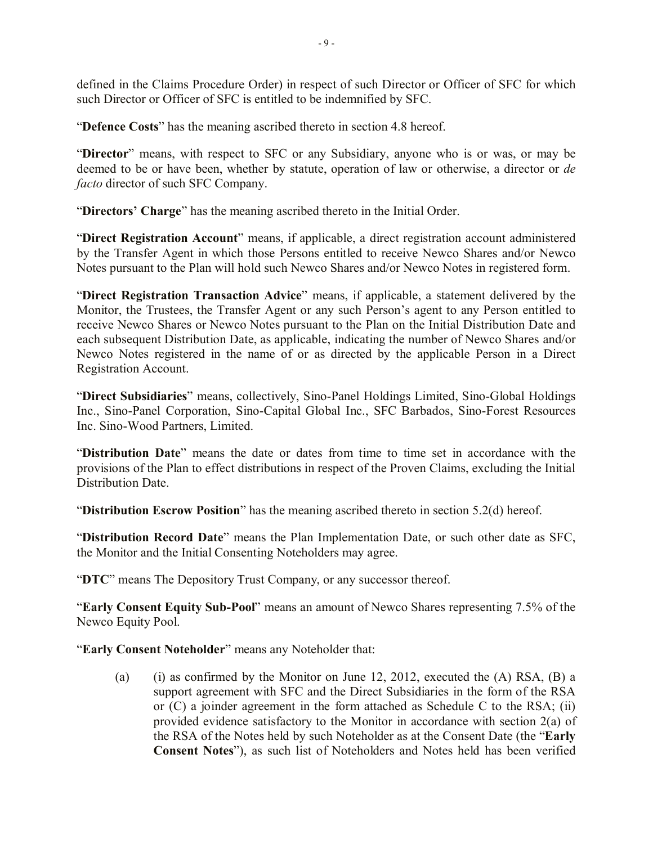defined in the Claims Procedure Order) in respect of such Director or Officer of SFC for which such Director or Officer of SFC is entitled to be indemnified by SFC.

"**Defence Costs**" has the meaning ascribed thereto in section 4.8 hereof.

"**Director**" means, with respect to SFC or any Subsidiary, anyone who is or was, or may be deemed to be or have been, whether by statute, operation of law or otherwise, a director or *de facto* director of such SFC Company.

"**Directors' Charge**" has the meaning ascribed thereto in the Initial Order.

"**Direct Registration Account**" means, if applicable, a direct registration account administered by the Transfer Agent in which those Persons entitled to receive Newco Shares and/or Newco Notes pursuant to the Plan will hold such Newco Shares and/or Newco Notes in registered form.

"**Direct Registration Transaction Advice**" means, if applicable, a statement delivered by the Monitor, the Trustees, the Transfer Agent or any such Person's agent to any Person entitled to receive Newco Shares or Newco Notes pursuant to the Plan on the Initial Distribution Date and each subsequent Distribution Date, as applicable, indicating the number of Newco Shares and/or Newco Notes registered in the name of or as directed by the applicable Person in a Direct Registration Account.

"**Direct Subsidiaries**" means, collectively, Sino-Panel Holdings Limited, Sino-Global Holdings Inc., Sino-Panel Corporation, Sino-Capital Global Inc., SFC Barbados, Sino-Forest Resources Inc. Sino-Wood Partners, Limited.

"**Distribution Date**" means the date or dates from time to time set in accordance with the provisions of the Plan to effect distributions in respect of the Proven Claims, excluding the Initial Distribution Date.

"**Distribution Escrow Position**" has the meaning ascribed thereto in section 5.2(d) hereof.

"**Distribution Record Date**" means the Plan Implementation Date, or such other date as SFC, the Monitor and the Initial Consenting Noteholders may agree.

"**DTC**" means The Depository Trust Company, or any successor thereof.

"**Early Consent Equity Sub-Pool**" means an amount of Newco Shares representing 7.5% of the Newco Equity Pool.

"**Early Consent Noteholder**" means any Noteholder that:

(a) (i) as confirmed by the Monitor on June 12, 2012, executed the  $(A)$  RSA,  $(B)$  a support agreement with SFC and the Direct Subsidiaries in the form of the RSA or (C) a joinder agreement in the form attached as Schedule C to the RSA; (ii) provided evidence satisfactory to the Monitor in accordance with section 2(a) of the RSA of the Notes held by such Noteholder as at the Consent Date (the "**Early Consent Notes**"), as such list of Noteholders and Notes held has been verified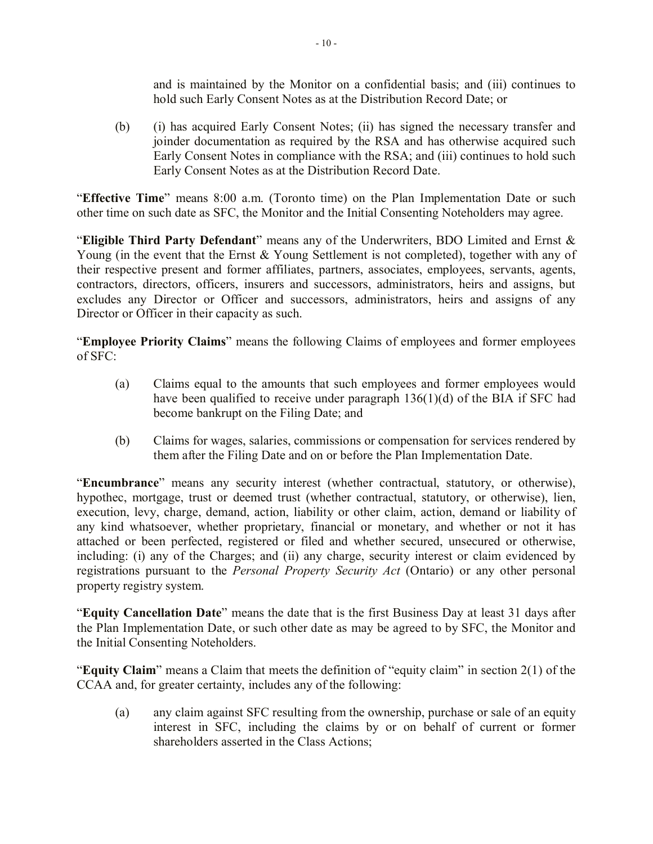and is maintained by the Monitor on a confidential basis; and (iii) continues to hold such Early Consent Notes as at the Distribution Record Date; or

(b) (i) has acquired Early Consent Notes; (ii) has signed the necessary transfer and joinder documentation as required by the RSA and has otherwise acquired such Early Consent Notes in compliance with the RSA; and (iii) continues to hold such Early Consent Notes as at the Distribution Record Date.

"**Effective Time**" means 8:00 a.m. (Toronto time) on the Plan Implementation Date or such other time on such date as SFC, the Monitor and the Initial Consenting Noteholders may agree.

"**Eligible Third Party Defendant**" means any of the Underwriters, BDO Limited and Ernst & Young (in the event that the Ernst & Young Settlement is not completed), together with any of their respective present and former affiliates, partners, associates, employees, servants, agents, contractors, directors, officers, insurers and successors, administrators, heirs and assigns, but excludes any Director or Officer and successors, administrators, heirs and assigns of any Director or Officer in their capacity as such.

"**Employee Priority Claims**" means the following Claims of employees and former employees of SFC:

- (a) Claims equal to the amounts that such employees and former employees would have been qualified to receive under paragraph 136(1)(d) of the BIA if SFC had become bankrupt on the Filing Date; and
- (b) Claims for wages, salaries, commissions or compensation for services rendered by them after the Filing Date and on or before the Plan Implementation Date.

"**Encumbrance**" means any security interest (whether contractual, statutory, or otherwise), hypothec, mortgage, trust or deemed trust (whether contractual, statutory, or otherwise), lien, execution, levy, charge, demand, action, liability or other claim, action, demand or liability of any kind whatsoever, whether proprietary, financial or monetary, and whether or not it has attached or been perfected, registered or filed and whether secured, unsecured or otherwise, including: (i) any of the Charges; and (ii) any charge, security interest or claim evidenced by registrations pursuant to the *Personal Property Security Act* (Ontario) or any other personal property registry system.

"**Equity Cancellation Date**" means the date that is the first Business Day at least 31 days after the Plan Implementation Date, or such other date as may be agreed to by SFC, the Monitor and the Initial Consenting Noteholders.

"**Equity Claim**" means a Claim that meets the definition of "equity claim" in section 2(1) of the CCAA and, for greater certainty, includes any of the following:

(a) any claim against SFC resulting from the ownership, purchase or sale of an equity interest in SFC, including the claims by or on behalf of current or former shareholders asserted in the Class Actions;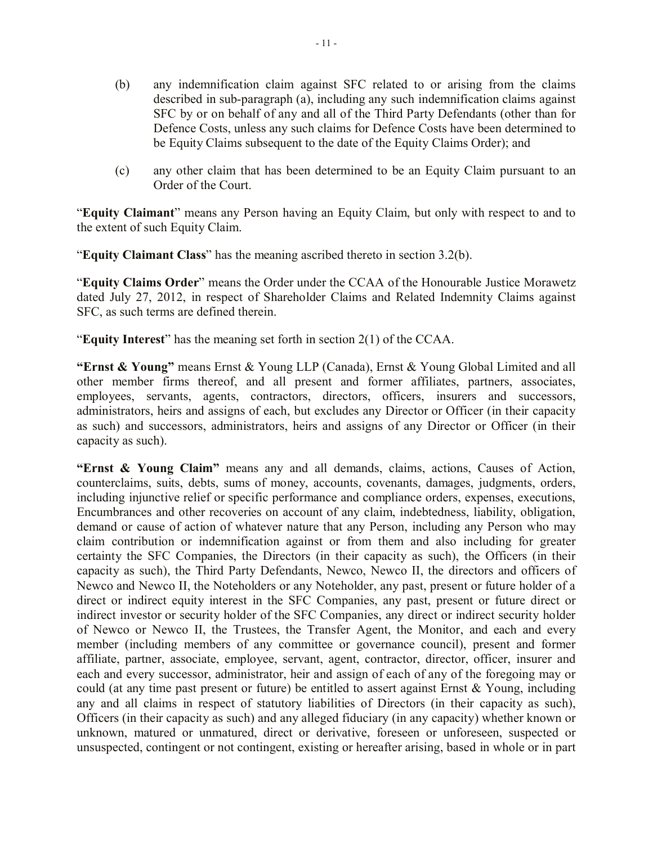- (b) any indemnification claim against SFC related to or arising from the claims described in sub-paragraph (a), including any such indemnification claims against SFC by or on behalf of any and all of the Third Party Defendants (other than for Defence Costs, unless any such claims for Defence Costs have been determined to be Equity Claims subsequent to the date of the Equity Claims Order); and
- (c) any other claim that has been determined to be an Equity Claim pursuant to an Order of the Court.

"**Equity Claimant**" means any Person having an Equity Claim, but only with respect to and to the extent of such Equity Claim.

"**Equity Claimant Class**" has the meaning ascribed thereto in section 3.2(b).

"**Equity Claims Order**" means the Order under the CCAA of the Honourable Justice Morawetz dated July 27, 2012, in respect of Shareholder Claims and Related Indemnity Claims against SFC, as such terms are defined therein.

"**Equity Interest**" has the meaning set forth in section 2(1) of the CCAA.

**"Ernst & Young"** means Ernst & Young LLP (Canada), Ernst & Young Global Limited and all other member firms thereof, and all present and former affiliates, partners, associates, employees, servants, agents, contractors, directors, officers, insurers and successors, administrators, heirs and assigns of each, but excludes any Director or Officer (in their capacity as such) and successors, administrators, heirs and assigns of any Director or Officer (in their capacity as such).

**"Ernst & Young Claim"** means any and all demands, claims, actions, Causes of Action, counterclaims, suits, debts, sums of money, accounts, covenants, damages, judgments, orders, including injunctive relief or specific performance and compliance orders, expenses, executions, Encumbrances and other recoveries on account of any claim, indebtedness, liability, obligation, demand or cause of action of whatever nature that any Person, including any Person who may claim contribution or indemnification against or from them and also including for greater certainty the SFC Companies, the Directors (in their capacity as such), the Officers (in their capacity as such), the Third Party Defendants, Newco, Newco II, the directors and officers of Newco and Newco II, the Noteholders or any Noteholder, any past, present or future holder of a direct or indirect equity interest in the SFC Companies, any past, present or future direct or indirect investor or security holder of the SFC Companies, any direct or indirect security holder of Newco or Newco II, the Trustees, the Transfer Agent, the Monitor, and each and every member (including members of any committee or governance council), present and former affiliate, partner, associate, employee, servant, agent, contractor, director, officer, insurer and each and every successor, administrator, heir and assign of each of any of the foregoing may or could (at any time past present or future) be entitled to assert against Ernst & Young, including any and all claims in respect of statutory liabilities of Directors (in their capacity as such), Officers (in their capacity as such) and any alleged fiduciary (in any capacity) whether known or unknown, matured or unmatured, direct or derivative, foreseen or unforeseen, suspected or unsuspected, contingent or not contingent, existing or hereafter arising, based in whole or in part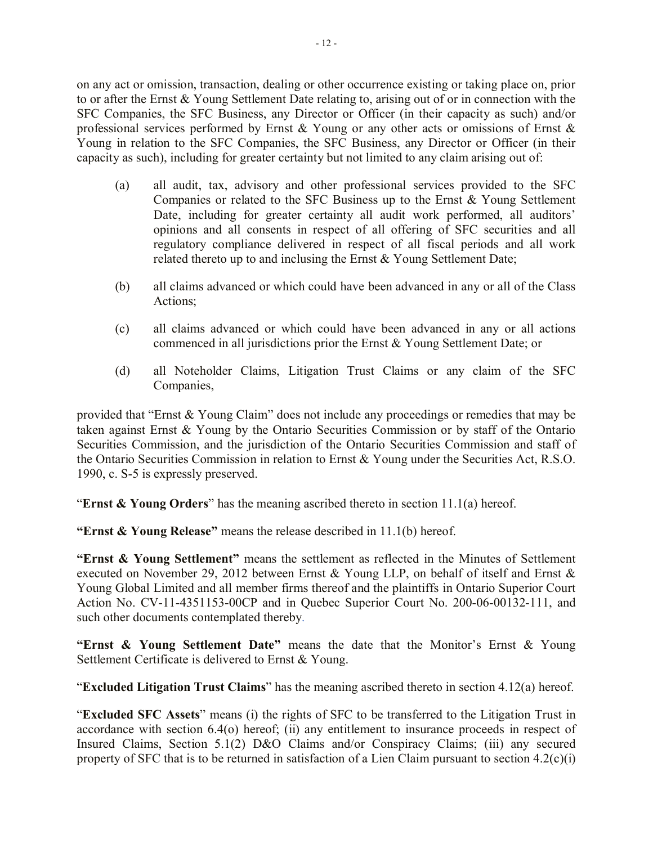on any act or omission, transaction, dealing or other occurrence existing or taking place on, prior to or after the Ernst & Young Settlement Date relating to, arising out of or in connection with the SFC Companies, the SFC Business, any Director or Officer (in their capacity as such) and/or professional services performed by Ernst & Young or any other acts or omissions of Ernst & Young in relation to the SFC Companies, the SFC Business, any Director or Officer (in their capacity as such), including for greater certainty but not limited to any claim arising out of:

- (a) all audit, tax, advisory and other professional services provided to the SFC Companies or related to the SFC Business up to the Ernst & Young Settlement Date, including for greater certainty all audit work performed, all auditors' opinions and all consents in respect of all offering of SFC securities and all regulatory compliance delivered in respect of all fiscal periods and all work related thereto up to and inclusing the Ernst & Young Settlement Date;
- (b) all claims advanced or which could have been advanced in any or all of the Class Actions;
- (c) all claims advanced or which could have been advanced in any or all actions commenced in all jurisdictions prior the Ernst & Young Settlement Date; or
- (d) all Noteholder Claims, Litigation Trust Claims or any claim of the SFC Companies,

provided that "Ernst & Young Claim" does not include any proceedings or remedies that may be taken against Ernst & Young by the Ontario Securities Commission or by staff of the Ontario Securities Commission, and the jurisdiction of the Ontario Securities Commission and staff of the Ontario Securities Commission in relation to Ernst & Young under the Securities Act, R.S.O. 1990, c. S-5 is expressly preserved.

"**Ernst & Young Orders**" has the meaning ascribed thereto in section 11.1(a) hereof.

**"Ernst & Young Release"** means the release described in 11.1(b) hereof.

**"Ernst & Young Settlement"** means the settlement as reflected in the Minutes of Settlement executed on November 29, 2012 between Ernst & Young LLP, on behalf of itself and Ernst & Young Global Limited and all member firms thereof and the plaintiffs in Ontario Superior Court Action No. CV-11-4351153-00CP and in Quebec Superior Court No. 200-06-00132-111, and such other documents contemplated thereby.

**"Ernst & Young Settlement Date"** means the date that the Monitor's Ernst & Young Settlement Certificate is delivered to Ernst & Young.

"**Excluded Litigation Trust Claims**" has the meaning ascribed thereto in section 4.12(a) hereof.

"**Excluded SFC Assets**" means (i) the rights of SFC to be transferred to the Litigation Trust in accordance with section 6.4(o) hereof; (ii) any entitlement to insurance proceeds in respect of Insured Claims, Section 5.1(2) D&O Claims and/or Conspiracy Claims; (iii) any secured property of SFC that is to be returned in satisfaction of a Lien Claim pursuant to section 4.2(c)(i)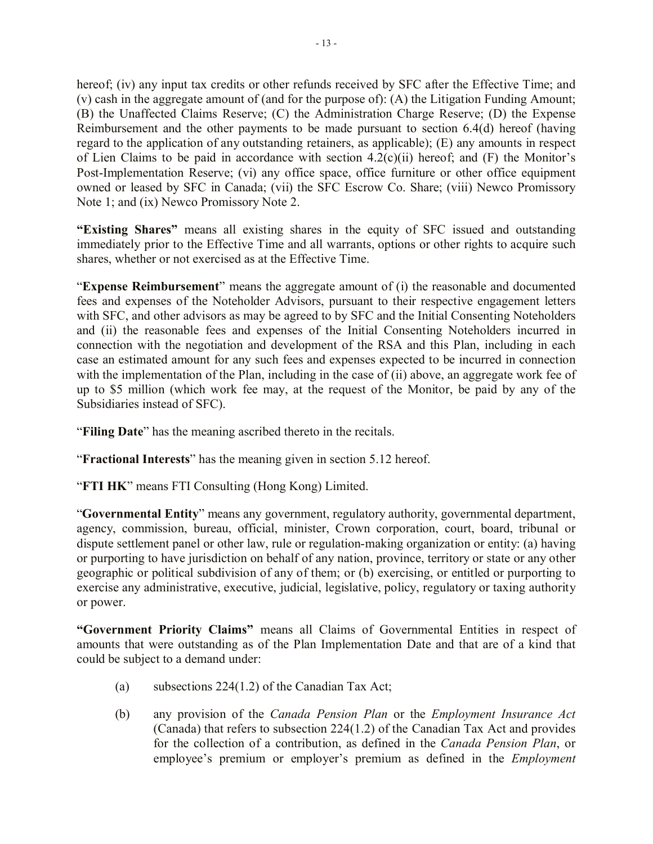hereof; (iv) any input tax credits or other refunds received by SFC after the Effective Time; and (v) cash in the aggregate amount of (and for the purpose of): (A) the Litigation Funding Amount; (B) the Unaffected Claims Reserve; (C) the Administration Charge Reserve; (D) the Expense Reimbursement and the other payments to be made pursuant to section 6.4(d) hereof (having regard to the application of any outstanding retainers, as applicable); (E) any amounts in respect of Lien Claims to be paid in accordance with section  $4.2(c)(ii)$  hereof; and (F) the Monitor's Post-Implementation Reserve; (vi) any office space, office furniture or other office equipment owned or leased by SFC in Canada; (vii) the SFC Escrow Co. Share; (viii) Newco Promissory Note 1; and (ix) Newco Promissory Note 2.

**"Existing Shares"** means all existing shares in the equity of SFC issued and outstanding immediately prior to the Effective Time and all warrants, options or other rights to acquire such shares, whether or not exercised as at the Effective Time.

"**Expense Reimbursement**" means the aggregate amount of (i) the reasonable and documented fees and expenses of the Noteholder Advisors, pursuant to their respective engagement letters with SFC, and other advisors as may be agreed to by SFC and the Initial Consenting Noteholders and (ii) the reasonable fees and expenses of the Initial Consenting Noteholders incurred in connection with the negotiation and development of the RSA and this Plan, including in each case an estimated amount for any such fees and expenses expected to be incurred in connection with the implementation of the Plan, including in the case of (ii) above, an aggregate work fee of up to \$5 million (which work fee may, at the request of the Monitor, be paid by any of the Subsidiaries instead of SFC).

"**Filing Date**" has the meaning ascribed thereto in the recitals.

"**Fractional Interests**" has the meaning given in section 5.12 hereof.

"**FTI HK**" means FTI Consulting (Hong Kong) Limited.

"**Governmental Entity**" means any government, regulatory authority, governmental department, agency, commission, bureau, official, minister, Crown corporation, court, board, tribunal or dispute settlement panel or other law, rule or regulation-making organization or entity: (a) having or purporting to have jurisdiction on behalf of any nation, province, territory or state or any other geographic or political subdivision of any of them; or (b) exercising, or entitled or purporting to exercise any administrative, executive, judicial, legislative, policy, regulatory or taxing authority or power.

**"Government Priority Claims"** means all Claims of Governmental Entities in respect of amounts that were outstanding as of the Plan Implementation Date and that are of a kind that could be subject to a demand under:

- (a) subsections 224(1.2) of the Canadian Tax Act;
- (b) any provision of the *Canada Pension Plan* or the *Employment Insurance Act* (Canada) that refers to subsection 224(1.2) of the Canadian Tax Act and provides for the collection of a contribution, as defined in the *Canada Pension Plan*, or employee's premium or employer's premium as defined in the *Employment*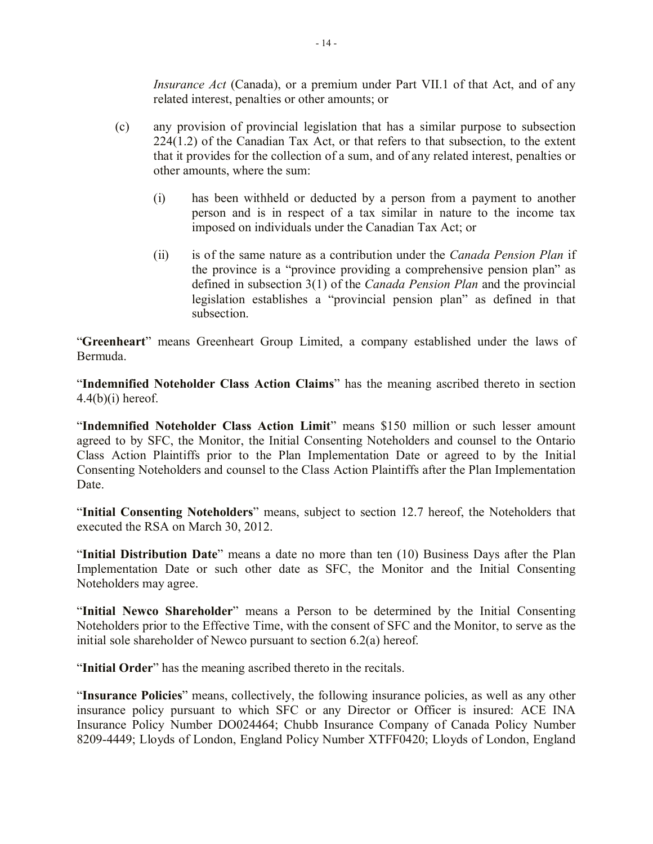*Insurance Act* (Canada), or a premium under Part VII.1 of that Act, and of any related interest, penalties or other amounts; or

- (c) any provision of provincial legislation that has a similar purpose to subsection 224(1.2) of the Canadian Tax Act, or that refers to that subsection, to the extent that it provides for the collection of a sum, and of any related interest, penalties or other amounts, where the sum:
	- (i) has been withheld or deducted by a person from a payment to another person and is in respect of a tax similar in nature to the income tax imposed on individuals under the Canadian Tax Act; or
	- (ii) is of the same nature as a contribution under the *Canada Pension Plan* if the province is a "province providing a comprehensive pension plan" as defined in subsection 3(1) of the *Canada Pension Plan* and the provincial legislation establishes a "provincial pension plan" as defined in that subsection.

"**Greenheart**" means Greenheart Group Limited, a company established under the laws of Bermuda.

"**Indemnified Noteholder Class Action Claims**" has the meaning ascribed thereto in section  $4.4(b)(i)$  hereof.

"**Indemnified Noteholder Class Action Limit**" means \$150 million or such lesser amount agreed to by SFC, the Monitor, the Initial Consenting Noteholders and counsel to the Ontario Class Action Plaintiffs prior to the Plan Implementation Date or agreed to by the Initial Consenting Noteholders and counsel to the Class Action Plaintiffs after the Plan Implementation Date.

"**Initial Consenting Noteholders**" means, subject to section 12.7 hereof, the Noteholders that executed the RSA on March 30, 2012.

"**Initial Distribution Date**" means a date no more than ten (10) Business Days after the Plan Implementation Date or such other date as SFC, the Monitor and the Initial Consenting Noteholders may agree.

"**Initial Newco Shareholder**" means a Person to be determined by the Initial Consenting Noteholders prior to the Effective Time, with the consent of SFC and the Monitor, to serve as the initial sole shareholder of Newco pursuant to section 6.2(a) hereof.

"**Initial Order**" has the meaning ascribed thereto in the recitals.

"**Insurance Policies**" means, collectively, the following insurance policies, as well as any other insurance policy pursuant to which SFC or any Director or Officer is insured: ACE INA Insurance Policy Number DO024464; Chubb Insurance Company of Canada Policy Number 8209-4449; Lloyds of London, England Policy Number XTFF0420; Lloyds of London, England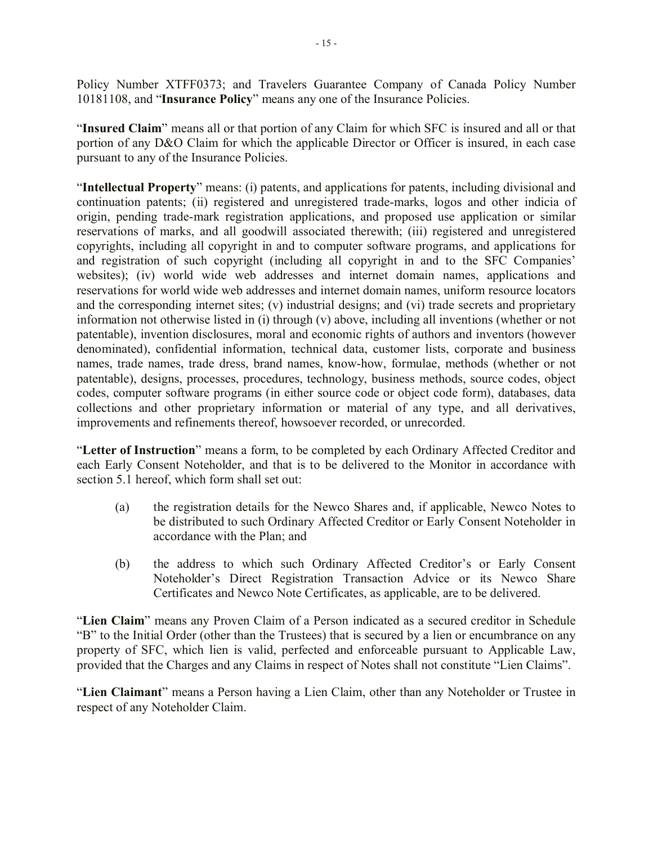Policy Number XTFF0373; and Travelers Guarantee Company of Canada Policy Number 10181108, and "**Insurance Policy**" means any one of the Insurance Policies.

"**Insured Claim**" means all or that portion of any Claim for which SFC is insured and all or that portion of any D&O Claim for which the applicable Director or Officer is insured, in each case pursuant to any of the Insurance Policies.

"**Intellectual Property**" means: (i) patents, and applications for patents, including divisional and continuation patents; (ii) registered and unregistered trade-marks, logos and other indicia of origin, pending trade-mark registration applications, and proposed use application or similar reservations of marks, and all goodwill associated therewith; (iii) registered and unregistered copyrights, including all copyright in and to computer software programs, and applications for and registration of such copyright (including all copyright in and to the SFC Companies' websites); (iv) world wide web addresses and internet domain names, applications and reservations for world wide web addresses and internet domain names, uniform resource locators and the corresponding internet sites; (v) industrial designs; and (vi) trade secrets and proprietary information not otherwise listed in (i) through (v) above, including all inventions (whether or not patentable), invention disclosures, moral and economic rights of authors and inventors (however denominated), confidential information, technical data, customer lists, corporate and business names, trade names, trade dress, brand names, know-how, formulae, methods (whether or not patentable), designs, processes, procedures, technology, business methods, source codes, object codes, computer software programs (in either source code or object code form), databases, data collections and other proprietary information or material of any type, and all derivatives, improvements and refinements thereof, howsoever recorded, or unrecorded.

"**Letter of Instruction**" means a form, to be completed by each Ordinary Affected Creditor and each Early Consent Noteholder, and that is to be delivered to the Monitor in accordance with section 5.1 hereof, which form shall set out:

- (a) the registration details for the Newco Shares and, if applicable, Newco Notes to be distributed to such Ordinary Affected Creditor or Early Consent Noteholder in accordance with the Plan; and
- (b) the address to which such Ordinary Affected Creditor's or Early Consent Noteholder's Direct Registration Transaction Advice or its Newco Share Certificates and Newco Note Certificates, as applicable, are to be delivered.

"**Lien Claim**" means any Proven Claim of a Person indicated as a secured creditor in Schedule "B" to the Initial Order (other than the Trustees) that is secured by a lien or encumbrance on any property of SFC, which lien is valid, perfected and enforceable pursuant to Applicable Law, provided that the Charges and any Claims in respect of Notes shall not constitute "Lien Claims".

"**Lien Claimant**" means a Person having a Lien Claim, other than any Noteholder or Trustee in respect of any Noteholder Claim.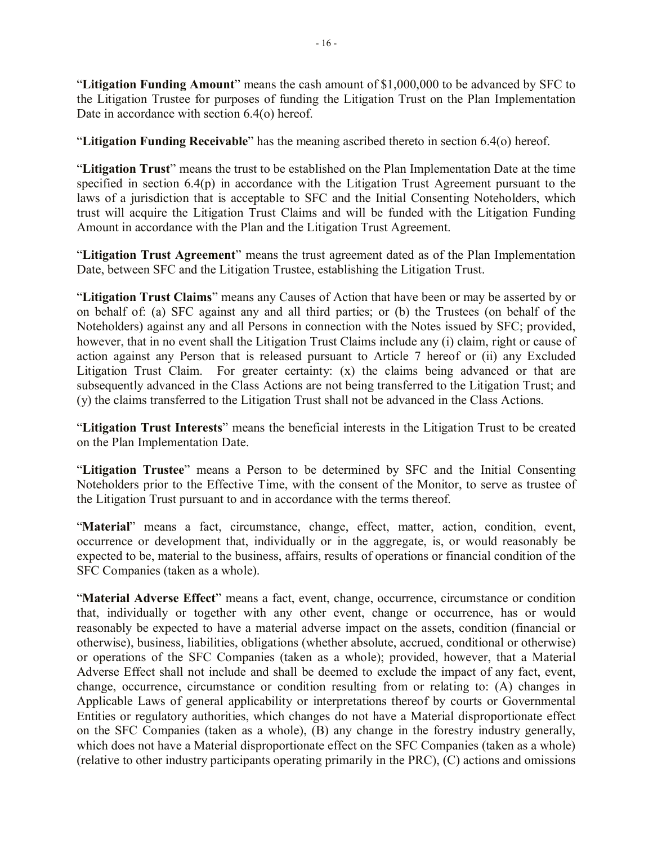"**Litigation Funding Amount**" means the cash amount of \$1,000,000 to be advanced by SFC to the Litigation Trustee for purposes of funding the Litigation Trust on the Plan Implementation Date in accordance with section 6.4(o) hereof.

"**Litigation Funding Receivable**" has the meaning ascribed thereto in section 6.4(o) hereof.

"**Litigation Trust**" means the trust to be established on the Plan Implementation Date at the time specified in section 6.4(p) in accordance with the Litigation Trust Agreement pursuant to the laws of a jurisdiction that is acceptable to SFC and the Initial Consenting Noteholders, which trust will acquire the Litigation Trust Claims and will be funded with the Litigation Funding Amount in accordance with the Plan and the Litigation Trust Agreement.

"**Litigation Trust Agreement**" means the trust agreement dated as of the Plan Implementation Date, between SFC and the Litigation Trustee, establishing the Litigation Trust.

"**Litigation Trust Claims**" means any Causes of Action that have been or may be asserted by or on behalf of: (a) SFC against any and all third parties; or (b) the Trustees (on behalf of the Noteholders) against any and all Persons in connection with the Notes issued by SFC; provided, however, that in no event shall the Litigation Trust Claims include any (i) claim, right or cause of action against any Person that is released pursuant to Article 7 hereof or (ii) any Excluded Litigation Trust Claim. For greater certainty: (x) the claims being advanced or that are subsequently advanced in the Class Actions are not being transferred to the Litigation Trust; and (y) the claims transferred to the Litigation Trust shall not be advanced in the Class Actions.

"**Litigation Trust Interests**" means the beneficial interests in the Litigation Trust to be created on the Plan Implementation Date.

"**Litigation Trustee**" means a Person to be determined by SFC and the Initial Consenting Noteholders prior to the Effective Time, with the consent of the Monitor, to serve as trustee of the Litigation Trust pursuant to and in accordance with the terms thereof.

"**Material**" means a fact, circumstance, change, effect, matter, action, condition, event, occurrence or development that, individually or in the aggregate, is, or would reasonably be expected to be, material to the business, affairs, results of operations or financial condition of the SFC Companies (taken as a whole).

"**Material Adverse Effect**" means a fact, event, change, occurrence, circumstance or condition that, individually or together with any other event, change or occurrence, has or would reasonably be expected to have a material adverse impact on the assets, condition (financial or otherwise), business, liabilities, obligations (whether absolute, accrued, conditional or otherwise) or operations of the SFC Companies (taken as a whole); provided, however, that a Material Adverse Effect shall not include and shall be deemed to exclude the impact of any fact, event, change, occurrence, circumstance or condition resulting from or relating to: (A) changes in Applicable Laws of general applicability or interpretations thereof by courts or Governmental Entities or regulatory authorities, which changes do not have a Material disproportionate effect on the SFC Companies (taken as a whole), (B) any change in the forestry industry generally, which does not have a Material disproportionate effect on the SFC Companies (taken as a whole) (relative to other industry participants operating primarily in the PRC), (C) actions and omissions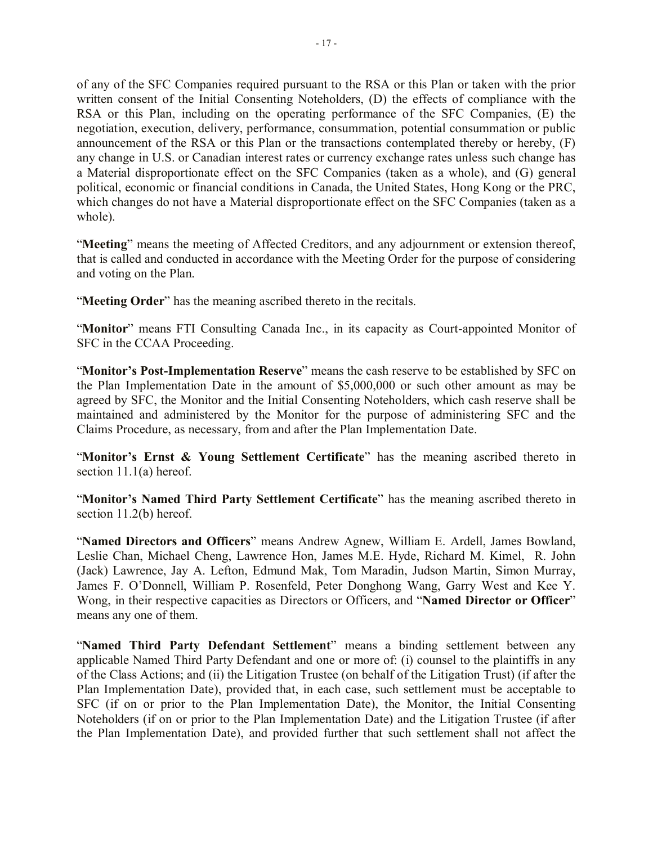of any of the SFC Companies required pursuant to the RSA or this Plan or taken with the prior written consent of the Initial Consenting Noteholders, (D) the effects of compliance with the RSA or this Plan, including on the operating performance of the SFC Companies, (E) the negotiation, execution, delivery, performance, consummation, potential consummation or public announcement of the RSA or this Plan or the transactions contemplated thereby or hereby, (F) any change in U.S. or Canadian interest rates or currency exchange rates unless such change has a Material disproportionate effect on the SFC Companies (taken as a whole), and (G) general political, economic or financial conditions in Canada, the United States, Hong Kong or the PRC, which changes do not have a Material disproportionate effect on the SFC Companies (taken as a whole).

"**Meeting**" means the meeting of Affected Creditors, and any adjournment or extension thereof, that is called and conducted in accordance with the Meeting Order for the purpose of considering and voting on the Plan.

"**Meeting Order**" has the meaning ascribed thereto in the recitals.

"**Monitor**" means FTI Consulting Canada Inc., in its capacity as Court-appointed Monitor of SFC in the CCAA Proceeding.

"**Monitor's Post-Implementation Reserve**" means the cash reserve to be established by SFC on the Plan Implementation Date in the amount of \$5,000,000 or such other amount as may be agreed by SFC, the Monitor and the Initial Consenting Noteholders, which cash reserve shall be maintained and administered by the Monitor for the purpose of administering SFC and the Claims Procedure, as necessary, from and after the Plan Implementation Date.

"**Monitor's Ernst & Young Settlement Certificate**" has the meaning ascribed thereto in section 11.1(a) hereof.

"**Monitor's Named Third Party Settlement Certificate**" has the meaning ascribed thereto in section 11.2(b) hereof.

"**Named Directors and Officers**" means Andrew Agnew, William E. Ardell, James Bowland, Leslie Chan, Michael Cheng, Lawrence Hon, James M.E. Hyde, Richard M. Kimel, R. John (Jack) Lawrence, Jay A. Lefton, Edmund Mak, Tom Maradin, Judson Martin, Simon Murray, James F. O'Donnell, William P. Rosenfeld, Peter Donghong Wang, Garry West and Kee Y. Wong, in their respective capacities as Directors or Officers, and "**Named Director or Officer**" means any one of them.

"**Named Third Party Defendant Settlement**" means a binding settlement between any applicable Named Third Party Defendant and one or more of: (i) counsel to the plaintiffs in any of the Class Actions; and (ii) the Litigation Trustee (on behalf of the Litigation Trust) (if after the Plan Implementation Date), provided that, in each case, such settlement must be acceptable to SFC (if on or prior to the Plan Implementation Date), the Monitor, the Initial Consenting Noteholders (if on or prior to the Plan Implementation Date) and the Litigation Trustee (if after the Plan Implementation Date), and provided further that such settlement shall not affect the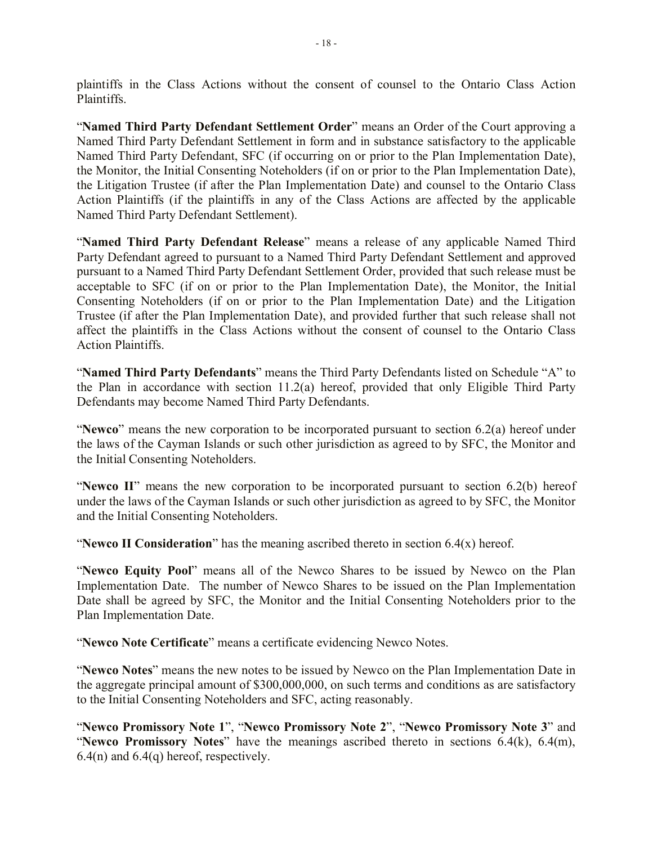plaintiffs in the Class Actions without the consent of counsel to the Ontario Class Action Plaintiffs.

"**Named Third Party Defendant Settlement Order**" means an Order of the Court approving a Named Third Party Defendant Settlement in form and in substance satisfactory to the applicable Named Third Party Defendant, SFC (if occurring on or prior to the Plan Implementation Date), the Monitor, the Initial Consenting Noteholders (if on or prior to the Plan Implementation Date), the Litigation Trustee (if after the Plan Implementation Date) and counsel to the Ontario Class Action Plaintiffs (if the plaintiffs in any of the Class Actions are affected by the applicable Named Third Party Defendant Settlement).

"**Named Third Party Defendant Release**" means a release of any applicable Named Third Party Defendant agreed to pursuant to a Named Third Party Defendant Settlement and approved pursuant to a Named Third Party Defendant Settlement Order, provided that such release must be acceptable to SFC (if on or prior to the Plan Implementation Date), the Monitor, the Initial Consenting Noteholders (if on or prior to the Plan Implementation Date) and the Litigation Trustee (if after the Plan Implementation Date), and provided further that such release shall not affect the plaintiffs in the Class Actions without the consent of counsel to the Ontario Class Action Plaintiffs.

"**Named Third Party Defendants**" means the Third Party Defendants listed on Schedule "A" to the Plan in accordance with section 11.2(a) hereof, provided that only Eligible Third Party Defendants may become Named Third Party Defendants.

"**Newco**" means the new corporation to be incorporated pursuant to section 6.2(a) hereof under the laws of the Cayman Islands or such other jurisdiction as agreed to by SFC, the Monitor and the Initial Consenting Noteholders.

"**Newco II**" means the new corporation to be incorporated pursuant to section 6.2(b) hereof under the laws of the Cayman Islands or such other jurisdiction as agreed to by SFC, the Monitor and the Initial Consenting Noteholders.

"**Newco II Consideration**" has the meaning ascribed thereto in section 6.4(x) hereof.

"**Newco Equity Pool**" means all of the Newco Shares to be issued by Newco on the Plan Implementation Date. The number of Newco Shares to be issued on the Plan Implementation Date shall be agreed by SFC, the Monitor and the Initial Consenting Noteholders prior to the Plan Implementation Date.

"**Newco Note Certificate**" means a certificate evidencing Newco Notes.

"**Newco Notes**" means the new notes to be issued by Newco on the Plan Implementation Date in the aggregate principal amount of \$300,000,000, on such terms and conditions as are satisfactory to the Initial Consenting Noteholders and SFC, acting reasonably.

"**Newco Promissory Note 1**", "**Newco Promissory Note 2**", "**Newco Promissory Note 3**" and "**Newco Promissory Notes**" have the meanings ascribed thereto in sections 6.4(k), 6.4(m), 6.4(n) and 6.4(q) hereof, respectively.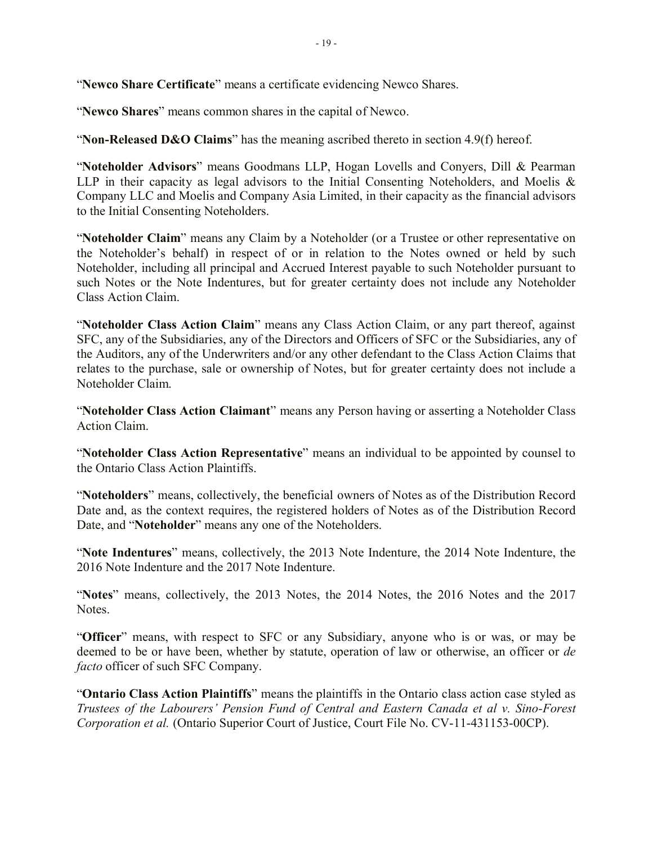"**Newco Share Certificate**" means a certificate evidencing Newco Shares.

"**Newco Shares**" means common shares in the capital of Newco.

"**Non-Released D&O Claims**" has the meaning ascribed thereto in section 4.9(f) hereof.

"**Noteholder Advisors**" means Goodmans LLP, Hogan Lovells and Conyers, Dill & Pearman LLP in their capacity as legal advisors to the Initial Consenting Noteholders, and Moelis & Company LLC and Moelis and Company Asia Limited, in their capacity as the financial advisors to the Initial Consenting Noteholders.

"**Noteholder Claim**" means any Claim by a Noteholder (or a Trustee or other representative on the Noteholder's behalf) in respect of or in relation to the Notes owned or held by such Noteholder, including all principal and Accrued Interest payable to such Noteholder pursuant to such Notes or the Note Indentures, but for greater certainty does not include any Noteholder Class Action Claim.

"**Noteholder Class Action Claim**" means any Class Action Claim, or any part thereof, against SFC, any of the Subsidiaries, any of the Directors and Officers of SFC or the Subsidiaries, any of the Auditors, any of the Underwriters and/or any other defendant to the Class Action Claims that relates to the purchase, sale or ownership of Notes, but for greater certainty does not include a Noteholder Claim.

"**Noteholder Class Action Claimant**" means any Person having or asserting a Noteholder Class Action Claim.

"**Noteholder Class Action Representative**" means an individual to be appointed by counsel to the Ontario Class Action Plaintiffs.

"**Noteholders**" means, collectively, the beneficial owners of Notes as of the Distribution Record Date and, as the context requires, the registered holders of Notes as of the Distribution Record Date, and "**Noteholder**" means any one of the Noteholders.

"**Note Indentures**" means, collectively, the 2013 Note Indenture, the 2014 Note Indenture, the 2016 Note Indenture and the 2017 Note Indenture.

"**Notes**" means, collectively, the 2013 Notes, the 2014 Notes, the 2016 Notes and the 2017 Notes.

"**Officer**" means, with respect to SFC or any Subsidiary, anyone who is or was, or may be deemed to be or have been, whether by statute, operation of law or otherwise, an officer or *de facto* officer of such SFC Company.

"**Ontario Class Action Plaintiffs**" means the plaintiffs in the Ontario class action case styled as *Trustees of the Labourers' Pension Fund of Central and Eastern Canada et al v. Sino-Forest Corporation et al.* (Ontario Superior Court of Justice, Court File No. CV-11-431153-00CP).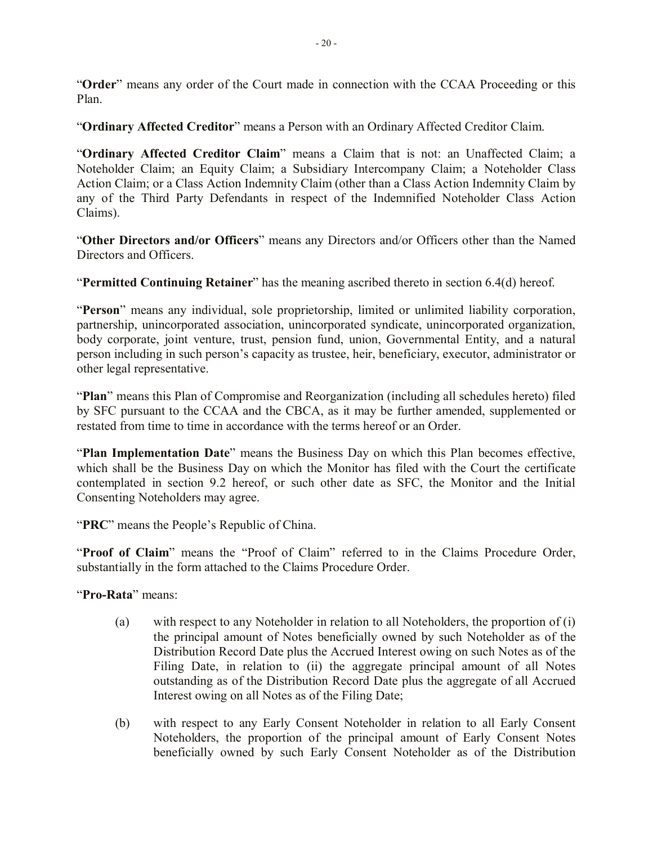"**Order**" means any order of the Court made in connection with the CCAA Proceeding or this Plan.

"**Ordinary Affected Creditor**" means a Person with an Ordinary Affected Creditor Claim.

"**Ordinary Affected Creditor Claim**" means a Claim that is not: an Unaffected Claim; a Noteholder Claim; an Equity Claim; a Subsidiary Intercompany Claim; a Noteholder Class Action Claim; or a Class Action Indemnity Claim (other than a Class Action Indemnity Claim by any of the Third Party Defendants in respect of the Indemnified Noteholder Class Action Claims).

"**Other Directors and/or Officers**" means any Directors and/or Officers other than the Named Directors and Officers.

"**Permitted Continuing Retainer**" has the meaning ascribed thereto in section 6.4(d) hereof.

"**Person**" means any individual, sole proprietorship, limited or unlimited liability corporation, partnership, unincorporated association, unincorporated syndicate, unincorporated organization, body corporate, joint venture, trust, pension fund, union, Governmental Entity, and a natural person including in such person's capacity as trustee, heir, beneficiary, executor, administrator or other legal representative.

"**Plan**" means this Plan of Compromise and Reorganization (including all schedules hereto) filed by SFC pursuant to the CCAA and the CBCA, as it may be further amended, supplemented or restated from time to time in accordance with the terms hereof or an Order.

"**Plan Implementation Date**" means the Business Day on which this Plan becomes effective, which shall be the Business Day on which the Monitor has filed with the Court the certificate contemplated in section 9.2 hereof, or such other date as SFC, the Monitor and the Initial Consenting Noteholders may agree.

"**PRC**" means the People's Republic of China.

"**Proof of Claim**" means the "Proof of Claim" referred to in the Claims Procedure Order, substantially in the form attached to the Claims Procedure Order.

"**Pro-Rata**" means:

- (a) with respect to any Noteholder in relation to all Noteholders, the proportion of (i) the principal amount of Notes beneficially owned by such Noteholder as of the Distribution Record Date plus the Accrued Interest owing on such Notes as of the Filing Date, in relation to (ii) the aggregate principal amount of all Notes outstanding as of the Distribution Record Date plus the aggregate of all Accrued Interest owing on all Notes as of the Filing Date;
- (b) with respect to any Early Consent Noteholder in relation to all Early Consent Noteholders, the proportion of the principal amount of Early Consent Notes beneficially owned by such Early Consent Noteholder as of the Distribution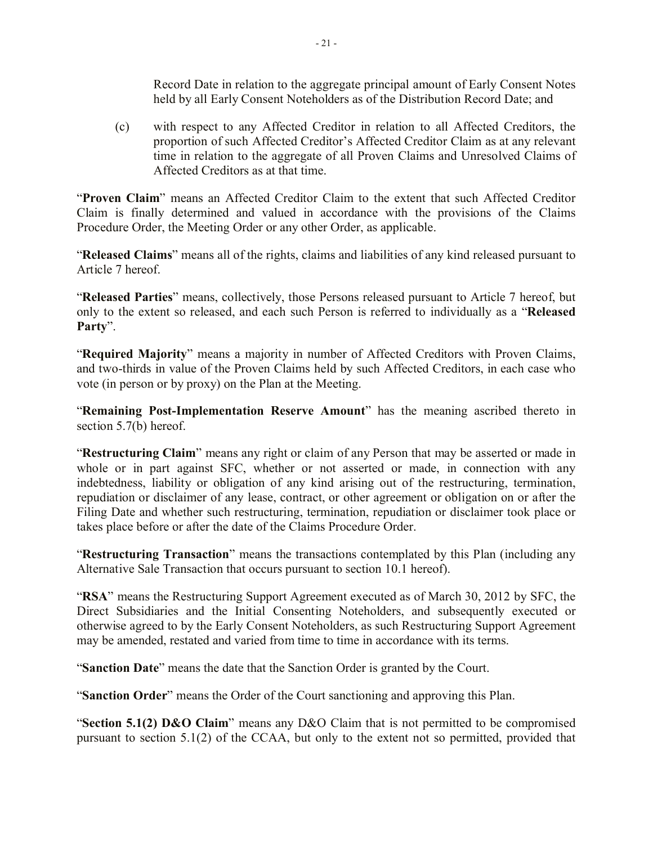Record Date in relation to the aggregate principal amount of Early Consent Notes held by all Early Consent Noteholders as of the Distribution Record Date; and

(c) with respect to any Affected Creditor in relation to all Affected Creditors, the proportion of such Affected Creditor's Affected Creditor Claim as at any relevant time in relation to the aggregate of all Proven Claims and Unresolved Claims of Affected Creditors as at that time.

"**Proven Claim**" means an Affected Creditor Claim to the extent that such Affected Creditor Claim is finally determined and valued in accordance with the provisions of the Claims Procedure Order, the Meeting Order or any other Order, as applicable.

"**Released Claims**" means all of the rights, claims and liabilities of any kind released pursuant to Article 7 hereof.

"**Released Parties**" means, collectively, those Persons released pursuant to Article 7 hereof, but only to the extent so released, and each such Person is referred to individually as a "**Released Party**".

"**Required Majority**" means a majority in number of Affected Creditors with Proven Claims, and two-thirds in value of the Proven Claims held by such Affected Creditors, in each case who vote (in person or by proxy) on the Plan at the Meeting.

"**Remaining Post-Implementation Reserve Amount**" has the meaning ascribed thereto in section 5.7(b) hereof.

"**Restructuring Claim**" means any right or claim of any Person that may be asserted or made in whole or in part against SFC, whether or not asserted or made, in connection with any indebtedness, liability or obligation of any kind arising out of the restructuring, termination, repudiation or disclaimer of any lease, contract, or other agreement or obligation on or after the Filing Date and whether such restructuring, termination, repudiation or disclaimer took place or takes place before or after the date of the Claims Procedure Order.

"**Restructuring Transaction**" means the transactions contemplated by this Plan (including any Alternative Sale Transaction that occurs pursuant to section 10.1 hereof).

"**RSA**" means the Restructuring Support Agreement executed as of March 30, 2012 by SFC, the Direct Subsidiaries and the Initial Consenting Noteholders, and subsequently executed or otherwise agreed to by the Early Consent Noteholders, as such Restructuring Support Agreement may be amended, restated and varied from time to time in accordance with its terms.

"**Sanction Date**" means the date that the Sanction Order is granted by the Court.

"**Sanction Order**" means the Order of the Court sanctioning and approving this Plan.

"**Section 5.1(2) D&O Claim**" means any D&O Claim that is not permitted to be compromised pursuant to section 5.1(2) of the CCAA, but only to the extent not so permitted, provided that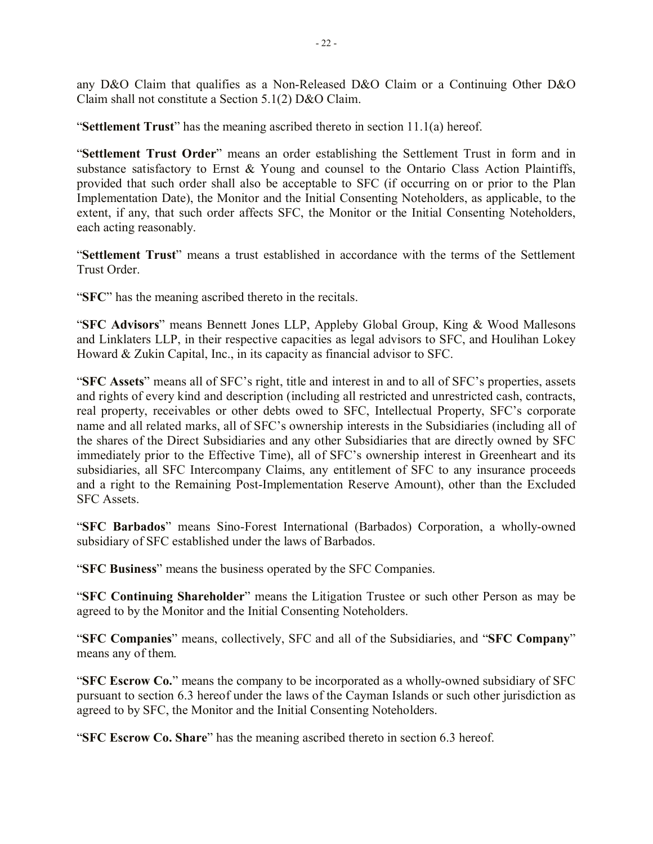any D&O Claim that qualifies as a Non-Released D&O Claim or a Continuing Other D&O Claim shall not constitute a Section 5.1(2) D&O Claim.

"**Settlement Trust**" has the meaning ascribed thereto in section 11.1(a) hereof.

"**Settlement Trust Order**" means an order establishing the Settlement Trust in form and in substance satisfactory to Ernst & Young and counsel to the Ontario Class Action Plaintiffs, provided that such order shall also be acceptable to SFC (if occurring on or prior to the Plan Implementation Date), the Monitor and the Initial Consenting Noteholders, as applicable, to the extent, if any, that such order affects SFC, the Monitor or the Initial Consenting Noteholders, each acting reasonably.

"**Settlement Trust**" means a trust established in accordance with the terms of the Settlement Trust Order.

"**SFC**" has the meaning ascribed thereto in the recitals.

"**SFC Advisors**" means Bennett Jones LLP, Appleby Global Group, King & Wood Mallesons and Linklaters LLP, in their respective capacities as legal advisors to SFC, and Houlihan Lokey Howard & Zukin Capital, Inc., in its capacity as financial advisor to SFC.

"**SFC Assets**" means all of SFC's right, title and interest in and to all of SFC's properties, assets and rights of every kind and description (including all restricted and unrestricted cash, contracts, real property, receivables or other debts owed to SFC, Intellectual Property, SFC's corporate name and all related marks, all of SFC's ownership interests in the Subsidiaries (including all of the shares of the Direct Subsidiaries and any other Subsidiaries that are directly owned by SFC immediately prior to the Effective Time), all of SFC's ownership interest in Greenheart and its subsidiaries, all SFC Intercompany Claims, any entitlement of SFC to any insurance proceeds and a right to the Remaining Post-Implementation Reserve Amount), other than the Excluded SFC Assets.

"**SFC Barbados**" means Sino-Forest International (Barbados) Corporation, a wholly-owned subsidiary of SFC established under the laws of Barbados.

"**SFC Business**" means the business operated by the SFC Companies.

"**SFC Continuing Shareholder**" means the Litigation Trustee or such other Person as may be agreed to by the Monitor and the Initial Consenting Noteholders.

"**SFC Companies**" means, collectively, SFC and all of the Subsidiaries, and "**SFC Company**" means any of them.

"**SFC Escrow Co.**" means the company to be incorporated as a wholly-owned subsidiary of SFC pursuant to section 6.3 hereof under the laws of the Cayman Islands or such other jurisdiction as agreed to by SFC, the Monitor and the Initial Consenting Noteholders.

"**SFC Escrow Co. Share**" has the meaning ascribed thereto in section 6.3 hereof.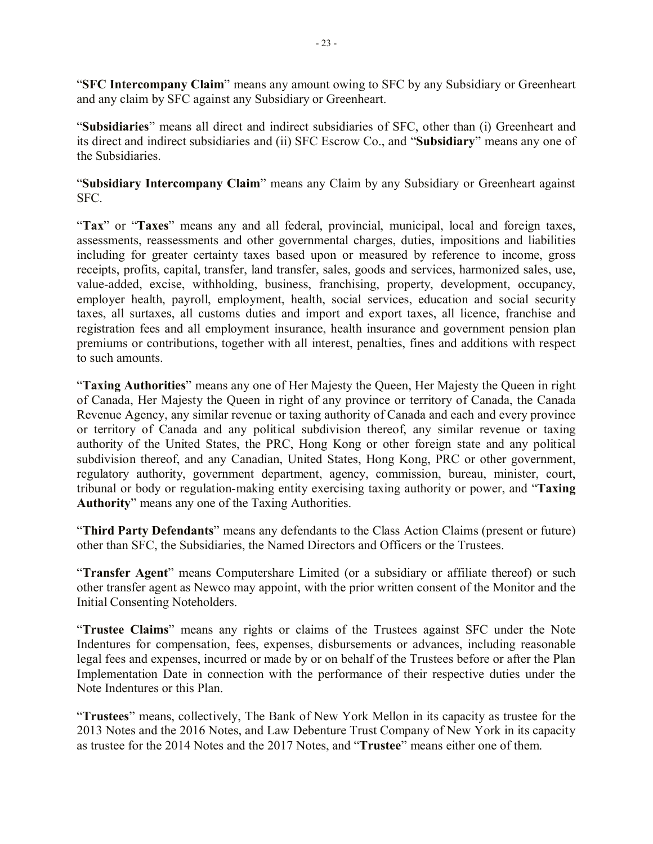"**SFC Intercompany Claim**" means any amount owing to SFC by any Subsidiary or Greenheart and any claim by SFC against any Subsidiary or Greenheart.

"**Subsidiaries**" means all direct and indirect subsidiaries of SFC, other than (i) Greenheart and its direct and indirect subsidiaries and (ii) SFC Escrow Co., and "**Subsidiary**" means any one of the Subsidiaries.

"**Subsidiary Intercompany Claim**" means any Claim by any Subsidiary or Greenheart against SFC.

"Tax" or "Taxes" means any and all federal, provincial, municipal, local and foreign taxes, assessments, reassessments and other governmental charges, duties, impositions and liabilities including for greater certainty taxes based upon or measured by reference to income, gross receipts, profits, capital, transfer, land transfer, sales, goods and services, harmonized sales, use, value-added, excise, withholding, business, franchising, property, development, occupancy, employer health, payroll, employment, health, social services, education and social security taxes, all surtaxes, all customs duties and import and export taxes, all licence, franchise and registration fees and all employment insurance, health insurance and government pension plan premiums or contributions, together with all interest, penalties, fines and additions with respect to such amounts.

"**Taxing Authorities**" means any one of Her Majesty the Queen, Her Majesty the Queen in right of Canada, Her Majesty the Queen in right of any province or territory of Canada, the Canada Revenue Agency, any similar revenue or taxing authority of Canada and each and every province or territory of Canada and any political subdivision thereof, any similar revenue or taxing authority of the United States, the PRC, Hong Kong or other foreign state and any political subdivision thereof, and any Canadian, United States, Hong Kong, PRC or other government, regulatory authority, government department, agency, commission, bureau, minister, court, tribunal or body or regulation-making entity exercising taxing authority or power, and "**Taxing Authority**" means any one of the Taxing Authorities.

"**Third Party Defendants**" means any defendants to the Class Action Claims (present or future) other than SFC, the Subsidiaries, the Named Directors and Officers or the Trustees.

"**Transfer Agent**" means Computershare Limited (or a subsidiary or affiliate thereof) or such other transfer agent as Newco may appoint, with the prior written consent of the Monitor and the Initial Consenting Noteholders.

"**Trustee Claims**" means any rights or claims of the Trustees against SFC under the Note Indentures for compensation, fees, expenses, disbursements or advances, including reasonable legal fees and expenses, incurred or made by or on behalf of the Trustees before or after the Plan Implementation Date in connection with the performance of their respective duties under the Note Indentures or this Plan.

"**Trustees**" means, collectively, The Bank of New York Mellon in its capacity as trustee for the 2013 Notes and the 2016 Notes, and Law Debenture Trust Company of New York in its capacity as trustee for the 2014 Notes and the 2017 Notes, and "**Trustee**" means either one of them.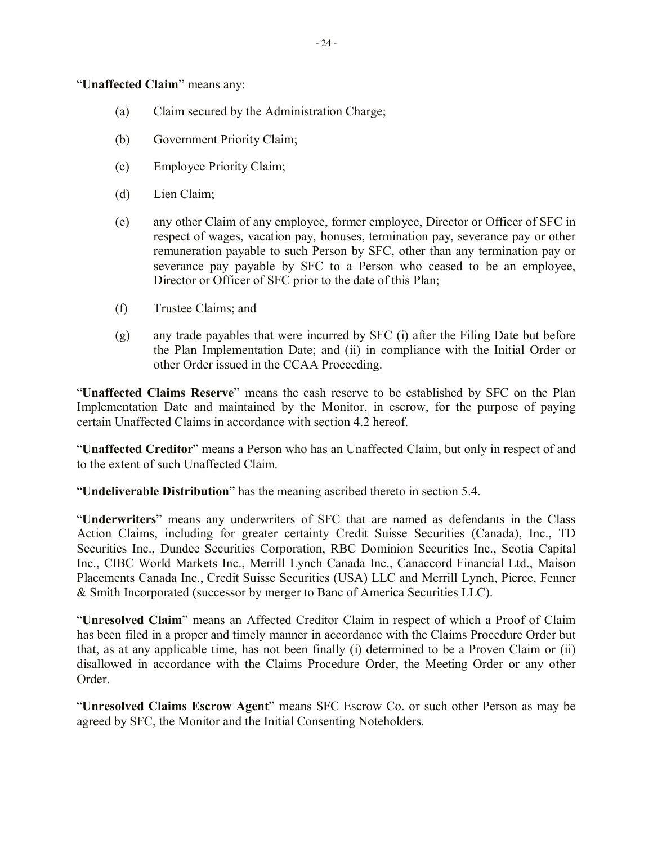"**Unaffected Claim**" means any:

- (a) Claim secured by the Administration Charge;
- (b) Government Priority Claim;
- (c) Employee Priority Claim;
- (d) Lien Claim;
- (e) any other Claim of any employee, former employee, Director or Officer of SFC in respect of wages, vacation pay, bonuses, termination pay, severance pay or other remuneration payable to such Person by SFC, other than any termination pay or severance pay payable by SFC to a Person who ceased to be an employee, Director or Officer of SFC prior to the date of this Plan;
- (f) Trustee Claims; and
- (g) any trade payables that were incurred by SFC (i) after the Filing Date but before the Plan Implementation Date; and (ii) in compliance with the Initial Order or other Order issued in the CCAA Proceeding.

"**Unaffected Claims Reserve**" means the cash reserve to be established by SFC on the Plan Implementation Date and maintained by the Monitor, in escrow, for the purpose of paying certain Unaffected Claims in accordance with section 4.2 hereof.

"**Unaffected Creditor**" means a Person who has an Unaffected Claim, but only in respect of and to the extent of such Unaffected Claim.

"**Undeliverable Distribution**" has the meaning ascribed thereto in section 5.4.

"**Underwriters**" means any underwriters of SFC that are named as defendants in the Class Action Claims, including for greater certainty Credit Suisse Securities (Canada), Inc., TD Securities Inc., Dundee Securities Corporation, RBC Dominion Securities Inc., Scotia Capital Inc., CIBC World Markets Inc., Merrill Lynch Canada Inc., Canaccord Financial Ltd., Maison Placements Canada Inc., Credit Suisse Securities (USA) LLC and Merrill Lynch, Pierce, Fenner & Smith Incorporated (successor by merger to Banc of America Securities LLC).

"**Unresolved Claim**" means an Affected Creditor Claim in respect of which a Proof of Claim has been filed in a proper and timely manner in accordance with the Claims Procedure Order but that, as at any applicable time, has not been finally (i) determined to be a Proven Claim or (ii) disallowed in accordance with the Claims Procedure Order, the Meeting Order or any other Order.

"**Unresolved Claims Escrow Agent**" means SFC Escrow Co. or such other Person as may be agreed by SFC, the Monitor and the Initial Consenting Noteholders.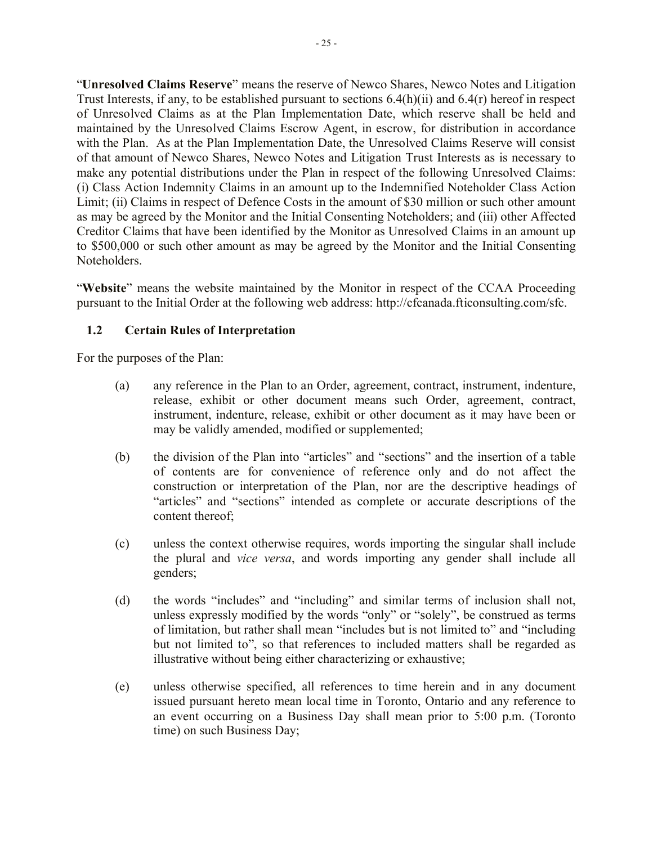"**Unresolved Claims Reserve**" means the reserve of Newco Shares, Newco Notes and Litigation Trust Interests, if any, to be established pursuant to sections 6.4(h)(ii) and 6.4(r) hereof in respect of Unresolved Claims as at the Plan Implementation Date, which reserve shall be held and maintained by the Unresolved Claims Escrow Agent, in escrow, for distribution in accordance with the Plan. As at the Plan Implementation Date, the Unresolved Claims Reserve will consist of that amount of Newco Shares, Newco Notes and Litigation Trust Interests as is necessary to make any potential distributions under the Plan in respect of the following Unresolved Claims: (i) Class Action Indemnity Claims in an amount up to the Indemnified Noteholder Class Action Limit; (ii) Claims in respect of Defence Costs in the amount of \$30 million or such other amount as may be agreed by the Monitor and the Initial Consenting Noteholders; and (iii) other Affected Creditor Claims that have been identified by the Monitor as Unresolved Claims in an amount up to \$500,000 or such other amount as may be agreed by the Monitor and the Initial Consenting Noteholders.

"**Website**" means the website maintained by the Monitor in respect of the CCAA Proceeding pursuant to the Initial Order at the following web address: http://cfcanada.fticonsulting.com/sfc.

# **1.2 Certain Rules of Interpretation**

For the purposes of the Plan:

- (a) any reference in the Plan to an Order, agreement, contract, instrument, indenture, release, exhibit or other document means such Order, agreement, contract, instrument, indenture, release, exhibit or other document as it may have been or may be validly amended, modified or supplemented;
- (b) the division of the Plan into "articles" and "sections" and the insertion of a table of contents are for convenience of reference only and do not affect the construction or interpretation of the Plan, nor are the descriptive headings of "articles" and "sections" intended as complete or accurate descriptions of the content thereof;
- (c) unless the context otherwise requires, words importing the singular shall include the plural and *vice versa*, and words importing any gender shall include all genders;
- (d) the words "includes" and "including" and similar terms of inclusion shall not, unless expressly modified by the words "only" or "solely", be construed as terms of limitation, but rather shall mean "includes but is not limited to" and "including but not limited to", so that references to included matters shall be regarded as illustrative without being either characterizing or exhaustive;
- (e) unless otherwise specified, all references to time herein and in any document issued pursuant hereto mean local time in Toronto, Ontario and any reference to an event occurring on a Business Day shall mean prior to 5:00 p.m. (Toronto time) on such Business Day;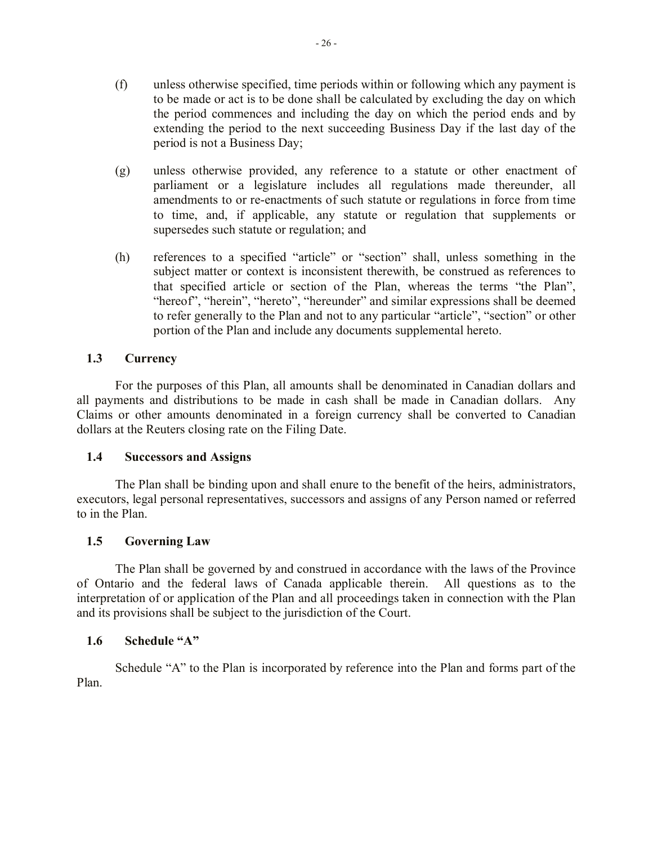- (g) unless otherwise provided, any reference to a statute or other enactment of parliament or a legislature includes all regulations made thereunder, all amendments to or re-enactments of such statute or regulations in force from time to time, and, if applicable, any statute or regulation that supplements or supersedes such statute or regulation; and
- (h) references to a specified "article" or "section" shall, unless something in the subject matter or context is inconsistent therewith, be construed as references to that specified article or section of the Plan, whereas the terms "the Plan", "hereof", "herein", "hereto", "hereunder" and similar expressions shall be deemed to refer generally to the Plan and not to any particular "article", "section" or other portion of the Plan and include any documents supplemental hereto.

# **1.3 Currency**

For the purposes of this Plan, all amounts shall be denominated in Canadian dollars and all payments and distributions to be made in cash shall be made in Canadian dollars. Any Claims or other amounts denominated in a foreign currency shall be converted to Canadian dollars at the Reuters closing rate on the Filing Date.

# **1.4 Successors and Assigns**

The Plan shall be binding upon and shall enure to the benefit of the heirs, administrators, executors, legal personal representatives, successors and assigns of any Person named or referred to in the Plan.

# **1.5 Governing Law**

The Plan shall be governed by and construed in accordance with the laws of the Province of Ontario and the federal laws of Canada applicable therein. All questions as to the interpretation of or application of the Plan and all proceedings taken in connection with the Plan and its provisions shall be subject to the jurisdiction of the Court.

# **1.6 Schedule "A"**

Schedule "A" to the Plan is incorporated by reference into the Plan and forms part of the Plan.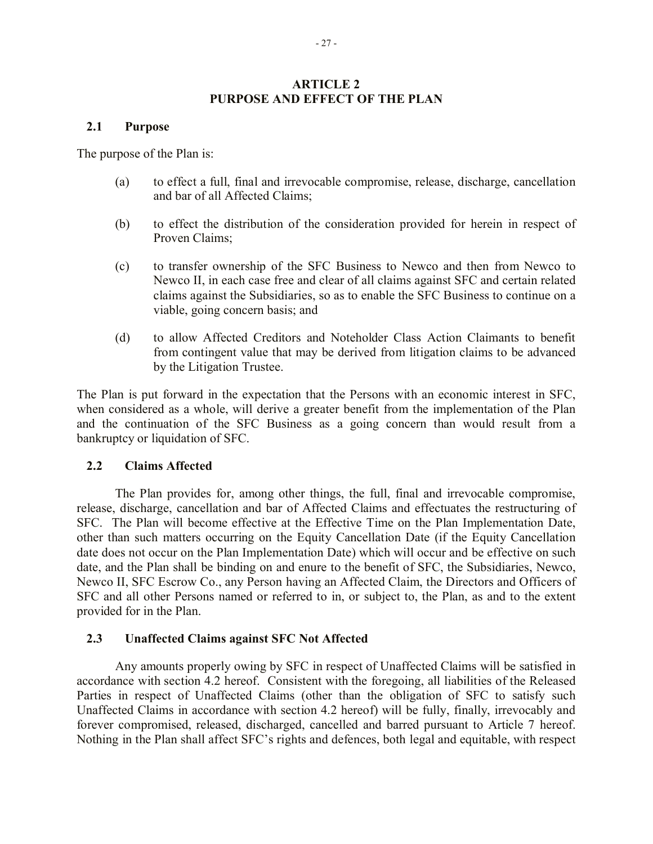#### **ARTICLE 2 PURPOSE AND EFFECT OF THE PLAN**

#### **2.1 Purpose**

The purpose of the Plan is:

- (a) to effect a full, final and irrevocable compromise, release, discharge, cancellation and bar of all Affected Claims;
- (b) to effect the distribution of the consideration provided for herein in respect of Proven Claims;
- (c) to transfer ownership of the SFC Business to Newco and then from Newco to Newco II, in each case free and clear of all claims against SFC and certain related claims against the Subsidiaries, so as to enable the SFC Business to continue on a viable, going concern basis; and
- (d) to allow Affected Creditors and Noteholder Class Action Claimants to benefit from contingent value that may be derived from litigation claims to be advanced by the Litigation Trustee.

The Plan is put forward in the expectation that the Persons with an economic interest in SFC, when considered as a whole, will derive a greater benefit from the implementation of the Plan and the continuation of the SFC Business as a going concern than would result from a bankruptcy or liquidation of SFC.

#### **2.2 Claims Affected**

The Plan provides for, among other things, the full, final and irrevocable compromise, release, discharge, cancellation and bar of Affected Claims and effectuates the restructuring of SFC. The Plan will become effective at the Effective Time on the Plan Implementation Date, other than such matters occurring on the Equity Cancellation Date (if the Equity Cancellation date does not occur on the Plan Implementation Date) which will occur and be effective on such date, and the Plan shall be binding on and enure to the benefit of SFC, the Subsidiaries, Newco, Newco II, SFC Escrow Co., any Person having an Affected Claim, the Directors and Officers of SFC and all other Persons named or referred to in, or subject to, the Plan, as and to the extent provided for in the Plan.

#### **2.3 Unaffected Claims against SFC Not Affected**

Any amounts properly owing by SFC in respect of Unaffected Claims will be satisfied in accordance with section 4.2 hereof. Consistent with the foregoing, all liabilities of the Released Parties in respect of Unaffected Claims (other than the obligation of SFC to satisfy such Unaffected Claims in accordance with section 4.2 hereof) will be fully, finally, irrevocably and forever compromised, released, discharged, cancelled and barred pursuant to Article 7 hereof. Nothing in the Plan shall affect SFC's rights and defences, both legal and equitable, with respect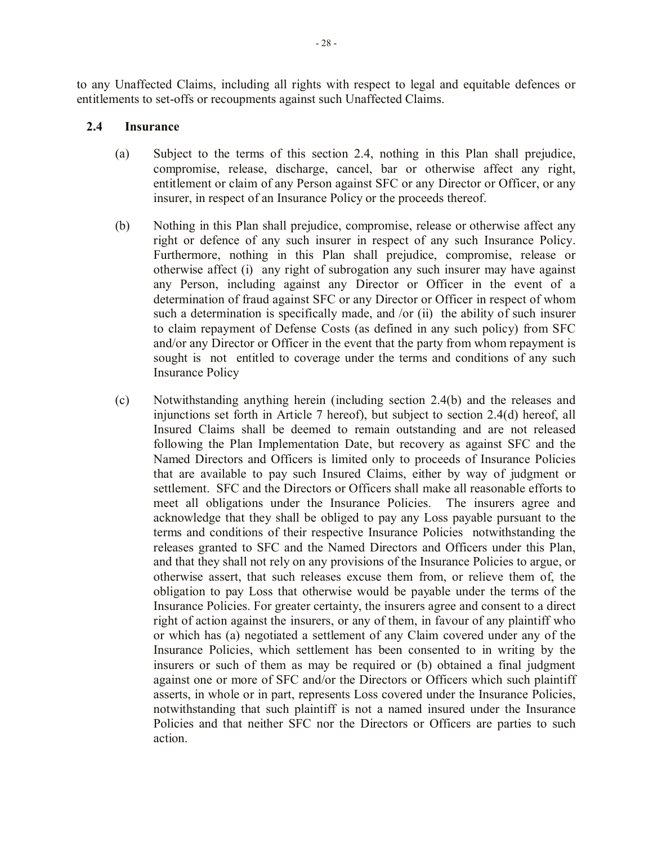to any Unaffected Claims, including all rights with respect to legal and equitable defences or entitlements to set-offs or recoupments against such Unaffected Claims.

## **2.4 Insurance**

- (a) Subject to the terms of this section 2.4, nothing in this Plan shall prejudice, compromise, release, discharge, cancel, bar or otherwise affect any right, entitlement or claim of any Person against SFC or any Director or Officer, or any insurer, in respect of an Insurance Policy or the proceeds thereof.
- (b) Nothing in this Plan shall prejudice, compromise, release or otherwise affect any right or defence of any such insurer in respect of any such Insurance Policy. Furthermore, nothing in this Plan shall prejudice, compromise, release or otherwise affect (i) any right of subrogation any such insurer may have against any Person, including against any Director or Officer in the event of a determination of fraud against SFC or any Director or Officer in respect of whom such a determination is specifically made, and /or (ii) the ability of such insurer to claim repayment of Defense Costs (as defined in any such policy) from SFC and/or any Director or Officer in the event that the party from whom repayment is sought is not entitled to coverage under the terms and conditions of any such Insurance Policy
- (c) Notwithstanding anything herein (including section 2.4(b) and the releases and injunctions set forth in Article 7 hereof), but subject to section 2.4(d) hereof, all Insured Claims shall be deemed to remain outstanding and are not released following the Plan Implementation Date, but recovery as against SFC and the Named Directors and Officers is limited only to proceeds of Insurance Policies that are available to pay such Insured Claims, either by way of judgment or settlement. SFC and the Directors or Officers shall make all reasonable efforts to meet all obligations under the Insurance Policies. The insurers agree and acknowledge that they shall be obliged to pay any Loss payable pursuant to the terms and conditions of their respective Insurance Policies notwithstanding the releases granted to SFC and the Named Directors and Officers under this Plan, and that they shall not rely on any provisions of the Insurance Policies to argue, or otherwise assert, that such releases excuse them from, or relieve them of, the obligation to pay Loss that otherwise would be payable under the terms of the Insurance Policies. For greater certainty, the insurers agree and consent to a direct right of action against the insurers, or any of them, in favour of any plaintiff who or which has (a) negotiated a settlement of any Claim covered under any of the Insurance Policies, which settlement has been consented to in writing by the insurers or such of them as may be required or (b) obtained a final judgment against one or more of SFC and/or the Directors or Officers which such plaintiff asserts, in whole or in part, represents Loss covered under the Insurance Policies, notwithstanding that such plaintiff is not a named insured under the Insurance Policies and that neither SFC nor the Directors or Officers are parties to such action.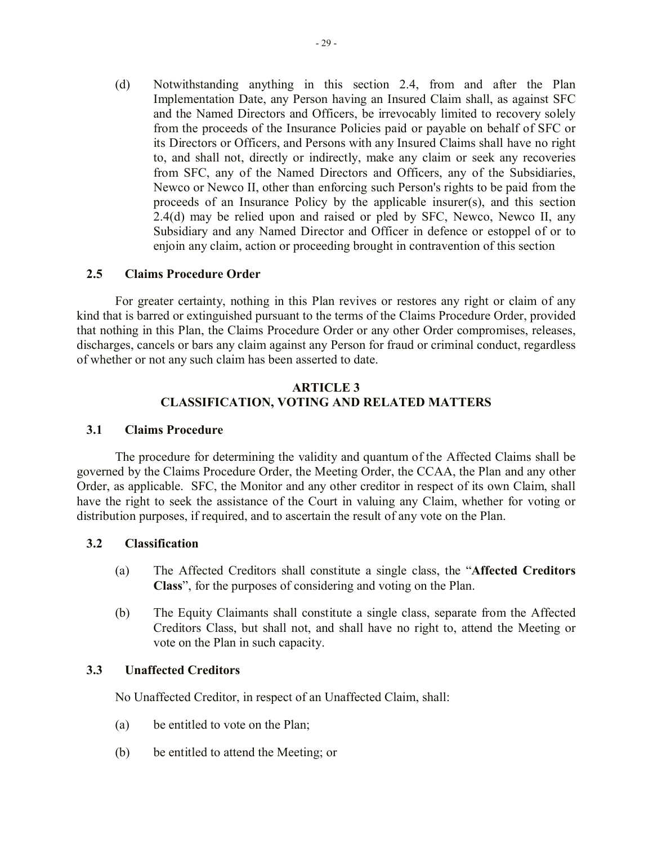(d) Notwithstanding anything in this section 2.4, from and after the Plan Implementation Date, any Person having an Insured Claim shall, as against SFC and the Named Directors and Officers, be irrevocably limited to recovery solely from the proceeds of the Insurance Policies paid or payable on behalf of SFC or its Directors or Officers, and Persons with any Insured Claims shall have no right to, and shall not, directly or indirectly, make any claim or seek any recoveries from SFC, any of the Named Directors and Officers, any of the Subsidiaries, Newco or Newco II, other than enforcing such Person's rights to be paid from the proceeds of an Insurance Policy by the applicable insurer(s), and this section 2.4(d) may be relied upon and raised or pled by SFC, Newco, Newco II, any Subsidiary and any Named Director and Officer in defence or estoppel of or to enjoin any claim, action or proceeding brought in contravention of this section

#### **2.5 Claims Procedure Order**

For greater certainty, nothing in this Plan revives or restores any right or claim of any kind that is barred or extinguished pursuant to the terms of the Claims Procedure Order, provided that nothing in this Plan, the Claims Procedure Order or any other Order compromises, releases, discharges, cancels or bars any claim against any Person for fraud or criminal conduct, regardless of whether or not any such claim has been asserted to date.

#### **ARTICLE 3 CLASSIFICATION, VOTING AND RELATED MATTERS**

#### **3.1 Claims Procedure**

The procedure for determining the validity and quantum of the Affected Claims shall be governed by the Claims Procedure Order, the Meeting Order, the CCAA, the Plan and any other Order, as applicable. SFC, the Monitor and any other creditor in respect of its own Claim, shall have the right to seek the assistance of the Court in valuing any Claim, whether for voting or distribution purposes, if required, and to ascertain the result of any vote on the Plan.

#### **3.2 Classification**

- (a) The Affected Creditors shall constitute a single class, the "**Affected Creditors Class**", for the purposes of considering and voting on the Plan.
- (b) The Equity Claimants shall constitute a single class, separate from the Affected Creditors Class, but shall not, and shall have no right to, attend the Meeting or vote on the Plan in such capacity.

### **3.3 Unaffected Creditors**

No Unaffected Creditor, in respect of an Unaffected Claim, shall:

- (a) be entitled to vote on the Plan;
- (b) be entitled to attend the Meeting; or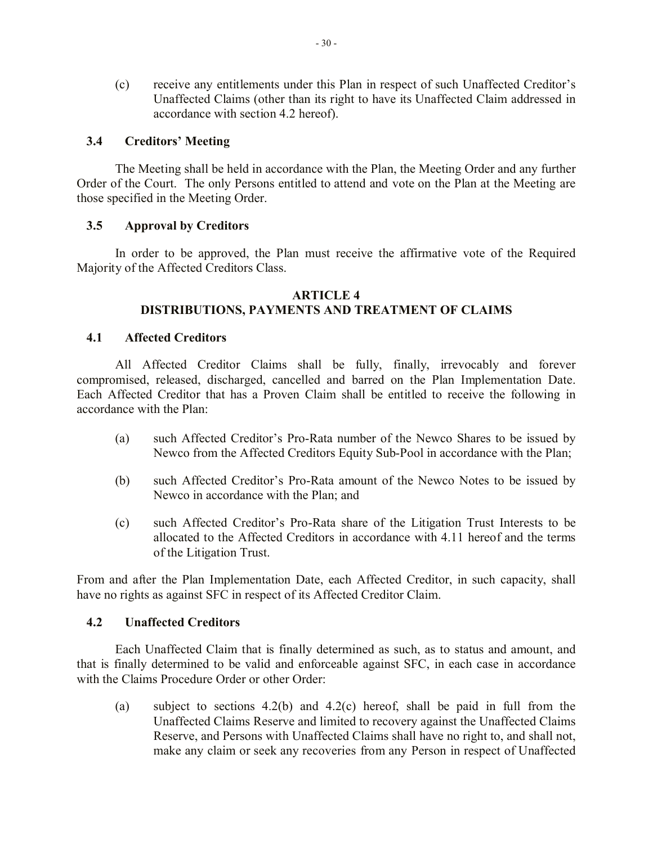(c) receive any entitlements under this Plan in respect of such Unaffected Creditor's Unaffected Claims (other than its right to have its Unaffected Claim addressed in accordance with section 4.2 hereof).

## **3.4 Creditors' Meeting**

The Meeting shall be held in accordance with the Plan, the Meeting Order and any further Order of the Court. The only Persons entitled to attend and vote on the Plan at the Meeting are those specified in the Meeting Order.

## **3.5 Approval by Creditors**

In order to be approved, the Plan must receive the affirmative vote of the Required Majority of the Affected Creditors Class.

#### **ARTICLE 4 DISTRIBUTIONS, PAYMENTS AND TREATMENT OF CLAIMS**

#### **4.1 Affected Creditors**

All Affected Creditor Claims shall be fully, finally, irrevocably and forever compromised, released, discharged, cancelled and barred on the Plan Implementation Date. Each Affected Creditor that has a Proven Claim shall be entitled to receive the following in accordance with the Plan:

- (a) such Affected Creditor's Pro-Rata number of the Newco Shares to be issued by Newco from the Affected Creditors Equity Sub-Pool in accordance with the Plan;
- (b) such Affected Creditor's Pro-Rata amount of the Newco Notes to be issued by Newco in accordance with the Plan; and
- (c) such Affected Creditor's Pro-Rata share of the Litigation Trust Interests to be allocated to the Affected Creditors in accordance with 4.11 hereof and the terms of the Litigation Trust.

From and after the Plan Implementation Date, each Affected Creditor, in such capacity, shall have no rights as against SFC in respect of its Affected Creditor Claim.

#### **4.2 Unaffected Creditors**

Each Unaffected Claim that is finally determined as such, as to status and amount, and that is finally determined to be valid and enforceable against SFC, in each case in accordance with the Claims Procedure Order or other Order:

(a) subject to sections 4.2(b) and 4.2(c) hereof, shall be paid in full from the Unaffected Claims Reserve and limited to recovery against the Unaffected Claims Reserve, and Persons with Unaffected Claims shall have no right to, and shall not, make any claim or seek any recoveries from any Person in respect of Unaffected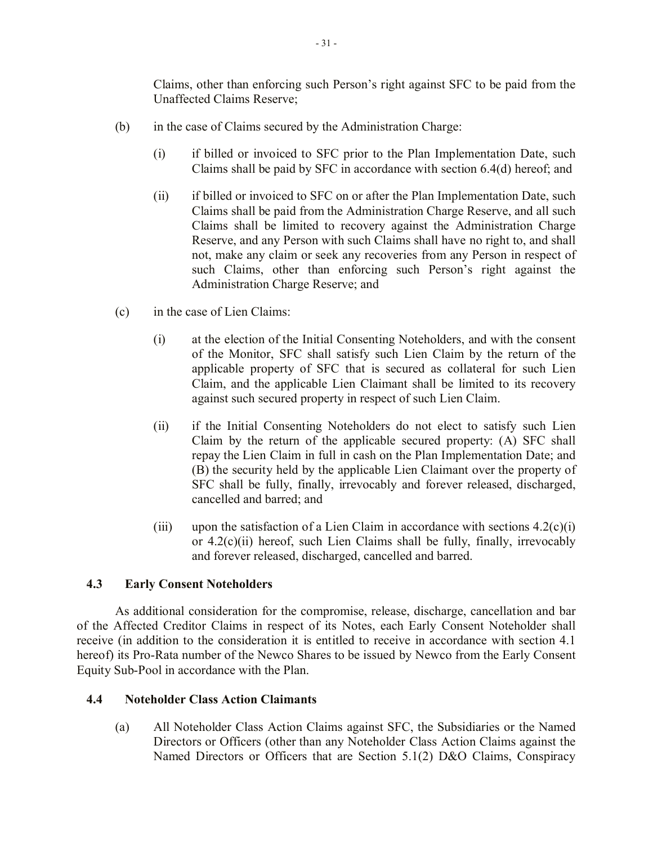Claims, other than enforcing such Person's right against SFC to be paid from the Unaffected Claims Reserve;

- (b) in the case of Claims secured by the Administration Charge:
	- (i) if billed or invoiced to SFC prior to the Plan Implementation Date, such Claims shall be paid by SFC in accordance with section 6.4(d) hereof; and
	- (ii) if billed or invoiced to SFC on or after the Plan Implementation Date, such Claims shall be paid from the Administration Charge Reserve, and all such Claims shall be limited to recovery against the Administration Charge Reserve, and any Person with such Claims shall have no right to, and shall not, make any claim or seek any recoveries from any Person in respect of such Claims, other than enforcing such Person's right against the Administration Charge Reserve; and
- (c) in the case of Lien Claims:
	- (i) at the election of the Initial Consenting Noteholders, and with the consent of the Monitor, SFC shall satisfy such Lien Claim by the return of the applicable property of SFC that is secured as collateral for such Lien Claim, and the applicable Lien Claimant shall be limited to its recovery against such secured property in respect of such Lien Claim.
	- (ii) if the Initial Consenting Noteholders do not elect to satisfy such Lien Claim by the return of the applicable secured property: (A) SFC shall repay the Lien Claim in full in cash on the Plan Implementation Date; and (B) the security held by the applicable Lien Claimant over the property of SFC shall be fully, finally, irrevocably and forever released, discharged, cancelled and barred; and
	- (iii) upon the satisfaction of a Lien Claim in accordance with sections  $4.2(c)(i)$ or 4.2(c)(ii) hereof, such Lien Claims shall be fully, finally, irrevocably and forever released, discharged, cancelled and barred.

# **4.3 Early Consent Noteholders**

As additional consideration for the compromise, release, discharge, cancellation and bar of the Affected Creditor Claims in respect of its Notes, each Early Consent Noteholder shall receive (in addition to the consideration it is entitled to receive in accordance with section 4.1 hereof) its Pro-Rata number of the Newco Shares to be issued by Newco from the Early Consent Equity Sub-Pool in accordance with the Plan.

### **4.4 Noteholder Class Action Claimants**

(a) All Noteholder Class Action Claims against SFC, the Subsidiaries or the Named Directors or Officers (other than any Noteholder Class Action Claims against the Named Directors or Officers that are Section 5.1(2) D&O Claims, Conspiracy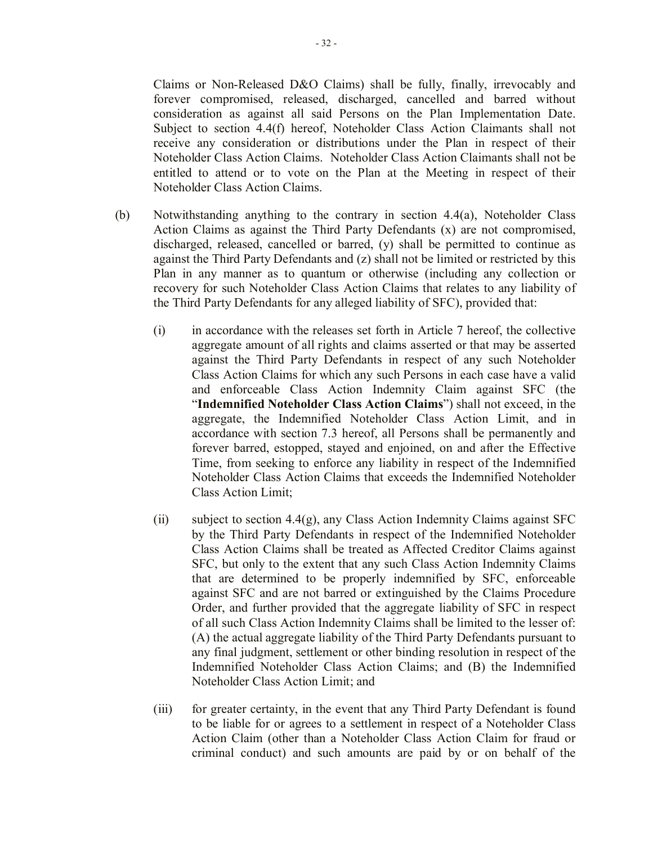Claims or Non-Released D&O Claims) shall be fully, finally, irrevocably and forever compromised, released, discharged, cancelled and barred without consideration as against all said Persons on the Plan Implementation Date. Subject to section 4.4(f) hereof, Noteholder Class Action Claimants shall not receive any consideration or distributions under the Plan in respect of their Noteholder Class Action Claims. Noteholder Class Action Claimants shall not be entitled to attend or to vote on the Plan at the Meeting in respect of their Noteholder Class Action Claims.

- (b) Notwithstanding anything to the contrary in section 4.4(a), Noteholder Class Action Claims as against the Third Party Defendants (x) are not compromised, discharged, released, cancelled or barred, (y) shall be permitted to continue as against the Third Party Defendants and (z) shall not be limited or restricted by this Plan in any manner as to quantum or otherwise (including any collection or recovery for such Noteholder Class Action Claims that relates to any liability of the Third Party Defendants for any alleged liability of SFC), provided that:
	- (i) in accordance with the releases set forth in Article 7 hereof, the collective aggregate amount of all rights and claims asserted or that may be asserted against the Third Party Defendants in respect of any such Noteholder Class Action Claims for which any such Persons in each case have a valid and enforceable Class Action Indemnity Claim against SFC (the "**Indemnified Noteholder Class Action Claims**") shall not exceed, in the aggregate, the Indemnified Noteholder Class Action Limit, and in accordance with section 7.3 hereof, all Persons shall be permanently and forever barred, estopped, stayed and enjoined, on and after the Effective Time, from seeking to enforce any liability in respect of the Indemnified Noteholder Class Action Claims that exceeds the Indemnified Noteholder Class Action Limit;
	- (ii) subject to section  $4.4(g)$ , any Class Action Indemnity Claims against SFC by the Third Party Defendants in respect of the Indemnified Noteholder Class Action Claims shall be treated as Affected Creditor Claims against SFC, but only to the extent that any such Class Action Indemnity Claims that are determined to be properly indemnified by SFC, enforceable against SFC and are not barred or extinguished by the Claims Procedure Order, and further provided that the aggregate liability of SFC in respect of all such Class Action Indemnity Claims shall be limited to the lesser of: (A) the actual aggregate liability of the Third Party Defendants pursuant to any final judgment, settlement or other binding resolution in respect of the Indemnified Noteholder Class Action Claims; and (B) the Indemnified Noteholder Class Action Limit; and
	- (iii) for greater certainty, in the event that any Third Party Defendant is found to be liable for or agrees to a settlement in respect of a Noteholder Class Action Claim (other than a Noteholder Class Action Claim for fraud or criminal conduct) and such amounts are paid by or on behalf of the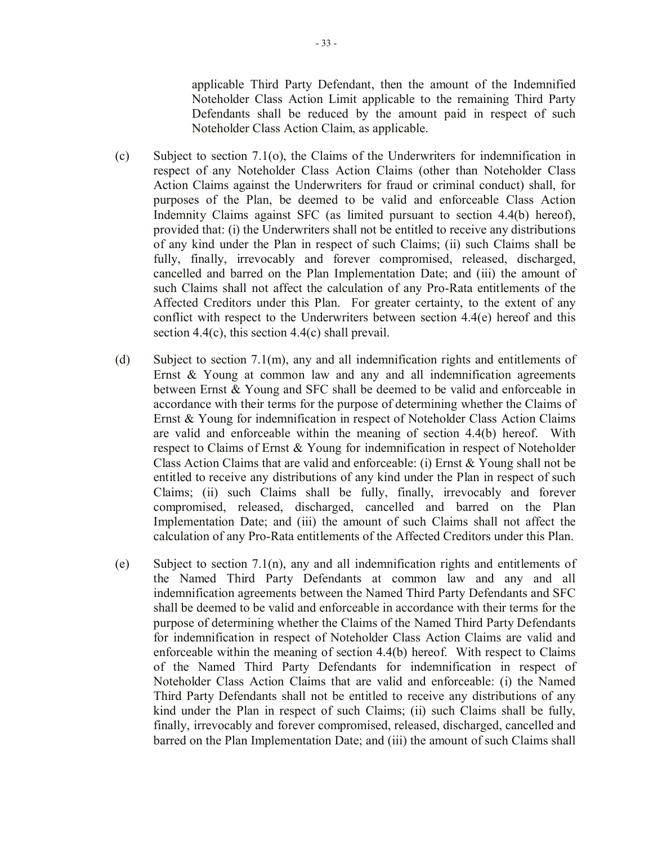applicable Third Party Defendant, then the amount of the Indemnified Noteholder Class Action Limit applicable to the remaining Third Party Defendants shall be reduced by the amount paid in respect of such Noteholder Class Action Claim, as applicable.

- (c) Subject to section 7.1(o), the Claims of the Underwriters for indemnification in respect of any Noteholder Class Action Claims (other than Noteholder Class Action Claims against the Underwriters for fraud or criminal conduct) shall, for purposes of the Plan, be deemed to be valid and enforceable Class Action Indemnity Claims against SFC (as limited pursuant to section 4.4(b) hereof), provided that: (i) the Underwriters shall not be entitled to receive any distributions of any kind under the Plan in respect of such Claims; (ii) such Claims shall be fully, finally, irrevocably and forever compromised, released, discharged, cancelled and barred on the Plan Implementation Date; and (iii) the amount of such Claims shall not affect the calculation of any Pro-Rata entitlements of the Affected Creditors under this Plan. For greater certainty, to the extent of any conflict with respect to the Underwriters between section 4.4(e) hereof and this section 4.4(c), this section 4.4(c) shall prevail.
- (d) Subject to section 7.1(m), any and all indemnification rights and entitlements of Ernst & Young at common law and any and all indemnification agreements between Ernst & Young and SFC shall be deemed to be valid and enforceable in accordance with their terms for the purpose of determining whether the Claims of Ernst & Young for indemnification in respect of Noteholder Class Action Claims are valid and enforceable within the meaning of section 4.4(b) hereof. With respect to Claims of Ernst & Young for indemnification in respect of Noteholder Class Action Claims that are valid and enforceable: (i) Ernst & Young shall not be entitled to receive any distributions of any kind under the Plan in respect of such Claims; (ii) such Claims shall be fully, finally, irrevocably and forever compromised, released, discharged, cancelled and barred on the Plan Implementation Date; and (iii) the amount of such Claims shall not affect the calculation of any Pro-Rata entitlements of the Affected Creditors under this Plan.
- (e) Subject to section 7.1(n), any and all indemnification rights and entitlements of the Named Third Party Defendants at common law and any and all indemnification agreements between the Named Third Party Defendants and SFC shall be deemed to be valid and enforceable in accordance with their terms for the purpose of determining whether the Claims of the Named Third Party Defendants for indemnification in respect of Noteholder Class Action Claims are valid and enforceable within the meaning of section 4.4(b) hereof. With respect to Claims of the Named Third Party Defendants for indemnification in respect of Noteholder Class Action Claims that are valid and enforceable: (i) the Named Third Party Defendants shall not be entitled to receive any distributions of any kind under the Plan in respect of such Claims; (ii) such Claims shall be fully, finally, irrevocably and forever compromised, released, discharged, cancelled and barred on the Plan Implementation Date; and (iii) the amount of such Claims shall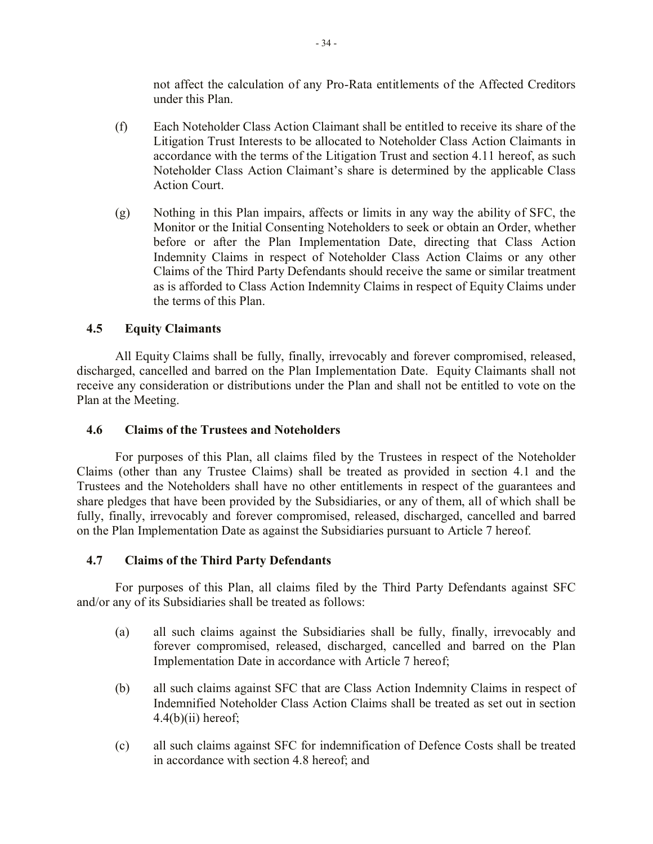not affect the calculation of any Pro-Rata entitlements of the Affected Creditors under this Plan.

- (f) Each Noteholder Class Action Claimant shall be entitled to receive its share of the Litigation Trust Interests to be allocated to Noteholder Class Action Claimants in accordance with the terms of the Litigation Trust and section 4.11 hereof, as such Noteholder Class Action Claimant's share is determined by the applicable Class Action Court.
- (g) Nothing in this Plan impairs, affects or limits in any way the ability of SFC, the Monitor or the Initial Consenting Noteholders to seek or obtain an Order, whether before or after the Plan Implementation Date, directing that Class Action Indemnity Claims in respect of Noteholder Class Action Claims or any other Claims of the Third Party Defendants should receive the same or similar treatment as is afforded to Class Action Indemnity Claims in respect of Equity Claims under the terms of this Plan.

# **4.5 Equity Claimants**

All Equity Claims shall be fully, finally, irrevocably and forever compromised, released, discharged, cancelled and barred on the Plan Implementation Date. Equity Claimants shall not receive any consideration or distributions under the Plan and shall not be entitled to vote on the Plan at the Meeting.

#### **4.6 Claims of the Trustees and Noteholders**

For purposes of this Plan, all claims filed by the Trustees in respect of the Noteholder Claims (other than any Trustee Claims) shall be treated as provided in section 4.1 and the Trustees and the Noteholders shall have no other entitlements in respect of the guarantees and share pledges that have been provided by the Subsidiaries, or any of them, all of which shall be fully, finally, irrevocably and forever compromised, released, discharged, cancelled and barred on the Plan Implementation Date as against the Subsidiaries pursuant to Article 7 hereof.

#### **4.7 Claims of the Third Party Defendants**

For purposes of this Plan, all claims filed by the Third Party Defendants against SFC and/or any of its Subsidiaries shall be treated as follows:

- (a) all such claims against the Subsidiaries shall be fully, finally, irrevocably and forever compromised, released, discharged, cancelled and barred on the Plan Implementation Date in accordance with Article 7 hereof;
- (b) all such claims against SFC that are Class Action Indemnity Claims in respect of Indemnified Noteholder Class Action Claims shall be treated as set out in section  $4.4(b)(ii)$  hereof;
- (c) all such claims against SFC for indemnification of Defence Costs shall be treated in accordance with section 4.8 hereof; and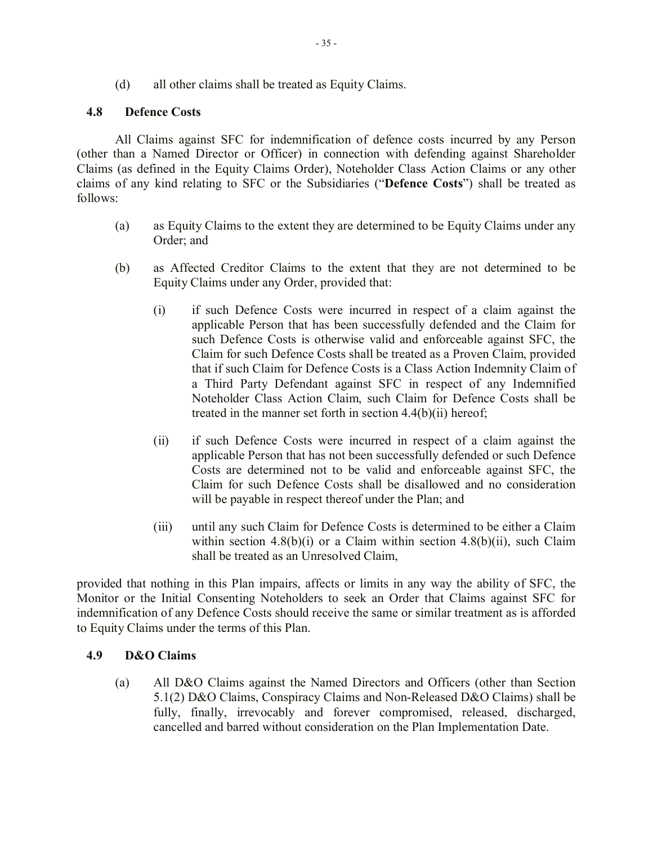(d) all other claims shall be treated as Equity Claims.

## **4.8 Defence Costs**

All Claims against SFC for indemnification of defence costs incurred by any Person (other than a Named Director or Officer) in connection with defending against Shareholder Claims (as defined in the Equity Claims Order), Noteholder Class Action Claims or any other claims of any kind relating to SFC or the Subsidiaries ("**Defence Costs**") shall be treated as follows:

- (a) as Equity Claims to the extent they are determined to be Equity Claims under any Order; and
- (b) as Affected Creditor Claims to the extent that they are not determined to be Equity Claims under any Order, provided that:
	- (i) if such Defence Costs were incurred in respect of a claim against the applicable Person that has been successfully defended and the Claim for such Defence Costs is otherwise valid and enforceable against SFC, the Claim for such Defence Costs shall be treated as a Proven Claim, provided that if such Claim for Defence Costs is a Class Action Indemnity Claim of a Third Party Defendant against SFC in respect of any Indemnified Noteholder Class Action Claim, such Claim for Defence Costs shall be treated in the manner set forth in section 4.4(b)(ii) hereof;
	- (ii) if such Defence Costs were incurred in respect of a claim against the applicable Person that has not been successfully defended or such Defence Costs are determined not to be valid and enforceable against SFC, the Claim for such Defence Costs shall be disallowed and no consideration will be payable in respect thereof under the Plan; and
	- (iii) until any such Claim for Defence Costs is determined to be either a Claim within section  $4.8(b)(i)$  or a Claim within section  $4.8(b)(ii)$ , such Claim shall be treated as an Unresolved Claim,

provided that nothing in this Plan impairs, affects or limits in any way the ability of SFC, the Monitor or the Initial Consenting Noteholders to seek an Order that Claims against SFC for indemnification of any Defence Costs should receive the same or similar treatment as is afforded to Equity Claims under the terms of this Plan.

# **4.9 D&O Claims**

(a) All D&O Claims against the Named Directors and Officers (other than Section 5.1(2) D&O Claims, Conspiracy Claims and Non-Released D&O Claims) shall be fully, finally, irrevocably and forever compromised, released, discharged, cancelled and barred without consideration on the Plan Implementation Date.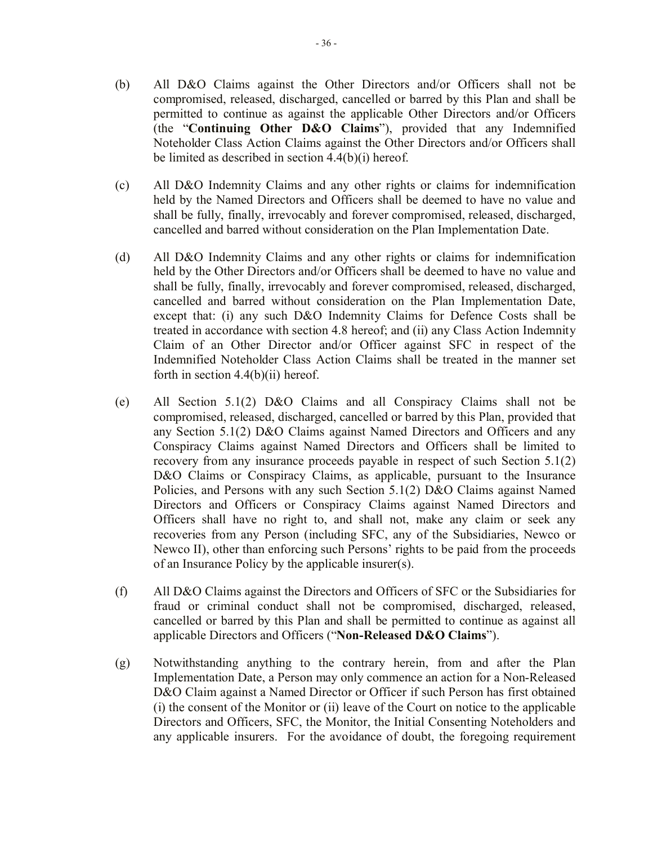- (b) All D&O Claims against the Other Directors and/or Officers shall not be compromised, released, discharged, cancelled or barred by this Plan and shall be permitted to continue as against the applicable Other Directors and/or Officers (the "**Continuing Other D&O Claims**"), provided that any Indemnified Noteholder Class Action Claims against the Other Directors and/or Officers shall be limited as described in section 4.4(b)(i) hereof.
- (c) All D&O Indemnity Claims and any other rights or claims for indemnification held by the Named Directors and Officers shall be deemed to have no value and shall be fully, finally, irrevocably and forever compromised, released, discharged, cancelled and barred without consideration on the Plan Implementation Date.
- (d) All D&O Indemnity Claims and any other rights or claims for indemnification held by the Other Directors and/or Officers shall be deemed to have no value and shall be fully, finally, irrevocably and forever compromised, released, discharged, cancelled and barred without consideration on the Plan Implementation Date, except that: (i) any such D&O Indemnity Claims for Defence Costs shall be treated in accordance with section 4.8 hereof; and (ii) any Class Action Indemnity Claim of an Other Director and/or Officer against SFC in respect of the Indemnified Noteholder Class Action Claims shall be treated in the manner set forth in section  $4.4(b)(ii)$  hereof.
- (e) All Section 5.1(2) D&O Claims and all Conspiracy Claims shall not be compromised, released, discharged, cancelled or barred by this Plan, provided that any Section 5.1(2) D&O Claims against Named Directors and Officers and any Conspiracy Claims against Named Directors and Officers shall be limited to recovery from any insurance proceeds payable in respect of such Section 5.1(2) D&O Claims or Conspiracy Claims, as applicable, pursuant to the Insurance Policies, and Persons with any such Section 5.1(2) D&O Claims against Named Directors and Officers or Conspiracy Claims against Named Directors and Officers shall have no right to, and shall not, make any claim or seek any recoveries from any Person (including SFC, any of the Subsidiaries, Newco or Newco II), other than enforcing such Persons' rights to be paid from the proceeds of an Insurance Policy by the applicable insurer(s).
- (f) All D&O Claims against the Directors and Officers of SFC or the Subsidiaries for fraud or criminal conduct shall not be compromised, discharged, released, cancelled or barred by this Plan and shall be permitted to continue as against all applicable Directors and Officers ("**Non-Released D&O Claims**").
- (g) Notwithstanding anything to the contrary herein, from and after the Plan Implementation Date, a Person may only commence an action for a Non-Released D&O Claim against a Named Director or Officer if such Person has first obtained (i) the consent of the Monitor or (ii) leave of the Court on notice to the applicable Directors and Officers, SFC, the Monitor, the Initial Consenting Noteholders and any applicable insurers. For the avoidance of doubt, the foregoing requirement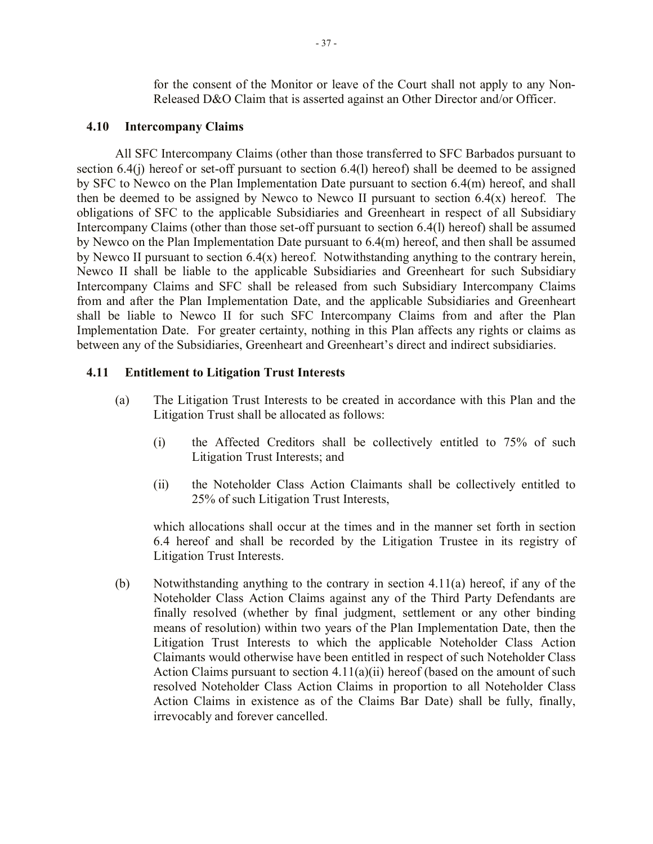for the consent of the Monitor or leave of the Court shall not apply to any Non-Released D&O Claim that is asserted against an Other Director and/or Officer.

#### **4.10 Intercompany Claims**

All SFC Intercompany Claims (other than those transferred to SFC Barbados pursuant to section 6.4(j) hereof or set-off pursuant to section 6.4(l) hereof) shall be deemed to be assigned by SFC to Newco on the Plan Implementation Date pursuant to section 6.4(m) hereof, and shall then be deemed to be assigned by Newco to Newco II pursuant to section  $6.4(x)$  hereof. The obligations of SFC to the applicable Subsidiaries and Greenheart in respect of all Subsidiary Intercompany Claims (other than those set-off pursuant to section 6.4(l) hereof) shall be assumed by Newco on the Plan Implementation Date pursuant to 6.4(m) hereof, and then shall be assumed by Newco II pursuant to section  $6.4(x)$  hereof. Notwithstanding anything to the contrary herein, Newco II shall be liable to the applicable Subsidiaries and Greenheart for such Subsidiary Intercompany Claims and SFC shall be released from such Subsidiary Intercompany Claims from and after the Plan Implementation Date, and the applicable Subsidiaries and Greenheart shall be liable to Newco II for such SFC Intercompany Claims from and after the Plan Implementation Date.For greater certainty, nothing in this Plan affects any rights or claims as between any of the Subsidiaries, Greenheart and Greenheart's direct and indirect subsidiaries.

## **4.11 Entitlement to Litigation Trust Interests**

- (a) The Litigation Trust Interests to be created in accordance with this Plan and the Litigation Trust shall be allocated as follows:
	- (i) the Affected Creditors shall be collectively entitled to 75% of such Litigation Trust Interests; and
	- (ii) the Noteholder Class Action Claimants shall be collectively entitled to 25% of such Litigation Trust Interests,

which allocations shall occur at the times and in the manner set forth in section 6.4 hereof and shall be recorded by the Litigation Trustee in its registry of Litigation Trust Interests.

(b) Notwithstanding anything to the contrary in section 4.11(a) hereof, if any of the Noteholder Class Action Claims against any of the Third Party Defendants are finally resolved (whether by final judgment, settlement or any other binding means of resolution) within two years of the Plan Implementation Date, then the Litigation Trust Interests to which the applicable Noteholder Class Action Claimants would otherwise have been entitled in respect of such Noteholder Class Action Claims pursuant to section  $4.11(a)(ii)$  hereof (based on the amount of such resolved Noteholder Class Action Claims in proportion to all Noteholder Class Action Claims in existence as of the Claims Bar Date) shall be fully, finally, irrevocably and forever cancelled.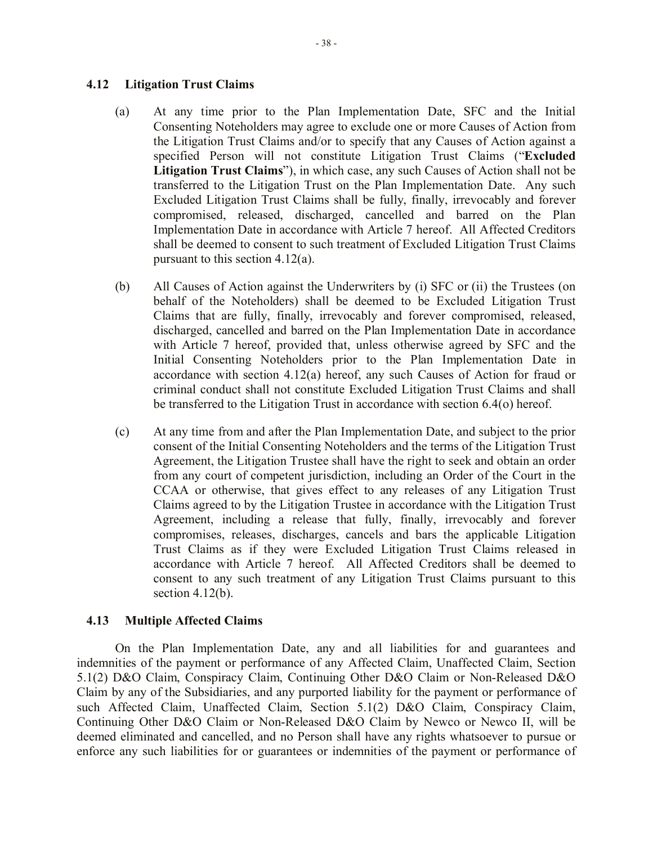### **4.12 Litigation Trust Claims**

- (a) At any time prior to the Plan Implementation Date, SFC and the Initial Consenting Noteholders may agree to exclude one or more Causes of Action from the Litigation Trust Claims and/or to specify that any Causes of Action against a specified Person will not constitute Litigation Trust Claims ("**Excluded Litigation Trust Claims**"), in which case, any such Causes of Action shall not be transferred to the Litigation Trust on the Plan Implementation Date. Any such Excluded Litigation Trust Claims shall be fully, finally, irrevocably and forever compromised, released, discharged, cancelled and barred on the Plan Implementation Date in accordance with Article 7 hereof. All Affected Creditors shall be deemed to consent to such treatment of Excluded Litigation Trust Claims pursuant to this section 4.12(a).
- (b) All Causes of Action against the Underwriters by (i) SFC or (ii) the Trustees (on behalf of the Noteholders) shall be deemed to be Excluded Litigation Trust Claims that are fully, finally, irrevocably and forever compromised, released, discharged, cancelled and barred on the Plan Implementation Date in accordance with Article 7 hereof, provided that, unless otherwise agreed by SFC and the Initial Consenting Noteholders prior to the Plan Implementation Date in accordance with section 4.12(a) hereof, any such Causes of Action for fraud or criminal conduct shall not constitute Excluded Litigation Trust Claims and shall be transferred to the Litigation Trust in accordance with section 6.4(o) hereof.
- (c) At any time from and after the Plan Implementation Date, and subject to the prior consent of the Initial Consenting Noteholders and the terms of the Litigation Trust Agreement, the Litigation Trustee shall have the right to seek and obtain an order from any court of competent jurisdiction, including an Order of the Court in the CCAA or otherwise, that gives effect to any releases of any Litigation Trust Claims agreed to by the Litigation Trustee in accordance with the Litigation Trust Agreement, including a release that fully, finally, irrevocably and forever compromises, releases, discharges, cancels and bars the applicable Litigation Trust Claims as if they were Excluded Litigation Trust Claims released in accordance with Article 7 hereof. All Affected Creditors shall be deemed to consent to any such treatment of any Litigation Trust Claims pursuant to this section  $4.12(b)$ .

## **4.13 Multiple Affected Claims**

On the Plan Implementation Date, any and all liabilities for and guarantees and indemnities of the payment or performance of any Affected Claim, Unaffected Claim, Section 5.1(2) D&O Claim, Conspiracy Claim, Continuing Other D&O Claim or Non-Released D&O Claim by any of the Subsidiaries, and any purported liability for the payment or performance of such Affected Claim, Unaffected Claim, Section 5.1(2) D&O Claim, Conspiracy Claim, Continuing Other D&O Claim or Non-Released D&O Claim by Newco or Newco II, will be deemed eliminated and cancelled, and no Person shall have any rights whatsoever to pursue or enforce any such liabilities for or guarantees or indemnities of the payment or performance of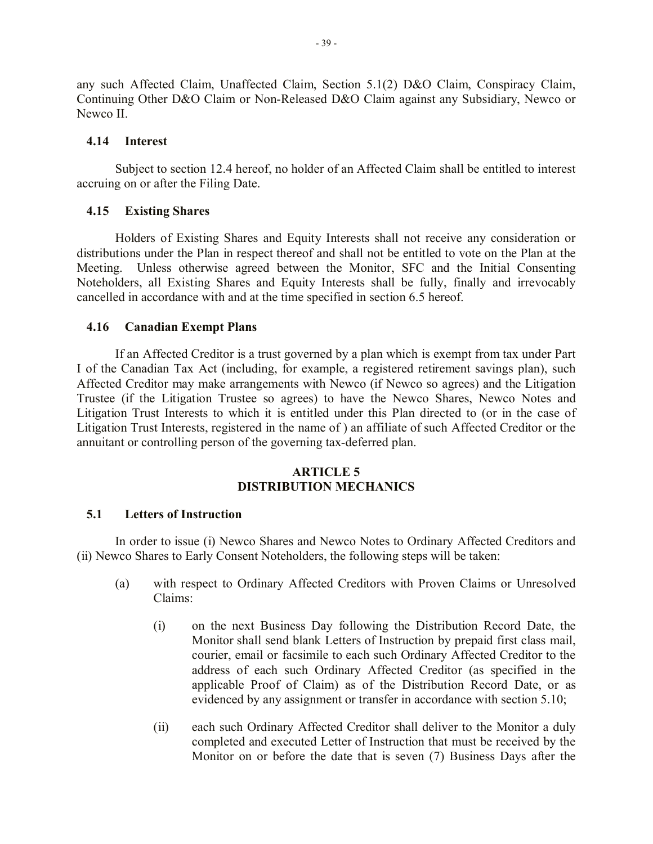any such Affected Claim, Unaffected Claim, Section 5.1(2) D&O Claim, Conspiracy Claim, Continuing Other D&O Claim or Non-Released D&O Claim against any Subsidiary, Newco or Newco II.

## **4.14 Interest**

Subject to section 12.4 hereof, no holder of an Affected Claim shall be entitled to interest accruing on or after the Filing Date.

## **4.15 Existing Shares**

Holders of Existing Shares and Equity Interests shall not receive any consideration or distributions under the Plan in respect thereof and shall not be entitled to vote on the Plan at the Meeting. Unless otherwise agreed between the Monitor, SFC and the Initial Consenting Noteholders, all Existing Shares and Equity Interests shall be fully, finally and irrevocably cancelled in accordance with and at the time specified in section 6.5 hereof.

### **4.16 Canadian Exempt Plans**

If an Affected Creditor is a trust governed by a plan which is exempt from tax under Part I of the Canadian Tax Act (including, for example, a registered retirement savings plan), such Affected Creditor may make arrangements with Newco (if Newco so agrees) and the Litigation Trustee (if the Litigation Trustee so agrees) to have the Newco Shares, Newco Notes and Litigation Trust Interests to which it is entitled under this Plan directed to (or in the case of Litigation Trust Interests, registered in the name of ) an affiliate of such Affected Creditor or the annuitant or controlling person of the governing tax-deferred plan.

### **ARTICLE 5 DISTRIBUTION MECHANICS**

## **5.1 Letters of Instruction**

In order to issue (i) Newco Shares and Newco Notes to Ordinary Affected Creditors and (ii) Newco Shares to Early Consent Noteholders, the following steps will be taken:

- (a) with respect to Ordinary Affected Creditors with Proven Claims or Unresolved Claims:
	- (i) on the next Business Day following the Distribution Record Date, the Monitor shall send blank Letters of Instruction by prepaid first class mail, courier, email or facsimile to each such Ordinary Affected Creditor to the address of each such Ordinary Affected Creditor (as specified in the applicable Proof of Claim) as of the Distribution Record Date, or as evidenced by any assignment or transfer in accordance with section 5.10;
	- (ii) each such Ordinary Affected Creditor shall deliver to the Monitor a duly completed and executed Letter of Instruction that must be received by the Monitor on or before the date that is seven (7) Business Days after the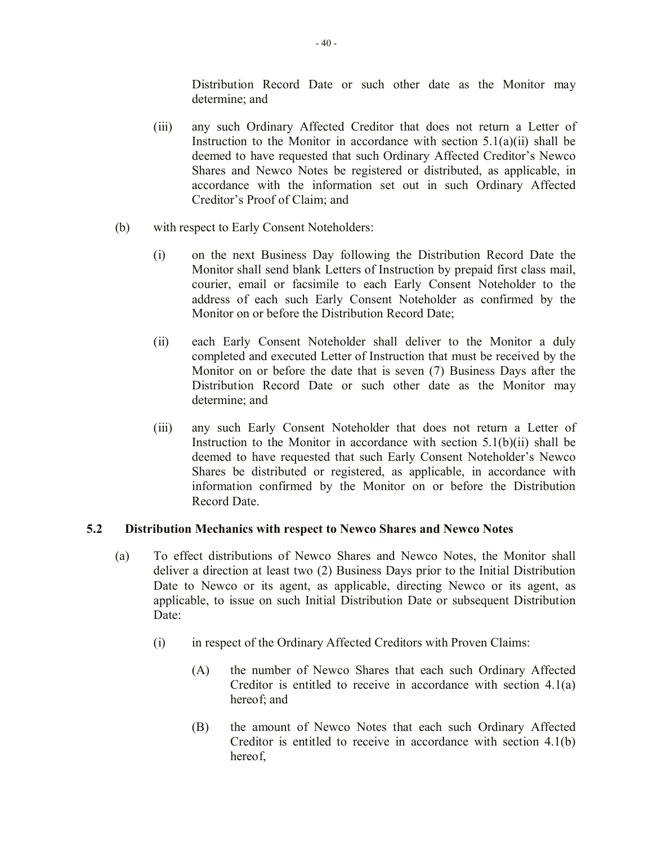Distribution Record Date or such other date as the Monitor may determine; and

- (iii) any such Ordinary Affected Creditor that does not return a Letter of Instruction to the Monitor in accordance with section  $5.1(a)(ii)$  shall be deemed to have requested that such Ordinary Affected Creditor's Newco Shares and Newco Notes be registered or distributed, as applicable, in accordance with the information set out in such Ordinary Affected Creditor's Proof of Claim; and
- (b) with respect to Early Consent Noteholders:
	- (i) on the next Business Day following the Distribution Record Date the Monitor shall send blank Letters of Instruction by prepaid first class mail, courier, email or facsimile to each Early Consent Noteholder to the address of each such Early Consent Noteholder as confirmed by the Monitor on or before the Distribution Record Date;
	- (ii) each Early Consent Noteholder shall deliver to the Monitor a duly completed and executed Letter of Instruction that must be received by the Monitor on or before the date that is seven (7) Business Days after the Distribution Record Date or such other date as the Monitor may determine; and
	- (iii) any such Early Consent Noteholder that does not return a Letter of Instruction to the Monitor in accordance with section  $5.1(b)(ii)$  shall be deemed to have requested that such Early Consent Noteholder's Newco Shares be distributed or registered, as applicable, in accordance with information confirmed by the Monitor on or before the Distribution Record Date.

# **5.2 Distribution Mechanics with respect to Newco Shares and Newco Notes**

- (a) To effect distributions of Newco Shares and Newco Notes, the Monitor shall deliver a direction at least two (2) Business Days prior to the Initial Distribution Date to Newco or its agent, as applicable, directing Newco or its agent, as applicable, to issue on such Initial Distribution Date or subsequent Distribution Date:
	- (i) in respect of the Ordinary Affected Creditors with Proven Claims:
		- (A) the number of Newco Shares that each such Ordinary Affected Creditor is entitled to receive in accordance with section 4.1(a) hereof; and
		- (B) the amount of Newco Notes that each such Ordinary Affected Creditor is entitled to receive in accordance with section 4.1(b) hereof,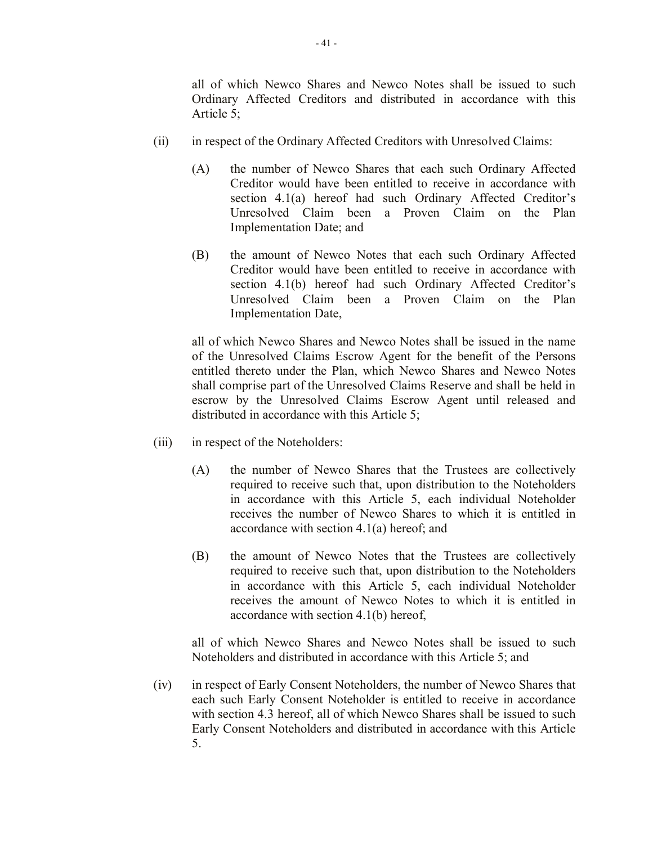all of which Newco Shares and Newco Notes shall be issued to such Ordinary Affected Creditors and distributed in accordance with this Article 5;

- (ii) in respect of the Ordinary Affected Creditors with Unresolved Claims:
	- (A) the number of Newco Shares that each such Ordinary Affected Creditor would have been entitled to receive in accordance with section 4.1(a) hereof had such Ordinary Affected Creditor's Unresolved Claim been a Proven Claim on the Plan Implementation Date; and
	- (B) the amount of Newco Notes that each such Ordinary Affected Creditor would have been entitled to receive in accordance with section 4.1(b) hereof had such Ordinary Affected Creditor's Unresolved Claim been a Proven Claim on the Plan Implementation Date,

all of which Newco Shares and Newco Notes shall be issued in the name of the Unresolved Claims Escrow Agent for the benefit of the Persons entitled thereto under the Plan, which Newco Shares and Newco Notes shall comprise part of the Unresolved Claims Reserve and shall be held in escrow by the Unresolved Claims Escrow Agent until released and distributed in accordance with this Article 5;

- (iii) in respect of the Noteholders:
	- (A) the number of Newco Shares that the Trustees are collectively required to receive such that, upon distribution to the Noteholders in accordance with this Article 5, each individual Noteholder receives the number of Newco Shares to which it is entitled in accordance with section 4.1(a) hereof; and
	- (B) the amount of Newco Notes that the Trustees are collectively required to receive such that, upon distribution to the Noteholders in accordance with this Article 5, each individual Noteholder receives the amount of Newco Notes to which it is entitled in accordance with section 4.1(b) hereof,

all of which Newco Shares and Newco Notes shall be issued to such Noteholders and distributed in accordance with this Article 5; and

(iv) in respect of Early Consent Noteholders, the number of Newco Shares that each such Early Consent Noteholder is entitled to receive in accordance with section 4.3 hereof, all of which Newco Shares shall be issued to such Early Consent Noteholders and distributed in accordance with this Article 5.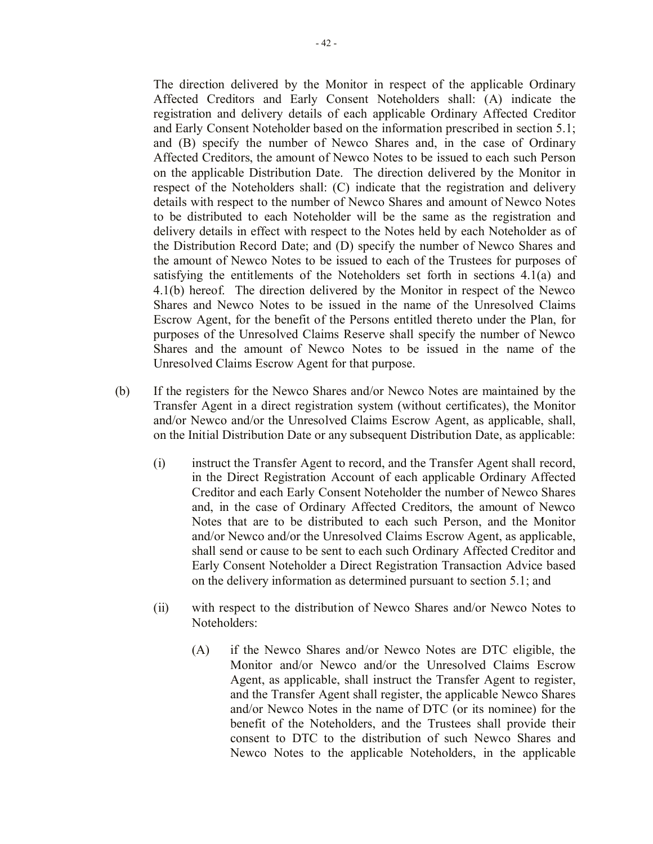The direction delivered by the Monitor in respect of the applicable Ordinary Affected Creditors and Early Consent Noteholders shall: (A) indicate the registration and delivery details of each applicable Ordinary Affected Creditor and Early Consent Noteholder based on the information prescribed in section 5.1; and (B) specify the number of Newco Shares and, in the case of Ordinary Affected Creditors, the amount of Newco Notes to be issued to each such Person on the applicable Distribution Date. The direction delivered by the Monitor in respect of the Noteholders shall: (C) indicate that the registration and delivery details with respect to the number of Newco Shares and amount of Newco Notes to be distributed to each Noteholder will be the same as the registration and delivery details in effect with respect to the Notes held by each Noteholder as of the Distribution Record Date; and (D) specify the number of Newco Shares and the amount of Newco Notes to be issued to each of the Trustees for purposes of satisfying the entitlements of the Noteholders set forth in sections 4.1(a) and 4.1(b) hereof. The direction delivered by the Monitor in respect of the Newco Shares and Newco Notes to be issued in the name of the Unresolved Claims Escrow Agent, for the benefit of the Persons entitled thereto under the Plan, for purposes of the Unresolved Claims Reserve shall specify the number of Newco Shares and the amount of Newco Notes to be issued in the name of the Unresolved Claims Escrow Agent for that purpose.

- (b) If the registers for the Newco Shares and/or Newco Notes are maintained by the Transfer Agent in a direct registration system (without certificates), the Monitor and/or Newco and/or the Unresolved Claims Escrow Agent, as applicable, shall, on the Initial Distribution Date or any subsequent Distribution Date, as applicable:
	- (i) instruct the Transfer Agent to record, and the Transfer Agent shall record, in the Direct Registration Account of each applicable Ordinary Affected Creditor and each Early Consent Noteholder the number of Newco Shares and, in the case of Ordinary Affected Creditors, the amount of Newco Notes that are to be distributed to each such Person, and the Monitor and/or Newco and/or the Unresolved Claims Escrow Agent, as applicable, shall send or cause to be sent to each such Ordinary Affected Creditor and Early Consent Noteholder a Direct Registration Transaction Advice based on the delivery information as determined pursuant to section 5.1; and
	- (ii) with respect to the distribution of Newco Shares and/or Newco Notes to Noteholders:
		- (A) if the Newco Shares and/or Newco Notes are DTC eligible, the Monitor and/or Newco and/or the Unresolved Claims Escrow Agent, as applicable, shall instruct the Transfer Agent to register, and the Transfer Agent shall register, the applicable Newco Shares and/or Newco Notes in the name of DTC (or its nominee) for the benefit of the Noteholders, and the Trustees shall provide their consent to DTC to the distribution of such Newco Shares and Newco Notes to the applicable Noteholders, in the applicable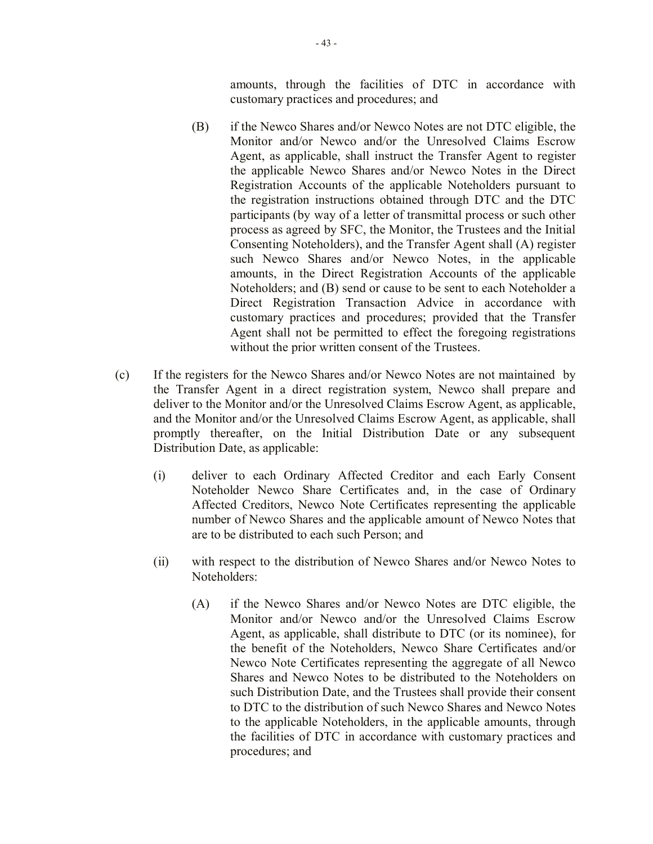amounts, through the facilities of DTC in accordance with customary practices and procedures; and

- (B) if the Newco Shares and/or Newco Notes are not DTC eligible, the Monitor and/or Newco and/or the Unresolved Claims Escrow Agent, as applicable, shall instruct the Transfer Agent to register the applicable Newco Shares and/or Newco Notes in the Direct Registration Accounts of the applicable Noteholders pursuant to the registration instructions obtained through DTC and the DTC participants (by way of a letter of transmittal process or such other process as agreed by SFC, the Monitor, the Trustees and the Initial Consenting Noteholders), and the Transfer Agent shall (A) register such Newco Shares and/or Newco Notes, in the applicable amounts, in the Direct Registration Accounts of the applicable Noteholders; and (B) send or cause to be sent to each Noteholder a Direct Registration Transaction Advice in accordance with customary practices and procedures; provided that the Transfer Agent shall not be permitted to effect the foregoing registrations without the prior written consent of the Trustees.
- (c) If the registers for the Newco Shares and/or Newco Notes are not maintained by the Transfer Agent in a direct registration system, Newco shall prepare and deliver to the Monitor and/or the Unresolved Claims Escrow Agent, as applicable, and the Monitor and/or the Unresolved Claims Escrow Agent, as applicable, shall promptly thereafter, on the Initial Distribution Date or any subsequent Distribution Date, as applicable:
	- (i) deliver to each Ordinary Affected Creditor and each Early Consent Noteholder Newco Share Certificates and, in the case of Ordinary Affected Creditors, Newco Note Certificates representing the applicable number of Newco Shares and the applicable amount of Newco Notes that are to be distributed to each such Person; and
	- (ii) with respect to the distribution of Newco Shares and/or Newco Notes to Noteholders:
		- (A) if the Newco Shares and/or Newco Notes are DTC eligible, the Monitor and/or Newco and/or the Unresolved Claims Escrow Agent, as applicable, shall distribute to DTC (or its nominee), for the benefit of the Noteholders, Newco Share Certificates and/or Newco Note Certificates representing the aggregate of all Newco Shares and Newco Notes to be distributed to the Noteholders on such Distribution Date, and the Trustees shall provide their consent to DTC to the distribution of such Newco Shares and Newco Notes to the applicable Noteholders, in the applicable amounts, through the facilities of DTC in accordance with customary practices and procedures; and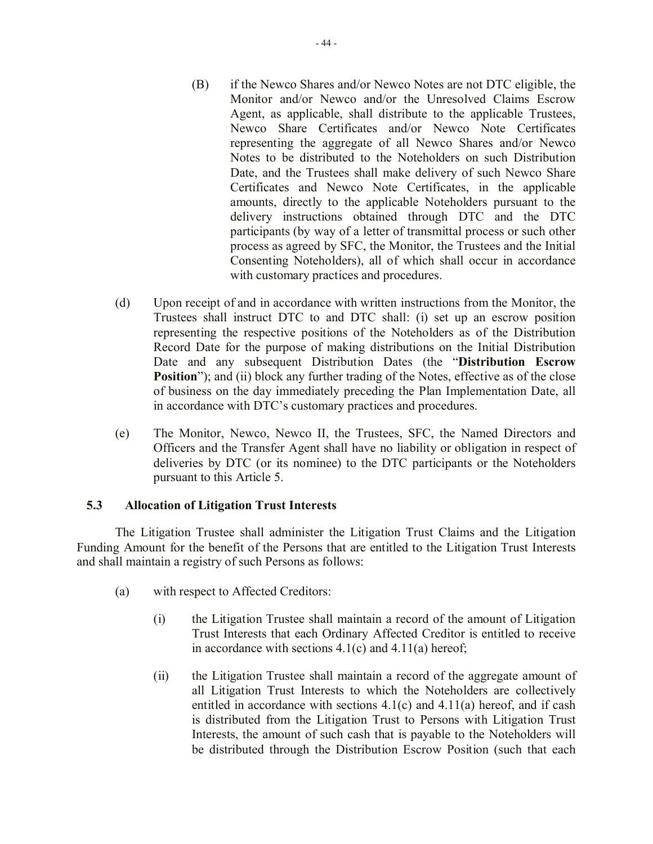- (B) if the Newco Shares and/or Newco Notes are not DTC eligible, the Monitor and/or Newco and/or the Unresolved Claims Escrow Agent, as applicable, shall distribute to the applicable Trustees, Newco Share Certificates and/or Newco Note Certificates representing the aggregate of all Newco Shares and/or Newco Notes to be distributed to the Noteholders on such Distribution Date, and the Trustees shall make delivery of such Newco Share Certificates and Newco Note Certificates, in the applicable amounts, directly to the applicable Noteholders pursuant to the delivery instructions obtained through DTC and the DTC participants (by way of a letter of transmittal process or such other process as agreed by SFC, the Monitor, the Trustees and the Initial Consenting Noteholders), all of which shall occur in accordance with customary practices and procedures.
- (d) Upon receipt of and in accordance with written instructions from the Monitor, the Trustees shall instruct DTC to and DTC shall: (i) set up an escrow position representing the respective positions of the Noteholders as of the Distribution Record Date for the purpose of making distributions on the Initial Distribution Date and any subsequent Distribution Dates (the "**Distribution Escrow Position**"); and (ii) block any further trading of the Notes, effective as of the close of business on the day immediately preceding the Plan Implementation Date, all in accordance with DTC's customary practices and procedures.
- (e) The Monitor, Newco, Newco II, the Trustees, SFC, the Named Directors and Officers and the Transfer Agent shall have no liability or obligation in respect of deliveries by DTC (or its nominee) to the DTC participants or the Noteholders pursuant to this Article 5.

## **5.3 Allocation of Litigation Trust Interests**

The Litigation Trustee shall administer the Litigation Trust Claims and the Litigation Funding Amount for the benefit of the Persons that are entitled to the Litigation Trust Interests and shall maintain a registry of such Persons as follows:

- (a) with respect to Affected Creditors:
	- (i) the Litigation Trustee shall maintain a record of the amount of Litigation Trust Interests that each Ordinary Affected Creditor is entitled to receive in accordance with sections  $4.1(c)$  and  $4.11(a)$  hereof;
	- (ii) the Litigation Trustee shall maintain a record of the aggregate amount of all Litigation Trust Interests to which the Noteholders are collectively entitled in accordance with sections 4.1(c) and 4.11(a) hereof, and if cash is distributed from the Litigation Trust to Persons with Litigation Trust Interests, the amount of such cash that is payable to the Noteholders will be distributed through the Distribution Escrow Position (such that each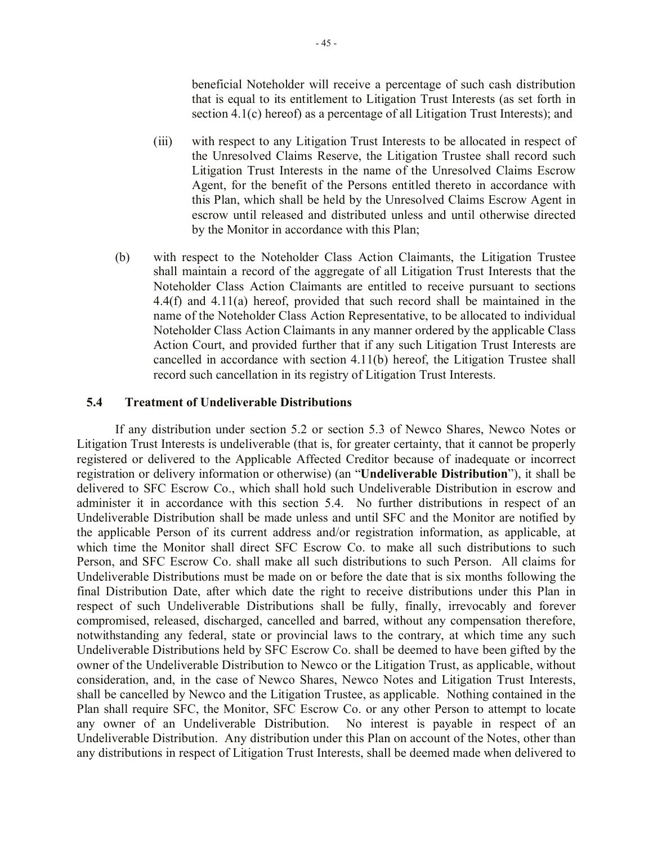beneficial Noteholder will receive a percentage of such cash distribution that is equal to its entitlement to Litigation Trust Interests (as set forth in section 4.1(c) hereof) as a percentage of all Litigation Trust Interests); and

- (iii) with respect to any Litigation Trust Interests to be allocated in respect of the Unresolved Claims Reserve, the Litigation Trustee shall record such Litigation Trust Interests in the name of the Unresolved Claims Escrow Agent, for the benefit of the Persons entitled thereto in accordance with this Plan, which shall be held by the Unresolved Claims Escrow Agent in escrow until released and distributed unless and until otherwise directed by the Monitor in accordance with this Plan;
- (b) with respect to the Noteholder Class Action Claimants, the Litigation Trustee shall maintain a record of the aggregate of all Litigation Trust Interests that the Noteholder Class Action Claimants are entitled to receive pursuant to sections 4.4(f) and 4.11(a) hereof, provided that such record shall be maintained in the name of the Noteholder Class Action Representative, to be allocated to individual Noteholder Class Action Claimants in any manner ordered by the applicable Class Action Court, and provided further that if any such Litigation Trust Interests are cancelled in accordance with section 4.11(b) hereof, the Litigation Trustee shall record such cancellation in its registry of Litigation Trust Interests.

### **5.4 Treatment of Undeliverable Distributions**

If any distribution under section 5.2 or section 5.3 of Newco Shares, Newco Notes or Litigation Trust Interests is undeliverable (that is, for greater certainty, that it cannot be properly registered or delivered to the Applicable Affected Creditor because of inadequate or incorrect registration or delivery information or otherwise) (an "**Undeliverable Distribution**"), it shall be delivered to SFC Escrow Co., which shall hold such Undeliverable Distribution in escrow and administer it in accordance with this section 5.4. No further distributions in respect of an Undeliverable Distribution shall be made unless and until SFC and the Monitor are notified by the applicable Person of its current address and/or registration information, as applicable, at which time the Monitor shall direct SFC Escrow Co. to make all such distributions to such Person, and SFC Escrow Co. shall make all such distributions to such Person. All claims for Undeliverable Distributions must be made on or before the date that is six months following the final Distribution Date, after which date the right to receive distributions under this Plan in respect of such Undeliverable Distributions shall be fully, finally, irrevocably and forever compromised, released, discharged, cancelled and barred, without any compensation therefore, notwithstanding any federal, state or provincial laws to the contrary, at which time any such Undeliverable Distributions held by SFC Escrow Co. shall be deemed to have been gifted by the owner of the Undeliverable Distribution to Newco or the Litigation Trust, as applicable, without consideration, and, in the case of Newco Shares, Newco Notes and Litigation Trust Interests, shall be cancelled by Newco and the Litigation Trustee, as applicable. Nothing contained in the Plan shall require SFC, the Monitor, SFC Escrow Co. or any other Person to attempt to locate any owner of an Undeliverable Distribution. No interest is payable in respect of an Undeliverable Distribution. Any distribution under this Plan on account of the Notes, other than any distributions in respect of Litigation Trust Interests, shall be deemed made when delivered to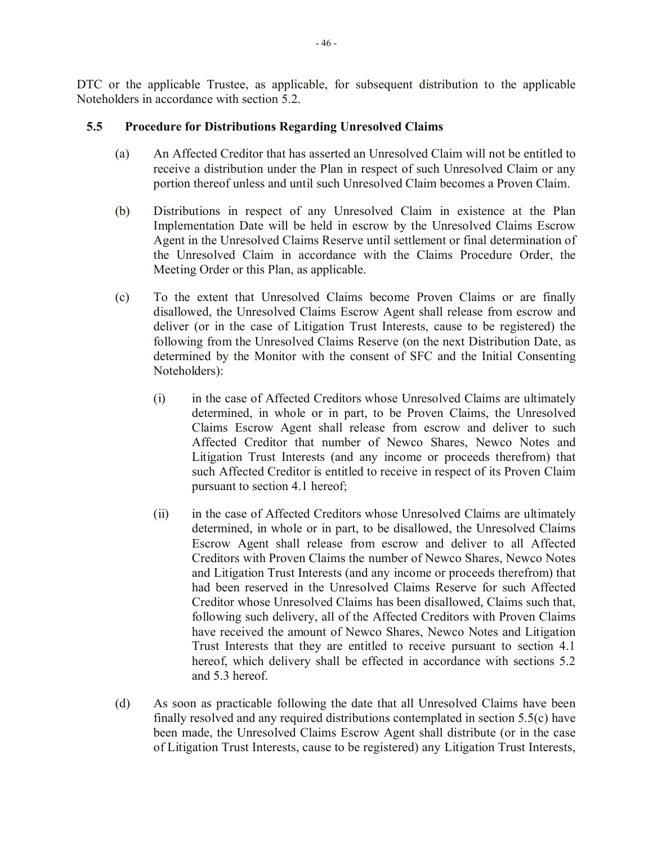DTC or the applicable Trustee, as applicable, for subsequent distribution to the applicable Noteholders in accordance with section 5.2.

# **5.5 Procedure for Distributions Regarding Unresolved Claims**

- (a) An Affected Creditor that has asserted an Unresolved Claim will not be entitled to receive a distribution under the Plan in respect of such Unresolved Claim or any portion thereof unless and until such Unresolved Claim becomes a Proven Claim.
- (b) Distributions in respect of any Unresolved Claim in existence at the Plan Implementation Date will be held in escrow by the Unresolved Claims Escrow Agent in the Unresolved Claims Reserve until settlement or final determination of the Unresolved Claim in accordance with the Claims Procedure Order, the Meeting Order or this Plan, as applicable.
- (c) To the extent that Unresolved Claims become Proven Claims or are finally disallowed, the Unresolved Claims Escrow Agent shall release from escrow and deliver (or in the case of Litigation Trust Interests, cause to be registered) the following from the Unresolved Claims Reserve (on the next Distribution Date, as determined by the Monitor with the consent of SFC and the Initial Consenting Noteholders):
	- (i) in the case of Affected Creditors whose Unresolved Claims are ultimately determined, in whole or in part, to be Proven Claims, the Unresolved Claims Escrow Agent shall release from escrow and deliver to such Affected Creditor that number of Newco Shares, Newco Notes and Litigation Trust Interests (and any income or proceeds therefrom) that such Affected Creditor is entitled to receive in respect of its Proven Claim pursuant to section 4.1 hereof;
	- (ii) in the case of Affected Creditors whose Unresolved Claims are ultimately determined, in whole or in part, to be disallowed, the Unresolved Claims Escrow Agent shall release from escrow and deliver to all Affected Creditors with Proven Claims the number of Newco Shares, Newco Notes and Litigation Trust Interests (and any income or proceeds therefrom) that had been reserved in the Unresolved Claims Reserve for such Affected Creditor whose Unresolved Claims has been disallowed, Claims such that, following such delivery, all of the Affected Creditors with Proven Claims have received the amount of Newco Shares, Newco Notes and Litigation Trust Interests that they are entitled to receive pursuant to section 4.1 hereof, which delivery shall be effected in accordance with sections 5.2 and 5.3 hereof.
- (d) As soon as practicable following the date that all Unresolved Claims have been finally resolved and any required distributions contemplated in section 5.5(c) have been made, the Unresolved Claims Escrow Agent shall distribute (or in the case of Litigation Trust Interests, cause to be registered) any Litigation Trust Interests,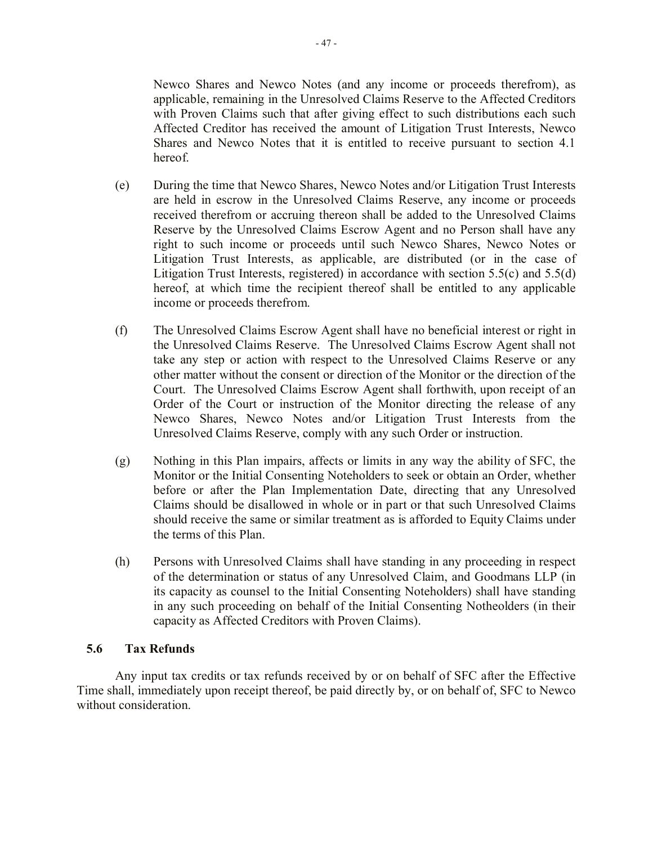Newco Shares and Newco Notes (and any income or proceeds therefrom), as applicable, remaining in the Unresolved Claims Reserve to the Affected Creditors with Proven Claims such that after giving effect to such distributions each such Affected Creditor has received the amount of Litigation Trust Interests, Newco Shares and Newco Notes that it is entitled to receive pursuant to section 4.1 hereof.

- (e) During the time that Newco Shares, Newco Notes and/or Litigation Trust Interests are held in escrow in the Unresolved Claims Reserve, any income or proceeds received therefrom or accruing thereon shall be added to the Unresolved Claims Reserve by the Unresolved Claims Escrow Agent and no Person shall have any right to such income or proceeds until such Newco Shares, Newco Notes or Litigation Trust Interests, as applicable, are distributed (or in the case of Litigation Trust Interests, registered) in accordance with section  $5.5(c)$  and  $5.5(d)$ hereof, at which time the recipient thereof shall be entitled to any applicable income or proceeds therefrom.
- (f) The Unresolved Claims Escrow Agent shall have no beneficial interest or right in the Unresolved Claims Reserve. The Unresolved Claims Escrow Agent shall not take any step or action with respect to the Unresolved Claims Reserve or any other matter without the consent or direction of the Monitor or the direction of the Court. The Unresolved Claims Escrow Agent shall forthwith, upon receipt of an Order of the Court or instruction of the Monitor directing the release of any Newco Shares, Newco Notes and/or Litigation Trust Interests from the Unresolved Claims Reserve, comply with any such Order or instruction.
- (g) Nothing in this Plan impairs, affects or limits in any way the ability of SFC, the Monitor or the Initial Consenting Noteholders to seek or obtain an Order, whether before or after the Plan Implementation Date, directing that any Unresolved Claims should be disallowed in whole or in part or that such Unresolved Claims should receive the same or similar treatment as is afforded to Equity Claims under the terms of this Plan.
- (h) Persons with Unresolved Claims shall have standing in any proceeding in respect of the determination or status of any Unresolved Claim, and Goodmans LLP (in its capacity as counsel to the Initial Consenting Noteholders) shall have standing in any such proceeding on behalf of the Initial Consenting Notheolders (in their capacity as Affected Creditors with Proven Claims).

#### **5.6 Tax Refunds**

Any input tax credits or tax refunds received by or on behalf of SFC after the Effective Time shall, immediately upon receipt thereof, be paid directly by, or on behalf of, SFC to Newco without consideration.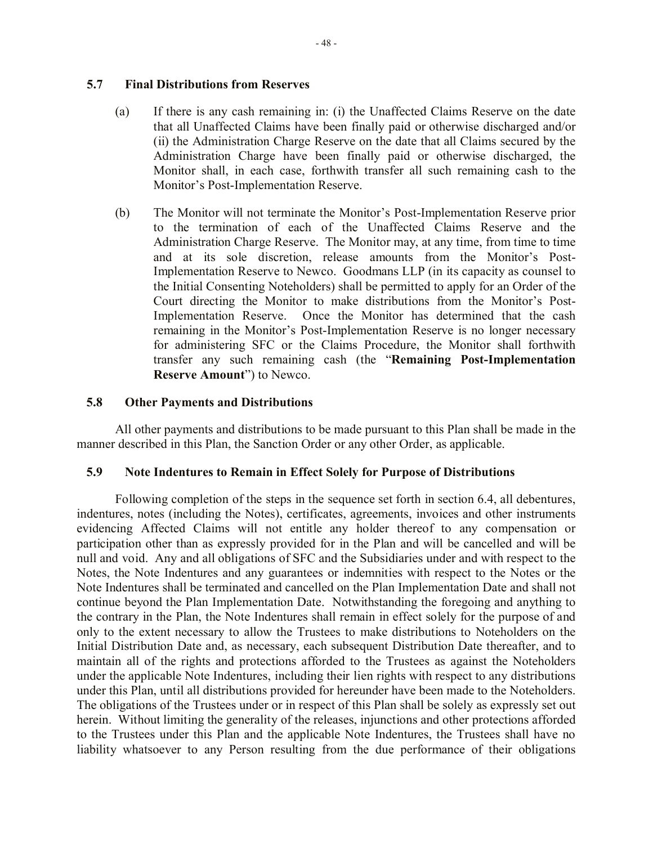# **5.7 Final Distributions from Reserves**

- (a) If there is any cash remaining in: (i) the Unaffected Claims Reserve on the date that all Unaffected Claims have been finally paid or otherwise discharged and/or (ii) the Administration Charge Reserve on the date that all Claims secured by the Administration Charge have been finally paid or otherwise discharged, the Monitor shall, in each case, forthwith transfer all such remaining cash to the Monitor's Post-Implementation Reserve.
- (b) The Monitor will not terminate the Monitor's Post-Implementation Reserve prior to the termination of each of the Unaffected Claims Reserve and the Administration Charge Reserve. The Monitor may, at any time, from time to time and at its sole discretion, release amounts from the Monitor's Post-Implementation Reserve to Newco. Goodmans LLP (in its capacity as counsel to the Initial Consenting Noteholders) shall be permitted to apply for an Order of the Court directing the Monitor to make distributions from the Monitor's Post-Implementation Reserve. Once the Monitor has determined that the cash remaining in the Monitor's Post-Implementation Reserve is no longer necessary for administering SFC or the Claims Procedure, the Monitor shall forthwith transfer any such remaining cash (the "**Remaining Post-Implementation Reserve Amount**") to Newco.

### **5.8 Other Payments and Distributions**

All other payments and distributions to be made pursuant to this Plan shall be made in the manner described in this Plan, the Sanction Order or any other Order, as applicable.

#### **5.9 Note Indentures to Remain in Effect Solely for Purpose of Distributions**

Following completion of the steps in the sequence set forth in section 6.4, all debentures, indentures, notes (including the Notes), certificates, agreements, invoices and other instruments evidencing Affected Claims will not entitle any holder thereof to any compensation or participation other than as expressly provided for in the Plan and will be cancelled and will be null and void. Any and all obligations of SFC and the Subsidiaries under and with respect to the Notes, the Note Indentures and any guarantees or indemnities with respect to the Notes or the Note Indentures shall be terminated and cancelled on the Plan Implementation Date and shall not continue beyond the Plan Implementation Date. Notwithstanding the foregoing and anything to the contrary in the Plan, the Note Indentures shall remain in effect solely for the purpose of and only to the extent necessary to allow the Trustees to make distributions to Noteholders on the Initial Distribution Date and, as necessary, each subsequent Distribution Date thereafter, and to maintain all of the rights and protections afforded to the Trustees as against the Noteholders under the applicable Note Indentures, including their lien rights with respect to any distributions under this Plan, until all distributions provided for hereunder have been made to the Noteholders. The obligations of the Trustees under or in respect of this Plan shall be solely as expressly set out herein. Without limiting the generality of the releases, injunctions and other protections afforded to the Trustees under this Plan and the applicable Note Indentures, the Trustees shall have no liability whatsoever to any Person resulting from the due performance of their obligations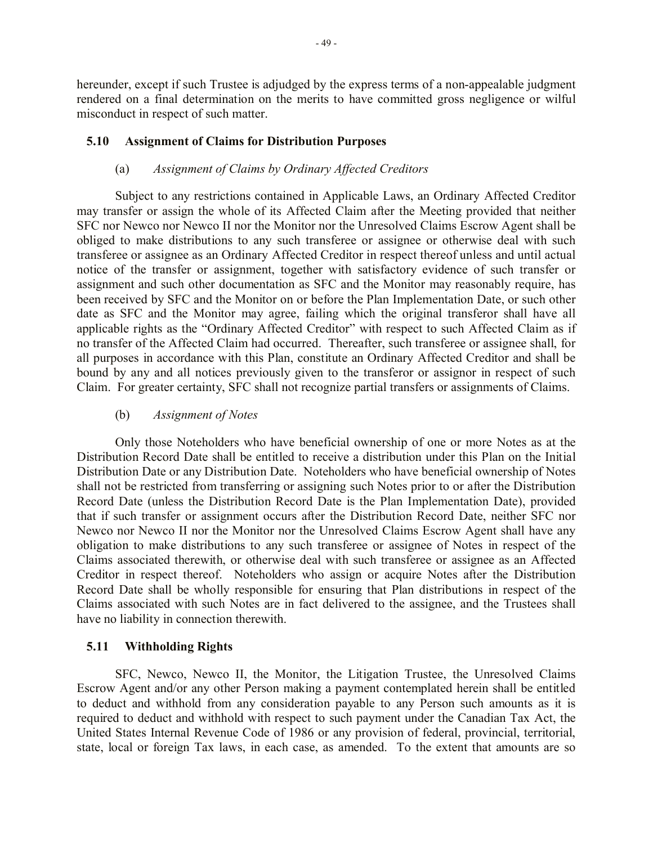hereunder, except if such Trustee is adjudged by the express terms of a non-appealable judgment rendered on a final determination on the merits to have committed gross negligence or wilful misconduct in respect of such matter.

## **5.10 Assignment of Claims for Distribution Purposes**

## (a) *Assignment of Claims by Ordinary Affected Creditors*

Subject to any restrictions contained in Applicable Laws, an Ordinary Affected Creditor may transfer or assign the whole of its Affected Claim after the Meeting provided that neither SFC nor Newco nor Newco II nor the Monitor nor the Unresolved Claims Escrow Agent shall be obliged to make distributions to any such transferee or assignee or otherwise deal with such transferee or assignee as an Ordinary Affected Creditor in respect thereof unless and until actual notice of the transfer or assignment, together with satisfactory evidence of such transfer or assignment and such other documentation as SFC and the Monitor may reasonably require, has been received by SFC and the Monitor on or before the Plan Implementation Date, or such other date as SFC and the Monitor may agree, failing which the original transferor shall have all applicable rights as the "Ordinary Affected Creditor" with respect to such Affected Claim as if no transfer of the Affected Claim had occurred. Thereafter, such transferee or assignee shall, for all purposes in accordance with this Plan, constitute an Ordinary Affected Creditor and shall be bound by any and all notices previously given to the transferor or assignor in respect of such Claim. For greater certainty, SFC shall not recognize partial transfers or assignments of Claims.

### (b) *Assignment of Notes*

Only those Noteholders who have beneficial ownership of one or more Notes as at the Distribution Record Date shall be entitled to receive a distribution under this Plan on the Initial Distribution Date or any Distribution Date. Noteholders who have beneficial ownership of Notes shall not be restricted from transferring or assigning such Notes prior to or after the Distribution Record Date (unless the Distribution Record Date is the Plan Implementation Date), provided that if such transfer or assignment occurs after the Distribution Record Date, neither SFC nor Newco nor Newco II nor the Monitor nor the Unresolved Claims Escrow Agent shall have any obligation to make distributions to any such transferee or assignee of Notes in respect of the Claims associated therewith, or otherwise deal with such transferee or assignee as an Affected Creditor in respect thereof. Noteholders who assign or acquire Notes after the Distribution Record Date shall be wholly responsible for ensuring that Plan distributions in respect of the Claims associated with such Notes are in fact delivered to the assignee, and the Trustees shall have no liability in connection therewith.

## **5.11 Withholding Rights**

SFC, Newco, Newco II, the Monitor, the Litigation Trustee, the Unresolved Claims Escrow Agent and/or any other Person making a payment contemplated herein shall be entitled to deduct and withhold from any consideration payable to any Person such amounts as it is required to deduct and withhold with respect to such payment under the Canadian Tax Act, the United States Internal Revenue Code of 1986 or any provision of federal, provincial, territorial, state, local or foreign Tax laws, in each case, as amended. To the extent that amounts are so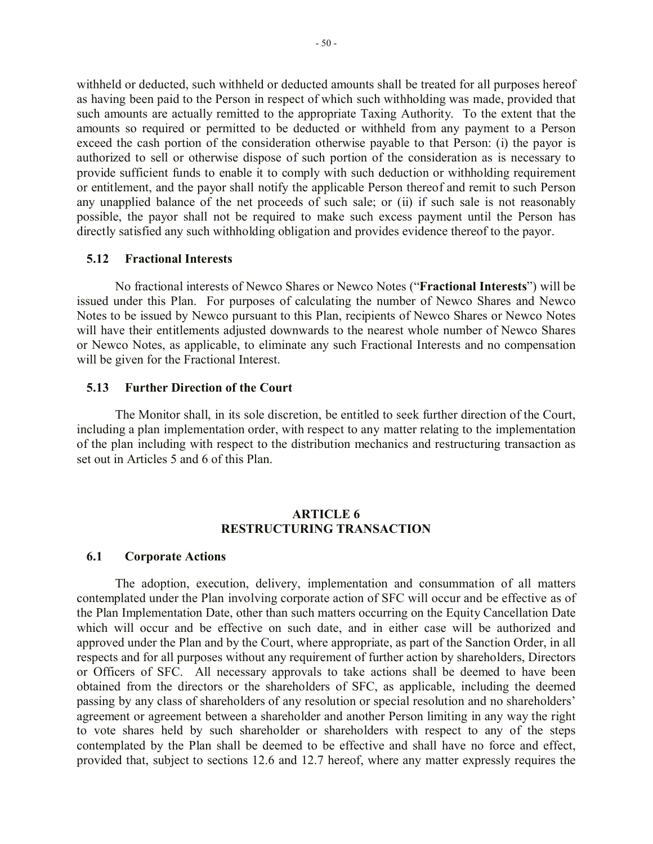withheld or deducted, such withheld or deducted amounts shall be treated for all purposes hereof as having been paid to the Person in respect of which such withholding was made, provided that such amounts are actually remitted to the appropriate Taxing Authority. To the extent that the amounts so required or permitted to be deducted or withheld from any payment to a Person exceed the cash portion of the consideration otherwise payable to that Person: (i) the payor is authorized to sell or otherwise dispose of such portion of the consideration as is necessary to provide sufficient funds to enable it to comply with such deduction or withholding requirement or entitlement, and the payor shall notify the applicable Person thereof and remit to such Person any unapplied balance of the net proceeds of such sale; or (ii) if such sale is not reasonably possible, the payor shall not be required to make such excess payment until the Person has directly satisfied any such withholding obligation and provides evidence thereof to the payor.

## **5.12 Fractional Interests**

No fractional interests of Newco Shares or Newco Notes ("**Fractional Interests**") will be issued under this Plan. For purposes of calculating the number of Newco Shares and Newco Notes to be issued by Newco pursuant to this Plan, recipients of Newco Shares or Newco Notes will have their entitlements adjusted downwards to the nearest whole number of Newco Shares or Newco Notes, as applicable, to eliminate any such Fractional Interests and no compensation will be given for the Fractional Interest.

### **5.13 Further Direction of the Court**

The Monitor shall, in its sole discretion, be entitled to seek further direction of the Court, including a plan implementation order, with respect to any matter relating to the implementation of the plan including with respect to the distribution mechanics and restructuring transaction as set out in Articles 5 and 6 of this Plan.

### **ARTICLE 6 RESTRUCTURING TRANSACTION**

#### **6.1 Corporate Actions**

The adoption, execution, delivery, implementation and consummation of all matters contemplated under the Plan involving corporate action of SFC will occur and be effective as of the Plan Implementation Date, other than such matters occurring on the Equity Cancellation Date which will occur and be effective on such date, and in either case will be authorized and approved under the Plan and by the Court, where appropriate, as part of the Sanction Order, in all respects and for all purposes without any requirement of further action by shareholders, Directors or Officers of SFC. All necessary approvals to take actions shall be deemed to have been obtained from the directors or the shareholders of SFC, as applicable, including the deemed passing by any class of shareholders of any resolution or special resolution and no shareholders' agreement or agreement between a shareholder and another Person limiting in any way the right to vote shares held by such shareholder or shareholders with respect to any of the steps contemplated by the Plan shall be deemed to be effective and shall have no force and effect, provided that, subject to sections 12.6 and 12.7 hereof, where any matter expressly requires the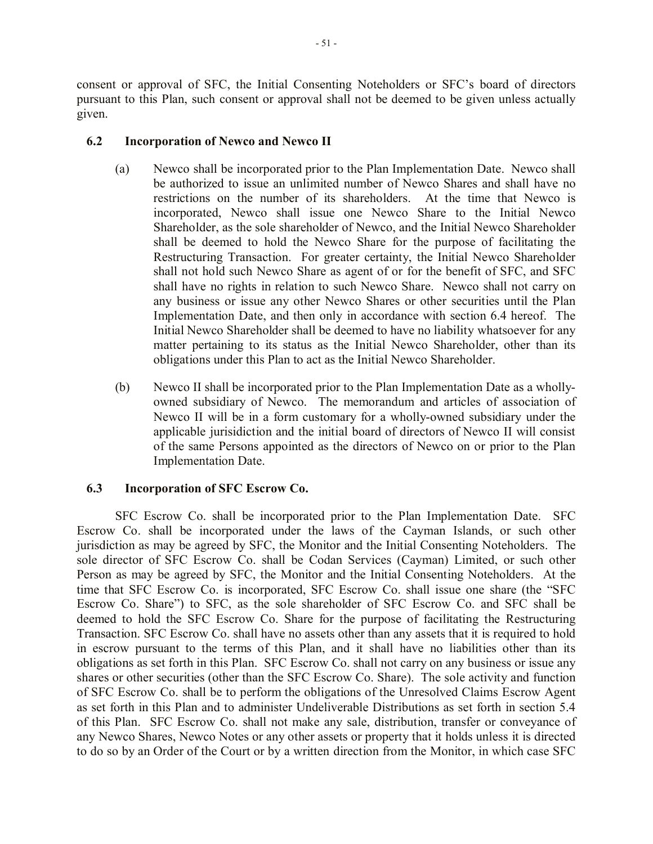consent or approval of SFC, the Initial Consenting Noteholders or SFC's board of directors pursuant to this Plan, such consent or approval shall not be deemed to be given unless actually given.

# **6.2 Incorporation of Newco and Newco II**

- (a) Newco shall be incorporated prior to the Plan Implementation Date. Newco shall be authorized to issue an unlimited number of Newco Shares and shall have no restrictions on the number of its shareholders. At the time that Newco is incorporated, Newco shall issue one Newco Share to the Initial Newco Shareholder, as the sole shareholder of Newco, and the Initial Newco Shareholder shall be deemed to hold the Newco Share for the purpose of facilitating the Restructuring Transaction. For greater certainty, the Initial Newco Shareholder shall not hold such Newco Share as agent of or for the benefit of SFC, and SFC shall have no rights in relation to such Newco Share. Newco shall not carry on any business or issue any other Newco Shares or other securities until the Plan Implementation Date, and then only in accordance with section 6.4 hereof. The Initial Newco Shareholder shall be deemed to have no liability whatsoever for any matter pertaining to its status as the Initial Newco Shareholder, other than its obligations under this Plan to act as the Initial Newco Shareholder.
- (b) Newco II shall be incorporated prior to the Plan Implementation Date as a whollyowned subsidiary of Newco. The memorandum and articles of association of Newco II will be in a form customary for a wholly-owned subsidiary under the applicable jurisidiction and the initial board of directors of Newco II will consist of the same Persons appointed as the directors of Newco on or prior to the Plan Implementation Date.

# **6.3 Incorporation of SFC Escrow Co.**

SFC Escrow Co. shall be incorporated prior to the Plan Implementation Date. SFC Escrow Co. shall be incorporated under the laws of the Cayman Islands, or such other jurisdiction as may be agreed by SFC, the Monitor and the Initial Consenting Noteholders. The sole director of SFC Escrow Co. shall be Codan Services (Cayman) Limited, or such other Person as may be agreed by SFC, the Monitor and the Initial Consenting Noteholders. At the time that SFC Escrow Co. is incorporated, SFC Escrow Co. shall issue one share (the "SFC Escrow Co. Share") to SFC, as the sole shareholder of SFC Escrow Co. and SFC shall be deemed to hold the SFC Escrow Co. Share for the purpose of facilitating the Restructuring Transaction. SFC Escrow Co. shall have no assets other than any assets that it is required to hold in escrow pursuant to the terms of this Plan, and it shall have no liabilities other than its obligations as set forth in this Plan. SFC Escrow Co. shall not carry on any business or issue any shares or other securities (other than the SFC Escrow Co. Share). The sole activity and function of SFC Escrow Co. shall be to perform the obligations of the Unresolved Claims Escrow Agent as set forth in this Plan and to administer Undeliverable Distributions as set forth in section 5.4 of this Plan. SFC Escrow Co. shall not make any sale, distribution, transfer or conveyance of any Newco Shares, Newco Notes or any other assets or property that it holds unless it is directed to do so by an Order of the Court or by a written direction from the Monitor, in which case SFC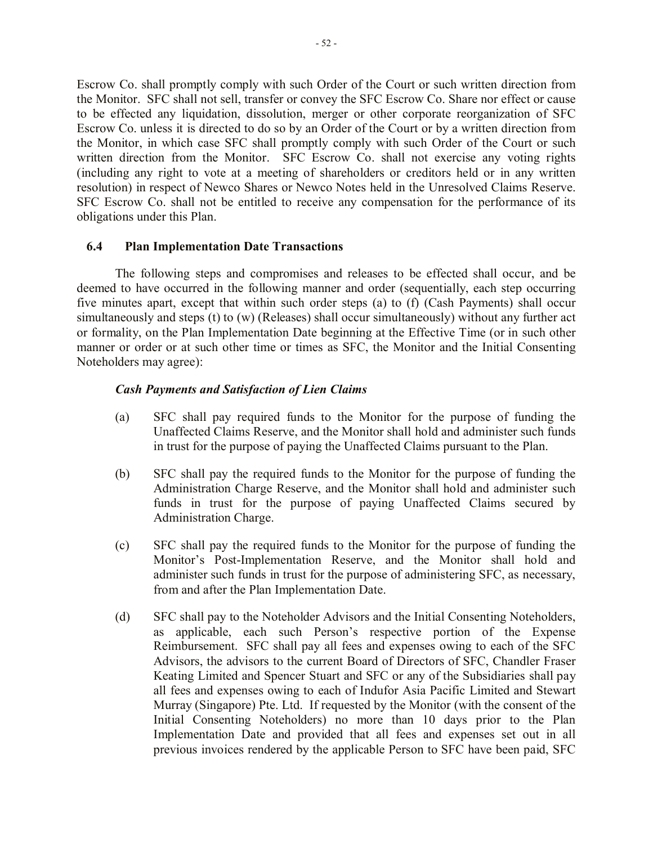Escrow Co. shall promptly comply with such Order of the Court or such written direction from the Monitor. SFC shall not sell, transfer or convey the SFC Escrow Co. Share nor effect or cause to be effected any liquidation, dissolution, merger or other corporate reorganization of SFC Escrow Co. unless it is directed to do so by an Order of the Court or by a written direction from the Monitor, in which case SFC shall promptly comply with such Order of the Court or such written direction from the Monitor. SFC Escrow Co. shall not exercise any voting rights (including any right to vote at a meeting of shareholders or creditors held or in any written resolution) in respect of Newco Shares or Newco Notes held in the Unresolved Claims Reserve. SFC Escrow Co. shall not be entitled to receive any compensation for the performance of its obligations under this Plan.

## **6.4 Plan Implementation Date Transactions**

The following steps and compromises and releases to be effected shall occur, and be deemed to have occurred in the following manner and order (sequentially, each step occurring five minutes apart, except that within such order steps (a) to (f) (Cash Payments) shall occur simultaneously and steps (t) to (w) (Releases) shall occur simultaneously) without any further act or formality, on the Plan Implementation Date beginning at the Effective Time (or in such other manner or order or at such other time or times as SFC, the Monitor and the Initial Consenting Noteholders may agree):

## *Cash Payments and Satisfaction of Lien Claims*

- (a) SFC shall pay required funds to the Monitor for the purpose of funding the Unaffected Claims Reserve, and the Monitor shall hold and administer such funds in trust for the purpose of paying the Unaffected Claims pursuant to the Plan.
- (b) SFC shall pay the required funds to the Monitor for the purpose of funding the Administration Charge Reserve, and the Monitor shall hold and administer such funds in trust for the purpose of paying Unaffected Claims secured by Administration Charge.
- (c) SFC shall pay the required funds to the Monitor for the purpose of funding the Monitor's Post-Implementation Reserve, and the Monitor shall hold and administer such funds in trust for the purpose of administering SFC, as necessary, from and after the Plan Implementation Date.
- (d) SFC shall pay to the Noteholder Advisors and the Initial Consenting Noteholders, as applicable, each such Person's respective portion of the Expense Reimbursement.SFC shall pay all fees and expenses owing to each of the SFC Advisors, the advisors to the current Board of Directors of SFC, Chandler Fraser Keating Limited and Spencer Stuart and SFC or any of the Subsidiaries shall pay all fees and expenses owing to each of Indufor Asia Pacific Limited and Stewart Murray (Singapore) Pte. Ltd. If requested by the Monitor (with the consent of the Initial Consenting Noteholders) no more than 10 days prior to the Plan Implementation Date and provided that all fees and expenses set out in all previous invoices rendered by the applicable Person to SFC have been paid, SFC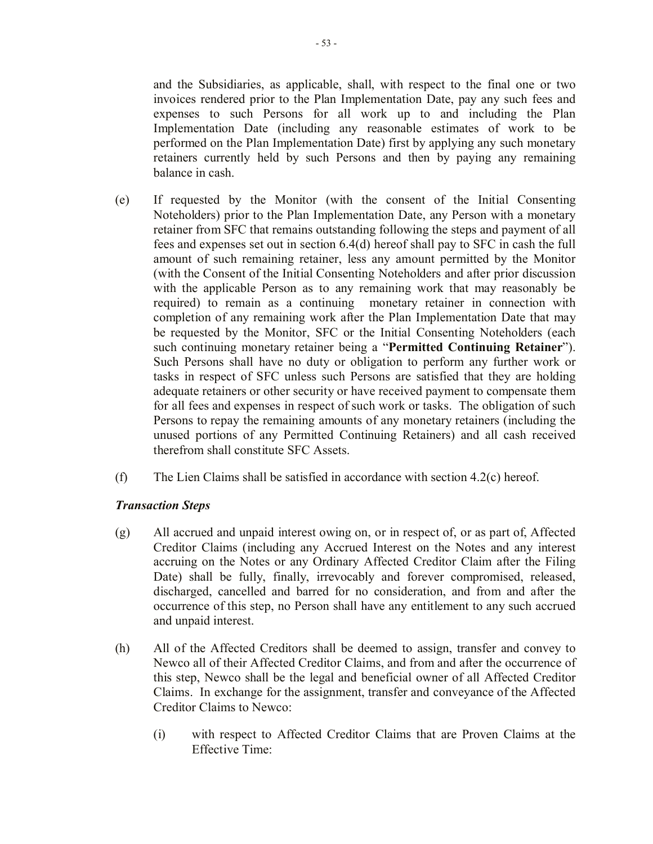and the Subsidiaries, as applicable, shall, with respect to the final one or two invoices rendered prior to the Plan Implementation Date, pay any such fees and expenses to such Persons for all work up to and including the Plan Implementation Date (including any reasonable estimates of work to be performed on the Plan Implementation Date) first by applying any such monetary retainers currently held by such Persons and then by paying any remaining balance in cash.

- (e) If requested by the Monitor (with the consent of the Initial Consenting Noteholders) prior to the Plan Implementation Date, any Person with a monetary retainer from SFC that remains outstanding following the steps and payment of all fees and expenses set out in section 6.4(d) hereof shall pay to SFC in cash the full amount of such remaining retainer, less any amount permitted by the Monitor (with the Consent of the Initial Consenting Noteholders and after prior discussion with the applicable Person as to any remaining work that may reasonably be required) to remain as a continuing monetary retainer in connection with completion of any remaining work after the Plan Implementation Date that may be requested by the Monitor, SFC or the Initial Consenting Noteholders (each such continuing monetary retainer being a "**Permitted Continuing Retainer**"). Such Persons shall have no duty or obligation to perform any further work or tasks in respect of SFC unless such Persons are satisfied that they are holding adequate retainers or other security or have received payment to compensate them for all fees and expenses in respect of such work or tasks. The obligation of such Persons to repay the remaining amounts of any monetary retainers (including the unused portions of any Permitted Continuing Retainers) and all cash received therefrom shall constitute SFC Assets.
- (f) The Lien Claims shall be satisfied in accordance with section 4.2(c) hereof.

# *Transaction Steps*

- (g) All accrued and unpaid interest owing on, or in respect of, or as part of, Affected Creditor Claims (including any Accrued Interest on the Notes and any interest accruing on the Notes or any Ordinary Affected Creditor Claim after the Filing Date) shall be fully, finally, irrevocably and forever compromised, released, discharged, cancelled and barred for no consideration, and from and after the occurrence of this step, no Person shall have any entitlement to any such accrued and unpaid interest.
- (h) All of the Affected Creditors shall be deemed to assign, transfer and convey to Newco all of their Affected Creditor Claims, and from and after the occurrence of this step, Newco shall be the legal and beneficial owner of all Affected Creditor Claims. In exchange for the assignment, transfer and conveyance of the Affected Creditor Claims to Newco:
	- (i) with respect to Affected Creditor Claims that are Proven Claims at the Effective Time: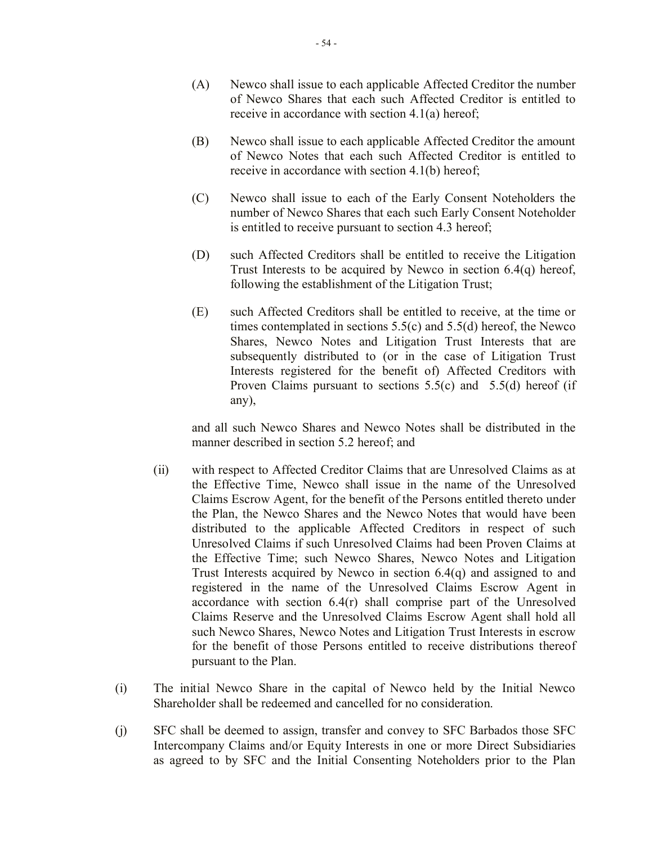- (A) Newco shall issue to each applicable Affected Creditor the number of Newco Shares that each such Affected Creditor is entitled to receive in accordance with section 4.1(a) hereof;
- (B) Newco shall issue to each applicable Affected Creditor the amount of Newco Notes that each such Affected Creditor is entitled to receive in accordance with section 4.1(b) hereof;
- (C) Newco shall issue to each of the Early Consent Noteholders the number of Newco Shares that each such Early Consent Noteholder is entitled to receive pursuant to section 4.3 hereof;
- (D) such Affected Creditors shall be entitled to receive the Litigation Trust Interests to be acquired by Newco in section 6.4(q) hereof, following the establishment of the Litigation Trust;
- (E) such Affected Creditors shall be entitled to receive, at the time or times contemplated in sections 5.5(c) and 5.5(d) hereof, the Newco Shares, Newco Notes and Litigation Trust Interests that are subsequently distributed to (or in the case of Litigation Trust Interests registered for the benefit of) Affected Creditors with Proven Claims pursuant to sections 5.5(c) and 5.5(d) hereof (if any),

and all such Newco Shares and Newco Notes shall be distributed in the manner described in section 5.2 hereof; and

- (ii) with respect to Affected Creditor Claims that are Unresolved Claims as at the Effective Time, Newco shall issue in the name of the Unresolved Claims Escrow Agent, for the benefit of the Persons entitled thereto under the Plan, the Newco Shares and the Newco Notes that would have been distributed to the applicable Affected Creditors in respect of such Unresolved Claims if such Unresolved Claims had been Proven Claims at the Effective Time; such Newco Shares, Newco Notes and Litigation Trust Interests acquired by Newco in section 6.4(q) and assigned to and registered in the name of the Unresolved Claims Escrow Agent in accordance with section 6.4(r) shall comprise part of the Unresolved Claims Reserve and the Unresolved Claims Escrow Agent shall hold all such Newco Shares, Newco Notes and Litigation Trust Interests in escrow for the benefit of those Persons entitled to receive distributions thereof pursuant to the Plan.
- (i) The initial Newco Share in the capital of Newco held by the Initial Newco Shareholder shall be redeemed and cancelled for no consideration.
- (j) SFC shall be deemed to assign, transfer and convey to SFC Barbados those SFC Intercompany Claims and/or Equity Interests in one or more Direct Subsidiaries as agreed to by SFC and the Initial Consenting Noteholders prior to the Plan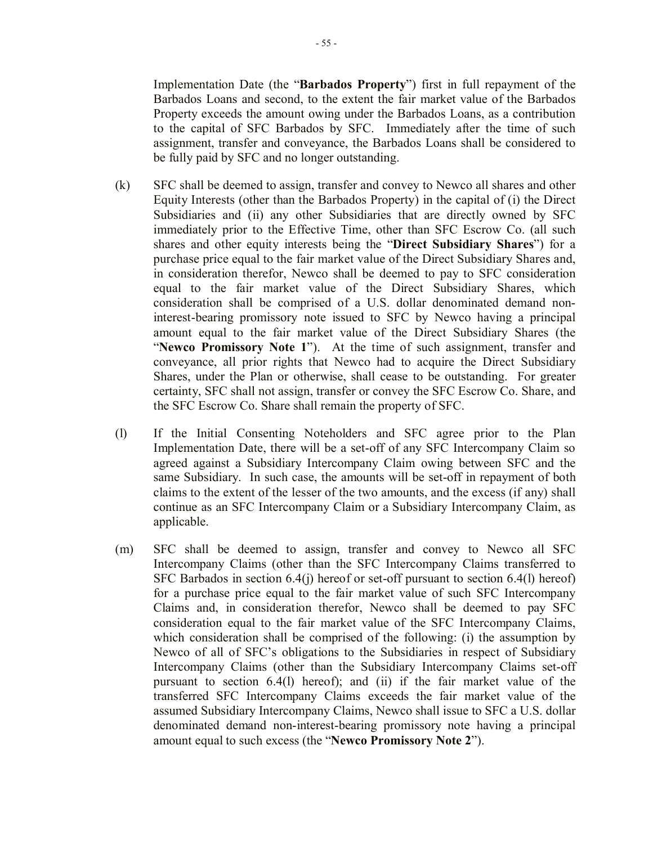Implementation Date (the "**Barbados Property**") first in full repayment of the Barbados Loans and second, to the extent the fair market value of the Barbados Property exceeds the amount owing under the Barbados Loans, as a contribution to the capital of SFC Barbados by SFC. Immediately after the time of such assignment, transfer and conveyance, the Barbados Loans shall be considered to be fully paid by SFC and no longer outstanding.

- (k) SFC shall be deemed to assign, transfer and convey to Newco all shares and other Equity Interests (other than the Barbados Property) in the capital of (i) the Direct Subsidiaries and (ii) any other Subsidiaries that are directly owned by SFC immediately prior to the Effective Time, other than SFC Escrow Co. (all such shares and other equity interests being the "**Direct Subsidiary Shares**") for a purchase price equal to the fair market value of the Direct Subsidiary Shares and, in consideration therefor, Newco shall be deemed to pay to SFC consideration equal to the fair market value of the Direct Subsidiary Shares, which consideration shall be comprised of a U.S. dollar denominated demand noninterest-bearing promissory note issued to SFC by Newco having a principal amount equal to the fair market value of the Direct Subsidiary Shares (the "**Newco Promissory Note 1**"). At the time of such assignment, transfer and conveyance, all prior rights that Newco had to acquire the Direct Subsidiary Shares, under the Plan or otherwise, shall cease to be outstanding. For greater certainty, SFC shall not assign, transfer or convey the SFC Escrow Co. Share, and the SFC Escrow Co. Share shall remain the property of SFC.
- (l) If the Initial Consenting Noteholders and SFC agree prior to the Plan Implementation Date, there will be a set-off of any SFC Intercompany Claim so agreed against a Subsidiary Intercompany Claim owing between SFC and the same Subsidiary. In such case, the amounts will be set-off in repayment of both claims to the extent of the lesser of the two amounts, and the excess (if any) shall continue as an SFC Intercompany Claim or a Subsidiary Intercompany Claim, as applicable.
- (m) SFC shall be deemed to assign, transfer and convey to Newco all SFC Intercompany Claims (other than the SFC Intercompany Claims transferred to SFC Barbados in section 6.4(j) hereof or set-off pursuant to section 6.4(l) hereof) for a purchase price equal to the fair market value of such SFC Intercompany Claims and, in consideration therefor, Newco shall be deemed to pay SFC consideration equal to the fair market value of the SFC Intercompany Claims, which consideration shall be comprised of the following: (i) the assumption by Newco of all of SFC's obligations to the Subsidiaries in respect of Subsidiary Intercompany Claims (other than the Subsidiary Intercompany Claims set-off pursuant to section 6.4(l) hereof); and (ii) if the fair market value of the transferred SFC Intercompany Claims exceeds the fair market value of the assumed Subsidiary Intercompany Claims, Newco shall issue to SFC a U.S. dollar denominated demand non-interest-bearing promissory note having a principal amount equal to such excess (the "**Newco Promissory Note 2**").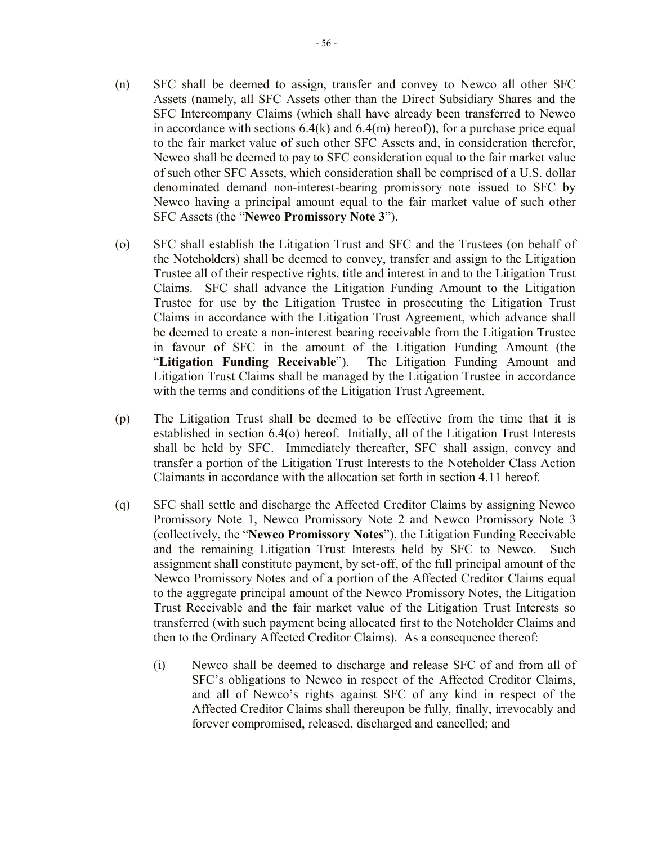- (n) SFC shall be deemed to assign, transfer and convey to Newco all other SFC Assets (namely, all SFC Assets other than the Direct Subsidiary Shares and the SFC Intercompany Claims (which shall have already been transferred to Newco in accordance with sections  $6.4(k)$  and  $6.4(m)$  hereof), for a purchase price equal to the fair market value of such other SFC Assets and, in consideration therefor, Newco shall be deemed to pay to SFC consideration equal to the fair market value of such other SFC Assets, which consideration shall be comprised of a U.S. dollar denominated demand non-interest-bearing promissory note issued to SFC by Newco having a principal amount equal to the fair market value of such other SFC Assets (the "**Newco Promissory Note 3**").
- (o) SFC shall establish the Litigation Trust and SFC and the Trustees (on behalf of the Noteholders) shall be deemed to convey, transfer and assign to the Litigation Trustee all of their respective rights, title and interest in and to the Litigation Trust Claims. SFC shall advance the Litigation Funding Amount to the Litigation Trustee for use by the Litigation Trustee in prosecuting the Litigation Trust Claims in accordance with the Litigation Trust Agreement, which advance shall be deemed to create a non-interest bearing receivable from the Litigation Trustee in favour of SFC in the amount of the Litigation Funding Amount (the "**Litigation Funding Receivable**"). The Litigation Funding Amount and Litigation Trust Claims shall be managed by the Litigation Trustee in accordance with the terms and conditions of the Litigation Trust Agreement.
- (p) The Litigation Trust shall be deemed to be effective from the time that it is established in section 6.4(o) hereof. Initially, all of the Litigation Trust Interests shall be held by SFC. Immediately thereafter, SFC shall assign, convey and transfer a portion of the Litigation Trust Interests to the Noteholder Class Action Claimants in accordance with the allocation set forth in section 4.11 hereof.
- (q) SFC shall settle and discharge the Affected Creditor Claims by assigning Newco Promissory Note 1, Newco Promissory Note 2 and Newco Promissory Note 3 (collectively, the "**Newco Promissory Notes**"), the Litigation Funding Receivable and the remaining Litigation Trust Interests held by SFC to Newco. Such assignment shall constitute payment, by set-off, of the full principal amount of the Newco Promissory Notes and of a portion of the Affected Creditor Claims equal to the aggregate principal amount of the Newco Promissory Notes, the Litigation Trust Receivable and the fair market value of the Litigation Trust Interests so transferred (with such payment being allocated first to the Noteholder Claims and then to the Ordinary Affected Creditor Claims). As a consequence thereof:
	- (i) Newco shall be deemed to discharge and release SFC of and from all of SFC's obligations to Newco in respect of the Affected Creditor Claims, and all of Newco's rights against SFC of any kind in respect of the Affected Creditor Claims shall thereupon be fully, finally, irrevocably and forever compromised, released, discharged and cancelled; and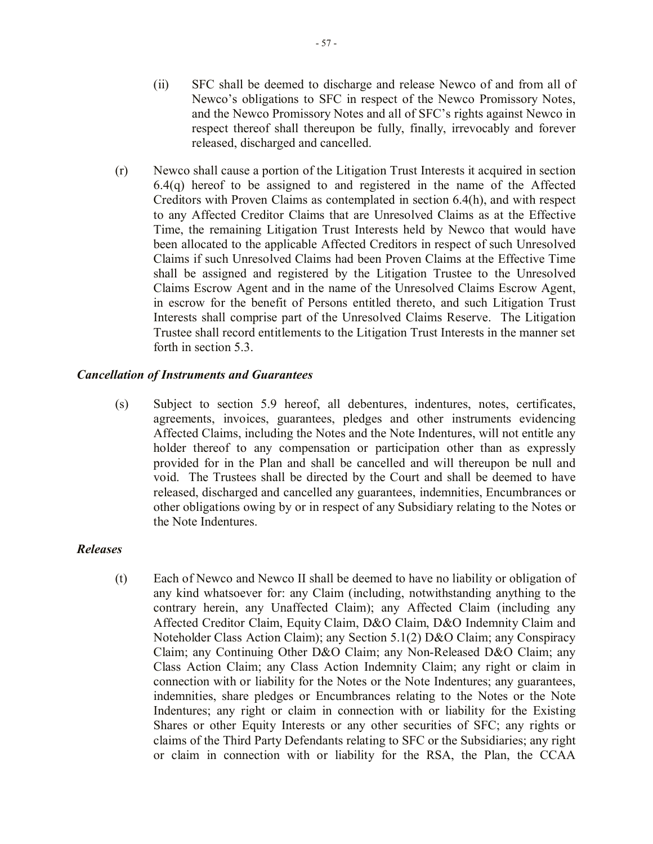- (ii) SFC shall be deemed to discharge and release Newco of and from all of Newco's obligations to SFC in respect of the Newco Promissory Notes, and the Newco Promissory Notes and all of SFC's rights against Newco in respect thereof shall thereupon be fully, finally, irrevocably and forever released, discharged and cancelled.
- (r) Newco shall cause a portion of the Litigation Trust Interests it acquired in section 6.4(q) hereof to be assigned to and registered in the name of the Affected Creditors with Proven Claims as contemplated in section 6.4(h), and with respect to any Affected Creditor Claims that are Unresolved Claims as at the Effective Time, the remaining Litigation Trust Interests held by Newco that would have been allocated to the applicable Affected Creditors in respect of such Unresolved Claims if such Unresolved Claims had been Proven Claims at the Effective Time shall be assigned and registered by the Litigation Trustee to the Unresolved Claims Escrow Agent and in the name of the Unresolved Claims Escrow Agent, in escrow for the benefit of Persons entitled thereto, and such Litigation Trust Interests shall comprise part of the Unresolved Claims Reserve. The Litigation Trustee shall record entitlements to the Litigation Trust Interests in the manner set forth in section 5.3.

### *Cancellation of Instruments and Guarantees*

(s) Subject to section 5.9 hereof, all debentures, indentures, notes, certificates, agreements, invoices, guarantees, pledges and other instruments evidencing Affected Claims, including the Notes and the Note Indentures, will not entitle any holder thereof to any compensation or participation other than as expressly provided for in the Plan and shall be cancelled and will thereupon be null and void. The Trustees shall be directed by the Court and shall be deemed to have released, discharged and cancelled any guarantees, indemnities, Encumbrances or other obligations owing by or in respect of any Subsidiary relating to the Notes or the Note Indentures.

#### *Releases*

(t) Each of Newco and Newco II shall be deemed to have no liability or obligation of any kind whatsoever for: any Claim (including, notwithstanding anything to the contrary herein, any Unaffected Claim); any Affected Claim (including any Affected Creditor Claim, Equity Claim, D&O Claim, D&O Indemnity Claim and Noteholder Class Action Claim); any Section 5.1(2) D&O Claim; any Conspiracy Claim; any Continuing Other D&O Claim; any Non-Released D&O Claim; any Class Action Claim; any Class Action Indemnity Claim; any right or claim in connection with or liability for the Notes or the Note Indentures; any guarantees, indemnities, share pledges or Encumbrances relating to the Notes or the Note Indentures; any right or claim in connection with or liability for the Existing Shares or other Equity Interests or any other securities of SFC; any rights or claims of the Third Party Defendants relating to SFC or the Subsidiaries; any right or claim in connection with or liability for the RSA, the Plan, the CCAA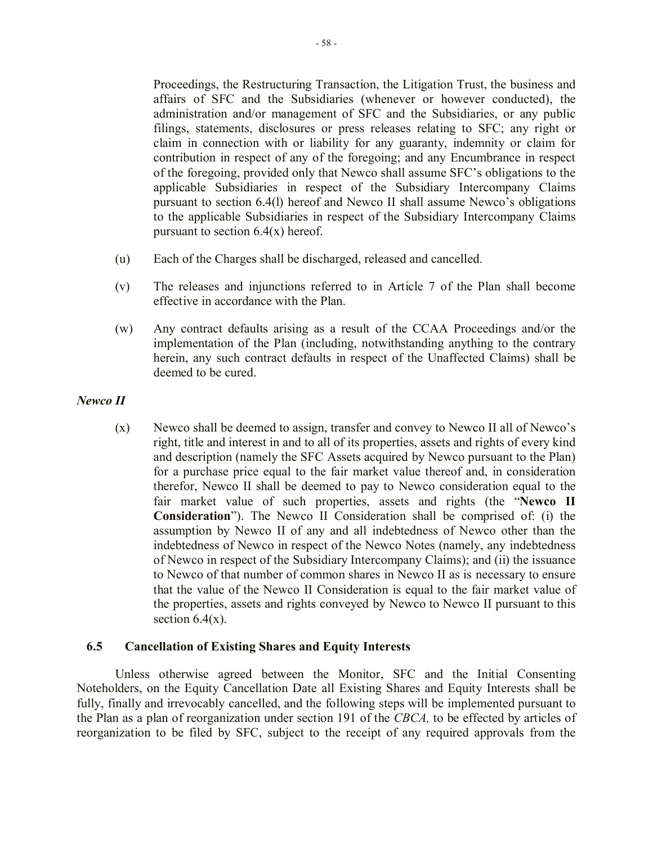Proceedings, the Restructuring Transaction, the Litigation Trust, the business and affairs of SFC and the Subsidiaries (whenever or however conducted), the administration and/or management of SFC and the Subsidiaries, or any public filings, statements, disclosures or press releases relating to SFC; any right or claim in connection with or liability for any guaranty, indemnity or claim for contribution in respect of any of the foregoing; and any Encumbrance in respect of the foregoing, provided only that Newco shall assume SFC's obligations to the applicable Subsidiaries in respect of the Subsidiary Intercompany Claims pursuant to section 6.4(l) hereof and Newco II shall assume Newco's obligations to the applicable Subsidiaries in respect of the Subsidiary Intercompany Claims pursuant to section  $6.4(x)$  hereof.

- (u) Each of the Charges shall be discharged, released and cancelled.
- (v) The releases and injunctions referred to in Article 7 of the Plan shall become effective in accordance with the Plan.
- (w) Any contract defaults arising as a result of the CCAA Proceedings and/or the implementation of the Plan (including, notwithstanding anything to the contrary herein, any such contract defaults in respect of the Unaffected Claims) shall be deemed to be cured.
- *Newco II*
	- (x) Newco shall be deemed to assign, transfer and convey to Newco II all of Newco's right, title and interest in and to all of its properties, assets and rights of every kind and description (namely the SFC Assets acquired by Newco pursuant to the Plan) for a purchase price equal to the fair market value thereof and, in consideration therefor, Newco II shall be deemed to pay to Newco consideration equal to the fair market value of such properties, assets and rights (the "**Newco II Consideration**"). The Newco II Consideration shall be comprised of: (i) the assumption by Newco II of any and all indebtedness of Newco other than the indebtedness of Newco in respect of the Newco Notes (namely, any indebtedness of Newco in respect of the Subsidiary Intercompany Claims); and (ii) the issuance to Newco of that number of common shares in Newco II as is necessary to ensure that the value of the Newco II Consideration is equal to the fair market value of the properties, assets and rights conveyed by Newco to Newco II pursuant to this section  $6.4(x)$ .

## **6.5 Cancellation of Existing Shares and Equity Interests**

Unless otherwise agreed between the Monitor, SFC and the Initial Consenting Noteholders, on the Equity Cancellation Date all Existing Shares and Equity Interests shall be fully, finally and irrevocably cancelled, and the following steps will be implemented pursuant to the Plan as a plan of reorganization under section 191 of the *CBCA,* to be effected by articles of reorganization to be filed by SFC, subject to the receipt of any required approvals from the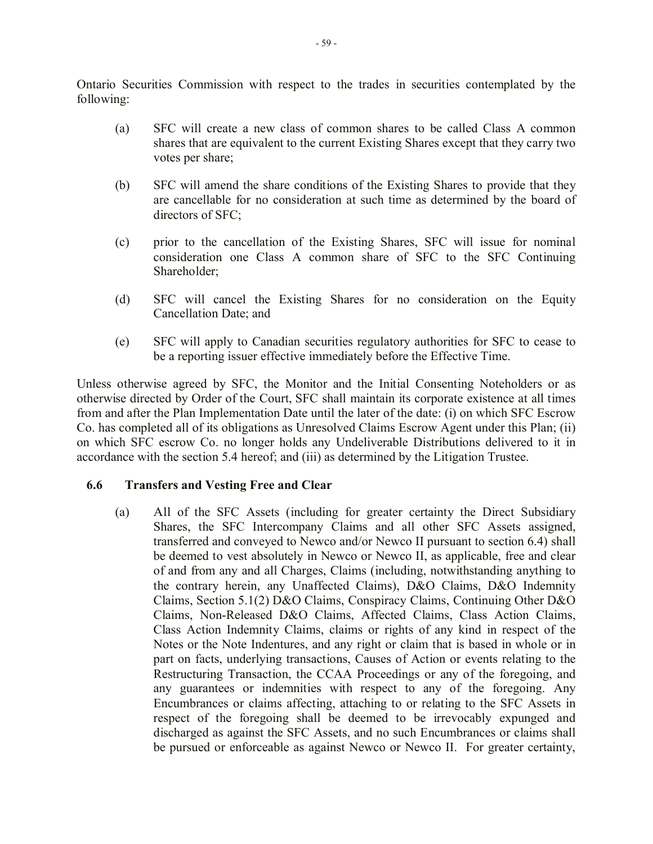Ontario Securities Commission with respect to the trades in securities contemplated by the following:

- (a) SFC will create a new class of common shares to be called Class A common shares that are equivalent to the current Existing Shares except that they carry two votes per share;
- (b) SFC will amend the share conditions of the Existing Shares to provide that they are cancellable for no consideration at such time as determined by the board of directors of SFC;
- (c) prior to the cancellation of the Existing Shares, SFC will issue for nominal consideration one Class A common share of SFC to the SFC Continuing Shareholder;
- (d) SFC will cancel the Existing Shares for no consideration on the Equity Cancellation Date; and
- (e) SFC will apply to Canadian securities regulatory authorities for SFC to cease to be a reporting issuer effective immediately before the Effective Time.

Unless otherwise agreed by SFC, the Monitor and the Initial Consenting Noteholders or as otherwise directed by Order of the Court, SFC shall maintain its corporate existence at all times from and after the Plan Implementation Date until the later of the date: (i) on which SFC Escrow Co. has completed all of its obligations as Unresolved Claims Escrow Agent under this Plan; (ii) on which SFC escrow Co. no longer holds any Undeliverable Distributions delivered to it in accordance with the section 5.4 hereof; and (iii) as determined by the Litigation Trustee.

## **6.6 Transfers and Vesting Free and Clear**

(a) All of the SFC Assets (including for greater certainty the Direct Subsidiary Shares, the SFC Intercompany Claims and all other SFC Assets assigned, transferred and conveyed to Newco and/or Newco II pursuant to section 6.4) shall be deemed to vest absolutely in Newco or Newco II, as applicable, free and clear of and from any and all Charges, Claims (including, notwithstanding anything to the contrary herein, any Unaffected Claims), D&O Claims, D&O Indemnity Claims, Section 5.1(2) D&O Claims, Conspiracy Claims, Continuing Other D&O Claims, Non-Released D&O Claims, Affected Claims, Class Action Claims, Class Action Indemnity Claims, claims or rights of any kind in respect of the Notes or the Note Indentures, and any right or claim that is based in whole or in part on facts, underlying transactions, Causes of Action or events relating to the Restructuring Transaction, the CCAA Proceedings or any of the foregoing, and any guarantees or indemnities with respect to any of the foregoing. Any Encumbrances or claims affecting, attaching to or relating to the SFC Assets in respect of the foregoing shall be deemed to be irrevocably expunged and discharged as against the SFC Assets, and no such Encumbrances or claims shall be pursued or enforceable as against Newco or Newco II. For greater certainty,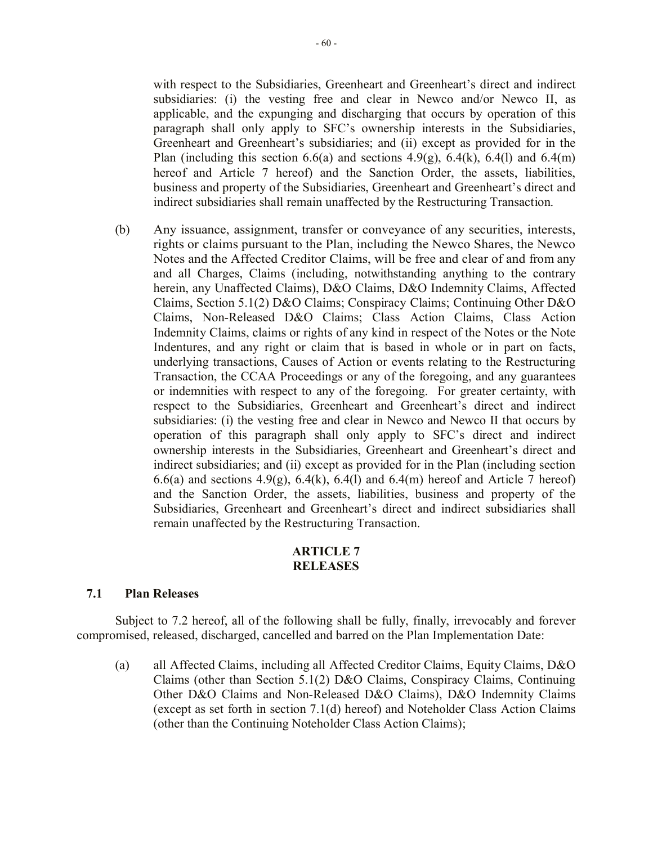with respect to the Subsidiaries, Greenheart and Greenheart's direct and indirect subsidiaries: (i) the vesting free and clear in Newco and/or Newco II, as applicable, and the expunging and discharging that occurs by operation of this paragraph shall only apply to SFC's ownership interests in the Subsidiaries, Greenheart and Greenheart's subsidiaries; and (ii) except as provided for in the Plan (including this section 6.6(a) and sections 4.9(g), 6.4(k), 6.4(l) and 6.4(m) hereof and Article 7 hereof) and the Sanction Order, the assets, liabilities, business and property of the Subsidiaries, Greenheart and Greenheart's direct and indirect subsidiaries shall remain unaffected by the Restructuring Transaction.

(b) Any issuance, assignment, transfer or conveyance of any securities, interests, rights or claims pursuant to the Plan, including the Newco Shares, the Newco Notes and the Affected Creditor Claims, will be free and clear of and from any and all Charges, Claims (including, notwithstanding anything to the contrary herein, any Unaffected Claims), D&O Claims, D&O Indemnity Claims, Affected Claims, Section 5.1(2) D&O Claims; Conspiracy Claims; Continuing Other D&O Claims, Non-Released D&O Claims; Class Action Claims, Class Action Indemnity Claims, claims or rights of any kind in respect of the Notes or the Note Indentures, and any right or claim that is based in whole or in part on facts, underlying transactions, Causes of Action or events relating to the Restructuring Transaction, the CCAA Proceedings or any of the foregoing, and any guarantees or indemnities with respect to any of the foregoing. For greater certainty, with respect to the Subsidiaries, Greenheart and Greenheart's direct and indirect subsidiaries: (i) the vesting free and clear in Newco and Newco II that occurs by operation of this paragraph shall only apply to SFC's direct and indirect ownership interests in the Subsidiaries, Greenheart and Greenheart's direct and indirect subsidiaries; and (ii) except as provided for in the Plan (including section 6.6(a) and sections 4.9(g), 6.4(k), 6.4(l) and 6.4(m) hereof and Article 7 hereof) and the Sanction Order, the assets, liabilities, business and property of the Subsidiaries, Greenheart and Greenheart's direct and indirect subsidiaries shall remain unaffected by the Restructuring Transaction.

### **ARTICLE 7 RELEASES**

### **7.1 Plan Releases**

Subject to 7.2 hereof, all of the following shall be fully, finally, irrevocably and forever compromised, released, discharged, cancelled and barred on the Plan Implementation Date:

(a) all Affected Claims, including all Affected Creditor Claims, Equity Claims, D&O Claims (other than Section 5.1(2) D&O Claims, Conspiracy Claims, Continuing Other D&O Claims and Non-Released D&O Claims), D&O Indemnity Claims (except as set forth in section 7.1(d) hereof) and Noteholder Class Action Claims (other than the Continuing Noteholder Class Action Claims);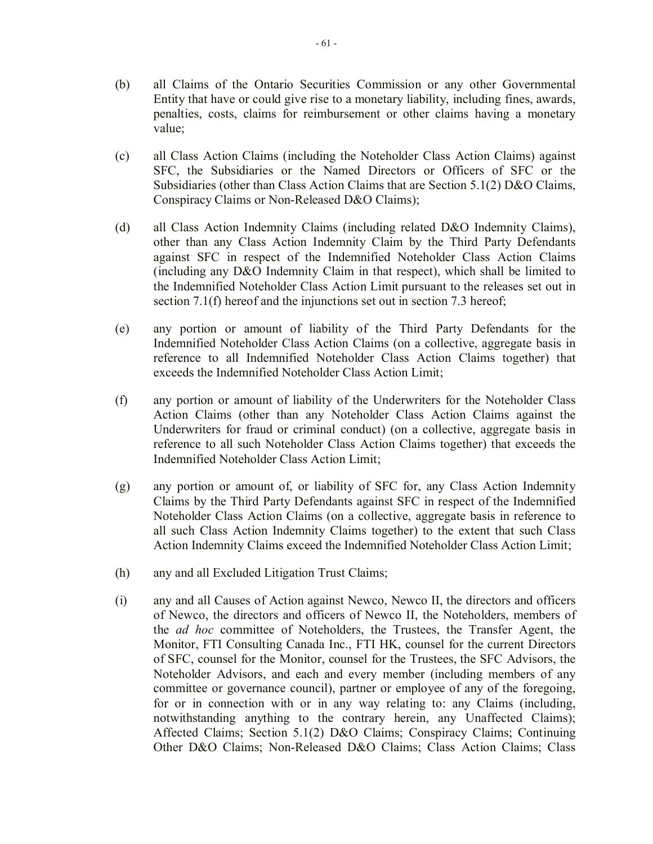- (b) all Claims of the Ontario Securities Commission or any other Governmental Entity that have or could give rise to a monetary liability, including fines, awards, penalties, costs, claims for reimbursement or other claims having a monetary value;
- (c) all Class Action Claims (including the Noteholder Class Action Claims) against SFC, the Subsidiaries or the Named Directors or Officers of SFC or the Subsidiaries (other than Class Action Claims that are Section 5.1(2) D&O Claims, Conspiracy Claims or Non-Released D&O Claims);
- (d) all Class Action Indemnity Claims (including related D&O Indemnity Claims), other than any Class Action Indemnity Claim by the Third Party Defendants against SFC in respect of the Indemnified Noteholder Class Action Claims (including any D&O Indemnity Claim in that respect), which shall be limited to the Indemnified Noteholder Class Action Limit pursuant to the releases set out in section 7.1(f) hereof and the injunctions set out in section 7.3 hereof;
- (e) any portion or amount of liability of the Third Party Defendants for the Indemnified Noteholder Class Action Claims (on a collective, aggregate basis in reference to all Indemnified Noteholder Class Action Claims together) that exceeds the Indemnified Noteholder Class Action Limit;
- (f) any portion or amount of liability of the Underwriters for the Noteholder Class Action Claims (other than any Noteholder Class Action Claims against the Underwriters for fraud or criminal conduct) (on a collective, aggregate basis in reference to all such Noteholder Class Action Claims together) that exceeds the Indemnified Noteholder Class Action Limit;
- (g) any portion or amount of, or liability of SFC for, any Class Action Indemnity Claims by the Third Party Defendants against SFC in respect of the Indemnified Noteholder Class Action Claims (on a collective, aggregate basis in reference to all such Class Action Indemnity Claims together) to the extent that such Class Action Indemnity Claims exceed the Indemnified Noteholder Class Action Limit;
- (h) any and all Excluded Litigation Trust Claims;
- (i) any and all Causes of Action against Newco, Newco II, the directors and officers of Newco, the directors and officers of Newco II, the Noteholders, members of the *ad hoc* committee of Noteholders, the Trustees, the Transfer Agent, the Monitor, FTI Consulting Canada Inc., FTI HK, counsel for the current Directors of SFC, counsel for the Monitor, counsel for the Trustees, the SFC Advisors, the Noteholder Advisors, and each and every member (including members of any committee or governance council), partner or employee of any of the foregoing, for or in connection with or in any way relating to: any Claims (including, notwithstanding anything to the contrary herein, any Unaffected Claims); Affected Claims; Section 5.1(2) D&O Claims; Conspiracy Claims; Continuing Other D&O Claims; Non-Released D&O Claims; Class Action Claims; Class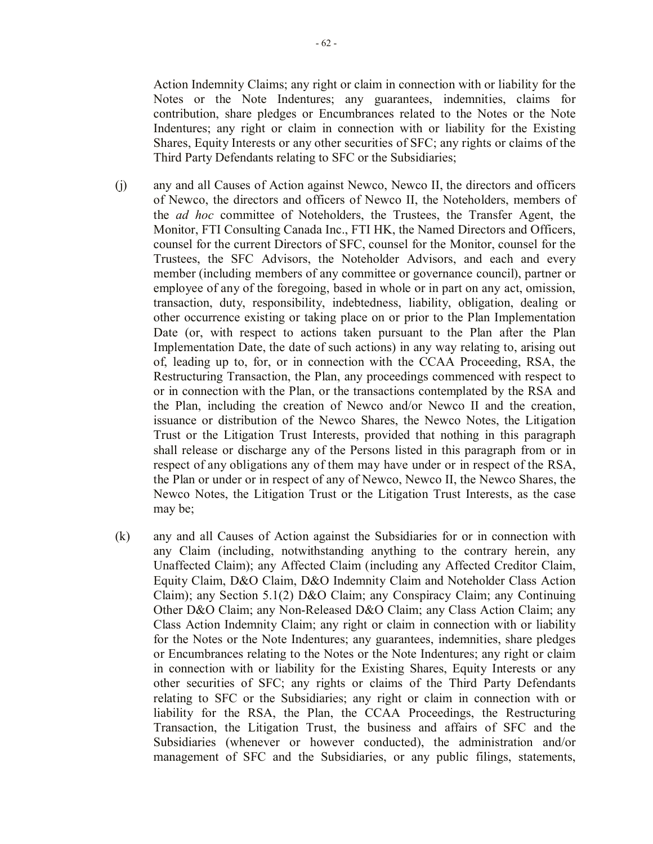Action Indemnity Claims; any right or claim in connection with or liability for the Notes or the Note Indentures; any guarantees, indemnities, claims for contribution, share pledges or Encumbrances related to the Notes or the Note Indentures; any right or claim in connection with or liability for the Existing Shares, Equity Interests or any other securities of SFC; any rights or claims of the Third Party Defendants relating to SFC or the Subsidiaries;

- (j) any and all Causes of Action against Newco, Newco II, the directors and officers of Newco, the directors and officers of Newco II, the Noteholders, members of the *ad hoc* committee of Noteholders, the Trustees, the Transfer Agent, the Monitor, FTI Consulting Canada Inc., FTI HK, the Named Directors and Officers, counsel for the current Directors of SFC, counsel for the Monitor, counsel for the Trustees, the SFC Advisors, the Noteholder Advisors, and each and every member (including members of any committee or governance council), partner or employee of any of the foregoing, based in whole or in part on any act, omission, transaction, duty, responsibility, indebtedness, liability, obligation, dealing or other occurrence existing or taking place on or prior to the Plan Implementation Date (or, with respect to actions taken pursuant to the Plan after the Plan Implementation Date, the date of such actions) in any way relating to, arising out of, leading up to, for, or in connection with the CCAA Proceeding, RSA, the Restructuring Transaction, the Plan, any proceedings commenced with respect to or in connection with the Plan, or the transactions contemplated by the RSA and the Plan, including the creation of Newco and/or Newco II and the creation, issuance or distribution of the Newco Shares, the Newco Notes, the Litigation Trust or the Litigation Trust Interests, provided that nothing in this paragraph shall release or discharge any of the Persons listed in this paragraph from or in respect of any obligations any of them may have under or in respect of the RSA, the Plan or under or in respect of any of Newco, Newco II, the Newco Shares, the Newco Notes, the Litigation Trust or the Litigation Trust Interests, as the case may be;
- (k) any and all Causes of Action against the Subsidiaries for or in connection with any Claim (including, notwithstanding anything to the contrary herein, any Unaffected Claim); any Affected Claim (including any Affected Creditor Claim, Equity Claim, D&O Claim, D&O Indemnity Claim and Noteholder Class Action Claim); any Section 5.1(2) D&O Claim; any Conspiracy Claim; any Continuing Other D&O Claim; any Non-Released D&O Claim; any Class Action Claim; any Class Action Indemnity Claim; any right or claim in connection with or liability for the Notes or the Note Indentures; any guarantees, indemnities, share pledges or Encumbrances relating to the Notes or the Note Indentures; any right or claim in connection with or liability for the Existing Shares, Equity Interests or any other securities of SFC; any rights or claims of the Third Party Defendants relating to SFC or the Subsidiaries; any right or claim in connection with or liability for the RSA, the Plan, the CCAA Proceedings, the Restructuring Transaction, the Litigation Trust, the business and affairs of SFC and the Subsidiaries (whenever or however conducted), the administration and/or management of SFC and the Subsidiaries, or any public filings, statements,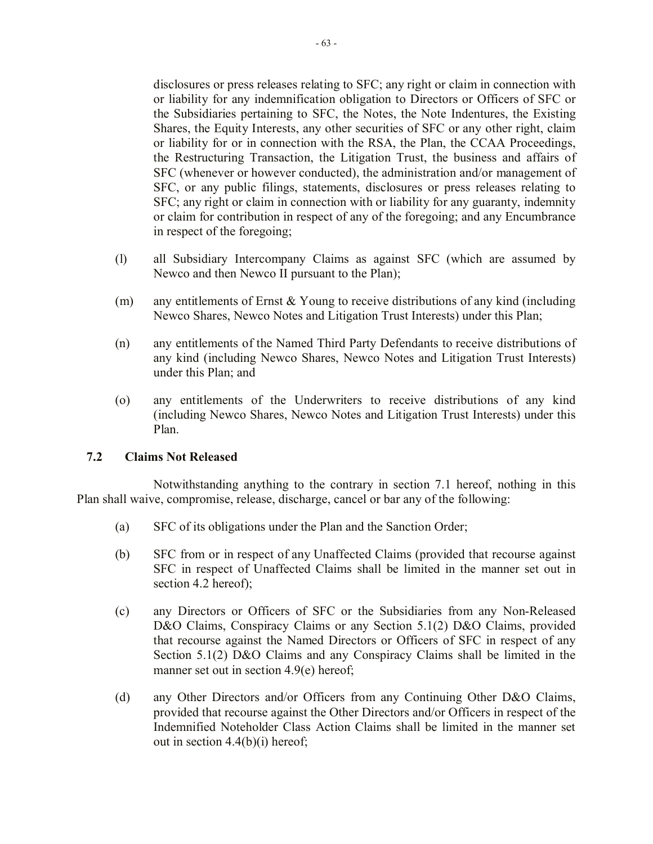disclosures or press releases relating to SFC; any right or claim in connection with or liability for any indemnification obligation to Directors or Officers of SFC or the Subsidiaries pertaining to SFC, the Notes, the Note Indentures, the Existing Shares, the Equity Interests, any other securities of SFC or any other right, claim or liability for or in connection with the RSA, the Plan, the CCAA Proceedings, the Restructuring Transaction, the Litigation Trust, the business and affairs of SFC (whenever or however conducted), the administration and/or management of SFC, or any public filings, statements, disclosures or press releases relating to SFC; any right or claim in connection with or liability for any guaranty, indemnity or claim for contribution in respect of any of the foregoing; and any Encumbrance in respect of the foregoing;

- (l) all Subsidiary Intercompany Claims as against SFC (which are assumed by Newco and then Newco II pursuant to the Plan);
- (m) any entitlements of Ernst & Young to receive distributions of any kind (including Newco Shares, Newco Notes and Litigation Trust Interests) under this Plan;
- (n) any entitlements of the Named Third Party Defendants to receive distributions of any kind (including Newco Shares, Newco Notes and Litigation Trust Interests) under this Plan; and
- (o) any entitlements of the Underwriters to receive distributions of any kind (including Newco Shares, Newco Notes and Litigation Trust Interests) under this Plan.

## **7.2 Claims Not Released**

Notwithstanding anything to the contrary in section 7.1 hereof, nothing in this Plan shall waive, compromise, release, discharge, cancel or bar any of the following:

- (a) SFC of its obligations under the Plan and the Sanction Order;
- (b) SFC from or in respect of any Unaffected Claims (provided that recourse against SFC in respect of Unaffected Claims shall be limited in the manner set out in section 4.2 hereof);
- (c) any Directors or Officers of SFC or the Subsidiaries from any Non-Released D&O Claims, Conspiracy Claims or any Section 5.1(2) D&O Claims, provided that recourse against the Named Directors or Officers of SFC in respect of any Section 5.1(2) D&O Claims and any Conspiracy Claims shall be limited in the manner set out in section 4.9(e) hereof;
- (d) any Other Directors and/or Officers from any Continuing Other D&O Claims, provided that recourse against the Other Directors and/or Officers in respect of the Indemnified Noteholder Class Action Claims shall be limited in the manner set out in section 4.4(b)(i) hereof;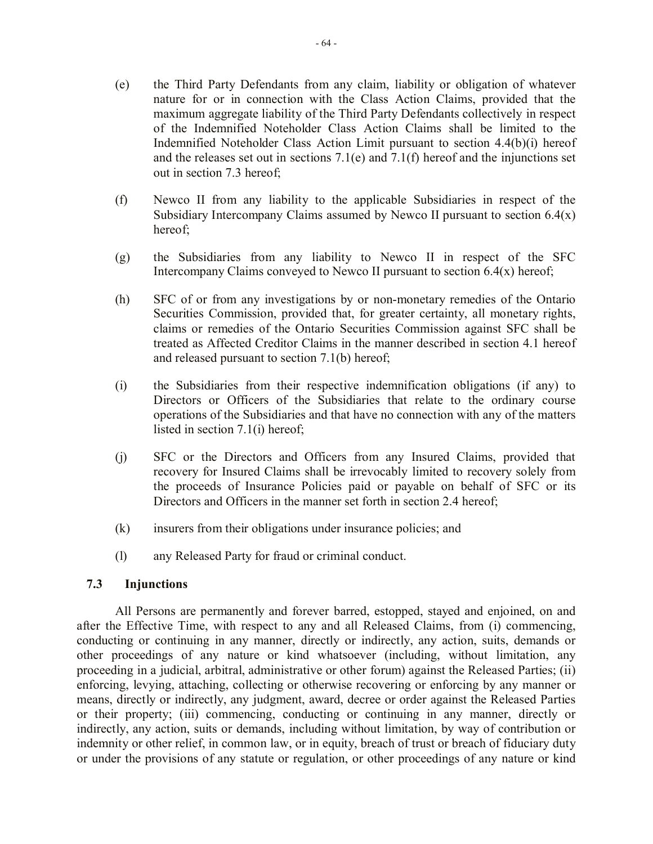- (e) the Third Party Defendants from any claim, liability or obligation of whatever nature for or in connection with the Class Action Claims, provided that the maximum aggregate liability of the Third Party Defendants collectively in respect of the Indemnified Noteholder Class Action Claims shall be limited to the Indemnified Noteholder Class Action Limit pursuant to section 4.4(b)(i) hereof and the releases set out in sections 7.1(e) and 7.1(f) hereof and the injunctions set out in section 7.3 hereof;
- (f) Newco II from any liability to the applicable Subsidiaries in respect of the Subsidiary Intercompany Claims assumed by Newco II pursuant to section  $6.4(x)$ hereof;
- (g) the Subsidiaries from any liability to Newco II in respect of the SFC Intercompany Claims conveyed to Newco II pursuant to section  $6.4(x)$  hereof;
- (h) SFC of or from any investigations by or non-monetary remedies of the Ontario Securities Commission, provided that, for greater certainty, all monetary rights, claims or remedies of the Ontario Securities Commission against SFC shall be treated as Affected Creditor Claims in the manner described in section 4.1 hereof and released pursuant to section 7.1(b) hereof;
- (i) the Subsidiaries from their respective indemnification obligations (if any) to Directors or Officers of the Subsidiaries that relate to the ordinary course operations of the Subsidiaries and that have no connection with any of the matters listed in section 7.1(i) hereof;
- (j) SFC or the Directors and Officers from any Insured Claims, provided that recovery for Insured Claims shall be irrevocably limited to recovery solely from the proceeds of Insurance Policies paid or payable on behalf of SFC or its Directors and Officers in the manner set forth in section 2.4 hereof;
- (k) insurers from their obligations under insurance policies; and
- (l) any Released Party for fraud or criminal conduct.

## **7.3 Injunctions**

All Persons are permanently and forever barred, estopped, stayed and enjoined, on and after the Effective Time, with respect to any and all Released Claims, from (i) commencing, conducting or continuing in any manner, directly or indirectly, any action, suits, demands or other proceedings of any nature or kind whatsoever (including, without limitation, any proceeding in a judicial, arbitral, administrative or other forum) against the Released Parties; (ii) enforcing, levying, attaching, collecting or otherwise recovering or enforcing by any manner or means, directly or indirectly, any judgment, award, decree or order against the Released Parties or their property; (iii) commencing, conducting or continuing in any manner, directly or indirectly, any action, suits or demands, including without limitation, by way of contribution or indemnity or other relief, in common law, or in equity, breach of trust or breach of fiduciary duty or under the provisions of any statute or regulation, or other proceedings of any nature or kind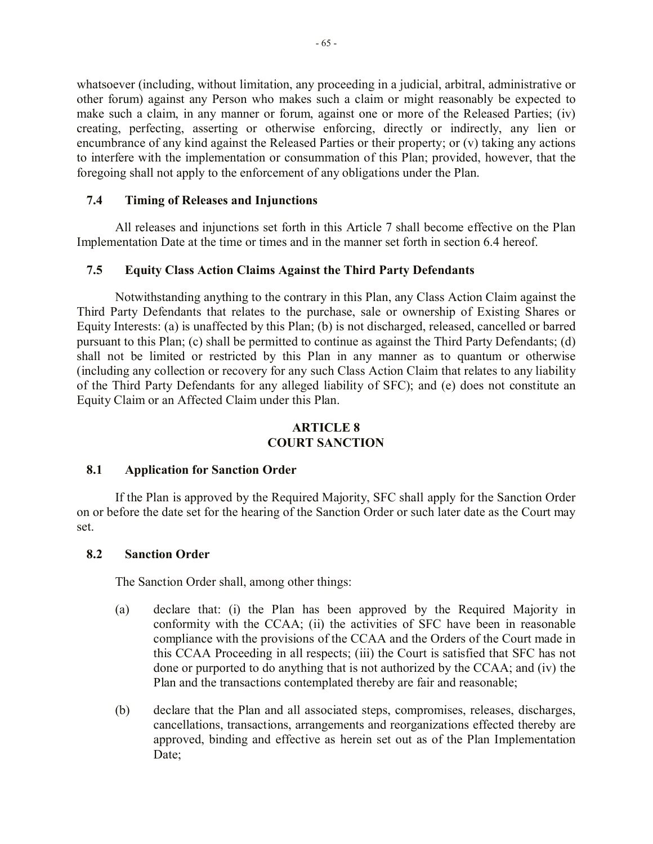whatsoever (including, without limitation, any proceeding in a judicial, arbitral, administrative or other forum) against any Person who makes such a claim or might reasonably be expected to make such a claim, in any manner or forum, against one or more of the Released Parties; (iv) creating, perfecting, asserting or otherwise enforcing, directly or indirectly, any lien or encumbrance of any kind against the Released Parties or their property; or (v) taking any actions to interfere with the implementation or consummation of this Plan; provided, however, that the foregoing shall not apply to the enforcement of any obligations under the Plan.

## **7.4 Timing of Releases and Injunctions**

All releases and injunctions set forth in this Article 7 shall become effective on the Plan Implementation Date at the time or times and in the manner set forth in section 6.4 hereof.

# **7.5 Equity Class Action Claims Against the Third Party Defendants**

Notwithstanding anything to the contrary in this Plan, any Class Action Claim against the Third Party Defendants that relates to the purchase, sale or ownership of Existing Shares or Equity Interests: (a) is unaffected by this Plan; (b) is not discharged, released, cancelled or barred pursuant to this Plan; (c) shall be permitted to continue as against the Third Party Defendants; (d) shall not be limited or restricted by this Plan in any manner as to quantum or otherwise (including any collection or recovery for any such Class Action Claim that relates to any liability of the Third Party Defendants for any alleged liability of SFC); and (e) does not constitute an Equity Claim or an Affected Claim under this Plan.

# **ARTICLE 8 COURT SANCTION**

## **8.1 Application for Sanction Order**

If the Plan is approved by the Required Majority, SFC shall apply for the Sanction Order on or before the date set for the hearing of the Sanction Order or such later date as the Court may set.

## **8.2 Sanction Order**

The Sanction Order shall, among other things:

- (a) declare that: (i) the Plan has been approved by the Required Majority in conformity with the CCAA; (ii) the activities of SFC have been in reasonable compliance with the provisions of the CCAA and the Orders of the Court made in this CCAA Proceeding in all respects; (iii) the Court is satisfied that SFC has not done or purported to do anything that is not authorized by the CCAA; and (iv) the Plan and the transactions contemplated thereby are fair and reasonable;
- (b) declare that the Plan and all associated steps, compromises, releases, discharges, cancellations, transactions, arrangements and reorganizations effected thereby are approved, binding and effective as herein set out as of the Plan Implementation Date: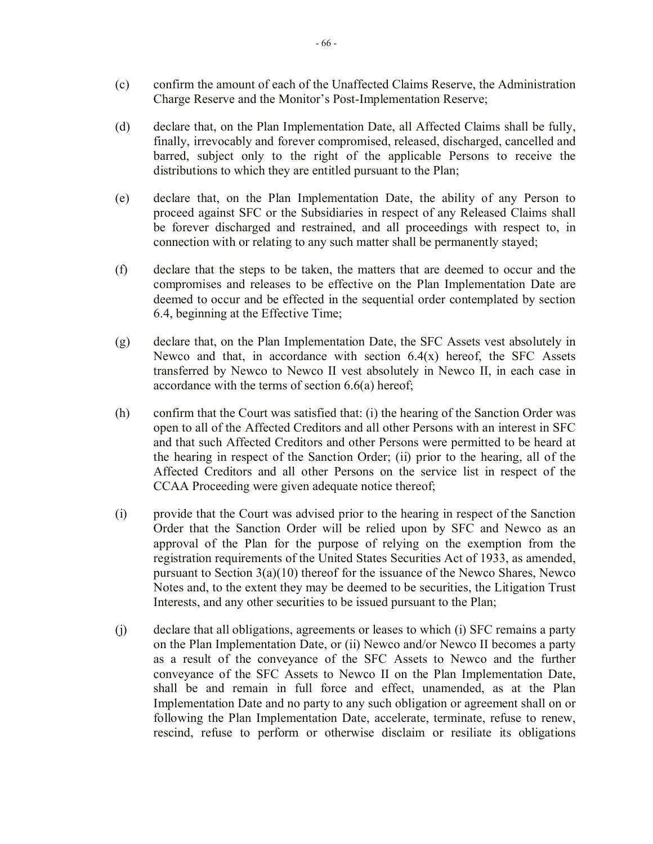- (c) confirm the amount of each of the Unaffected Claims Reserve, the Administration Charge Reserve and the Monitor's Post-Implementation Reserve;
- (d) declare that, on the Plan Implementation Date, all Affected Claims shall be fully, finally, irrevocably and forever compromised, released, discharged, cancelled and barred, subject only to the right of the applicable Persons to receive the distributions to which they are entitled pursuant to the Plan;
- (e) declare that, on the Plan Implementation Date, the ability of any Person to proceed against SFC or the Subsidiaries in respect of any Released Claims shall be forever discharged and restrained, and all proceedings with respect to, in connection with or relating to any such matter shall be permanently stayed;
- (f) declare that the steps to be taken, the matters that are deemed to occur and the compromises and releases to be effective on the Plan Implementation Date are deemed to occur and be effected in the sequential order contemplated by section 6.4, beginning at the Effective Time;
- (g) declare that, on the Plan Implementation Date, the SFC Assets vest absolutely in Newco and that, in accordance with section  $6.4(x)$  hereof, the SFC Assets transferred by Newco to Newco II vest absolutely in Newco II, in each case in accordance with the terms of section 6.6(a) hereof;
- (h) confirm that the Court was satisfied that: (i) the hearing of the Sanction Order was open to all of the Affected Creditors and all other Persons with an interest in SFC and that such Affected Creditors and other Persons were permitted to be heard at the hearing in respect of the Sanction Order; (ii) prior to the hearing, all of the Affected Creditors and all other Persons on the service list in respect of the CCAA Proceeding were given adequate notice thereof;
- (i) provide that the Court was advised prior to the hearing in respect of the Sanction Order that the Sanction Order will be relied upon by SFC and Newco as an approval of the Plan for the purpose of relying on the exemption from the registration requirements of the United States Securities Act of 1933, as amended, pursuant to Section 3(a)(10) thereof for the issuance of the Newco Shares, Newco Notes and, to the extent they may be deemed to be securities, the Litigation Trust Interests, and any other securities to be issued pursuant to the Plan;
- (j) declare that all obligations, agreements or leases to which (i) SFC remains a party on the Plan Implementation Date, or (ii) Newco and/or Newco II becomes a party as a result of the conveyance of the SFC Assets to Newco and the further conveyance of the SFC Assets to Newco II on the Plan Implementation Date, shall be and remain in full force and effect, unamended, as at the Plan Implementation Date and no party to any such obligation or agreement shall on or following the Plan Implementation Date, accelerate, terminate, refuse to renew, rescind, refuse to perform or otherwise disclaim or resiliate its obligations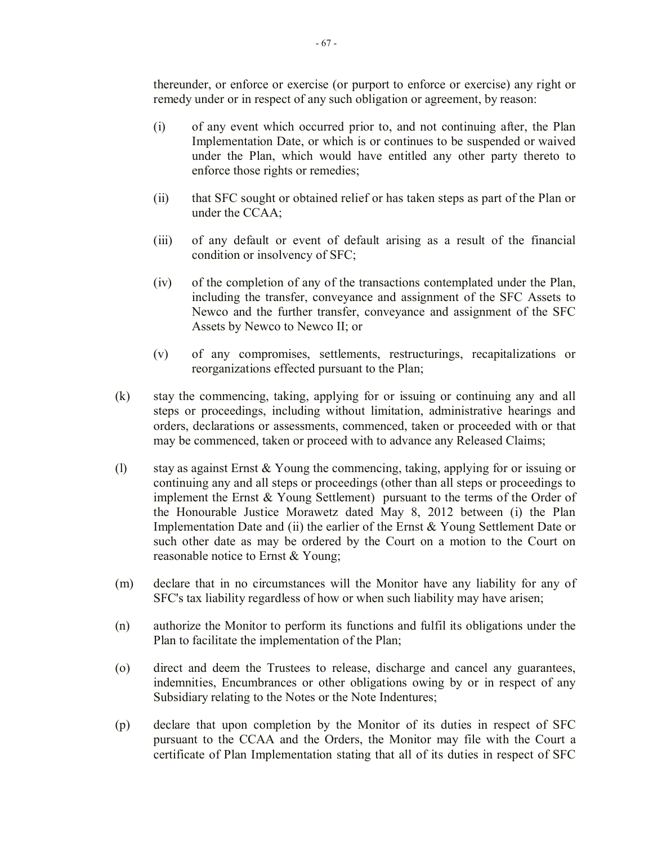thereunder, or enforce or exercise (or purport to enforce or exercise) any right or remedy under or in respect of any such obligation or agreement, by reason:

- (i) of any event which occurred prior to, and not continuing after, the Plan Implementation Date, or which is or continues to be suspended or waived under the Plan, which would have entitled any other party thereto to enforce those rights or remedies;
- (ii) that SFC sought or obtained relief or has taken steps as part of the Plan or under the CCAA;
- (iii) of any default or event of default arising as a result of the financial condition or insolvency of SFC;
- (iv) of the completion of any of the transactions contemplated under the Plan, including the transfer, conveyance and assignment of the SFC Assets to Newco and the further transfer, conveyance and assignment of the SFC Assets by Newco to Newco II; or
- (v) of any compromises, settlements, restructurings, recapitalizations or reorganizations effected pursuant to the Plan;
- (k) stay the commencing, taking, applying for or issuing or continuing any and all steps or proceedings, including without limitation, administrative hearings and orders, declarations or assessments, commenced, taken or proceeded with or that may be commenced, taken or proceed with to advance any Released Claims;
- (l) stay as against Ernst & Young the commencing, taking, applying for or issuing or continuing any and all steps or proceedings (other than all steps or proceedings to implement the Ernst & Young Settlement) pursuant to the terms of the Order of the Honourable Justice Morawetz dated May 8, 2012 between (i) the Plan Implementation Date and (ii) the earlier of the Ernst & Young Settlement Date or such other date as may be ordered by the Court on a motion to the Court on reasonable notice to Ernst & Young;
- (m) declare that in no circumstances will the Monitor have any liability for any of SFC's tax liability regardless of how or when such liability may have arisen;
- (n) authorize the Monitor to perform its functions and fulfil its obligations under the Plan to facilitate the implementation of the Plan;
- (o) direct and deem the Trustees to release, discharge and cancel any guarantees, indemnities, Encumbrances or other obligations owing by or in respect of any Subsidiary relating to the Notes or the Note Indentures;
- (p) declare that upon completion by the Monitor of its duties in respect of SFC pursuant to the CCAA and the Orders, the Monitor may file with the Court a certificate of Plan Implementation stating that all of its duties in respect of SFC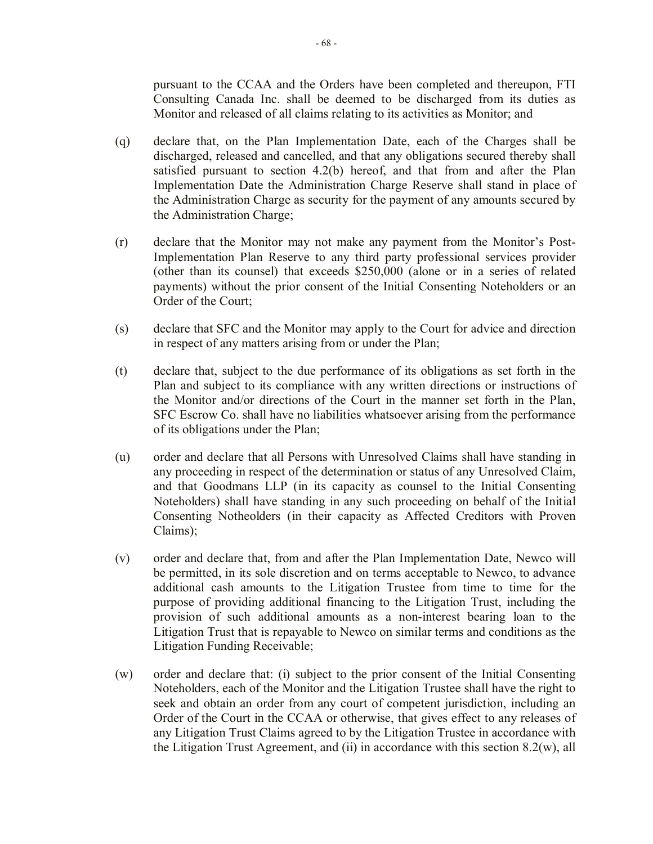pursuant to the CCAA and the Orders have been completed and thereupon, FTI Consulting Canada Inc. shall be deemed to be discharged from its duties as Monitor and released of all claims relating to its activities as Monitor; and

- (q) declare that, on the Plan Implementation Date, each of the Charges shall be discharged, released and cancelled, and that any obligations secured thereby shall satisfied pursuant to section 4.2(b) hereof, and that from and after the Plan Implementation Date the Administration Charge Reserve shall stand in place of the Administration Charge as security for the payment of any amounts secured by the Administration Charge;
- (r) declare that the Monitor may not make any payment from the Monitor's Post-Implementation Plan Reserve to any third party professional services provider (other than its counsel) that exceeds \$250,000 (alone or in a series of related payments) without the prior consent of the Initial Consenting Noteholders or an Order of the Court;
- (s) declare that SFC and the Monitor may apply to the Court for advice and direction in respect of any matters arising from or under the Plan;
- (t) declare that, subject to the due performance of its obligations as set forth in the Plan and subject to its compliance with any written directions or instructions of the Monitor and/or directions of the Court in the manner set forth in the Plan, SFC Escrow Co. shall have no liabilities whatsoever arising from the performance of its obligations under the Plan;
- (u) order and declare that all Persons with Unresolved Claims shall have standing in any proceeding in respect of the determination or status of any Unresolved Claim, and that Goodmans LLP (in its capacity as counsel to the Initial Consenting Noteholders) shall have standing in any such proceeding on behalf of the Initial Consenting Notheolders (in their capacity as Affected Creditors with Proven Claims);
- (v) order and declare that, from and after the Plan Implementation Date, Newco will be permitted, in its sole discretion and on terms acceptable to Newco, to advance additional cash amounts to the Litigation Trustee from time to time for the purpose of providing additional financing to the Litigation Trust, including the provision of such additional amounts as a non-interest bearing loan to the Litigation Trust that is repayable to Newco on similar terms and conditions as the Litigation Funding Receivable;
- (w) order and declare that: (i) subject to the prior consent of the Initial Consenting Noteholders, each of the Monitor and the Litigation Trustee shall have the right to seek and obtain an order from any court of competent jurisdiction, including an Order of the Court in the CCAA or otherwise, that gives effect to any releases of any Litigation Trust Claims agreed to by the Litigation Trustee in accordance with the Litigation Trust Agreement, and (ii) in accordance with this section 8.2(w), all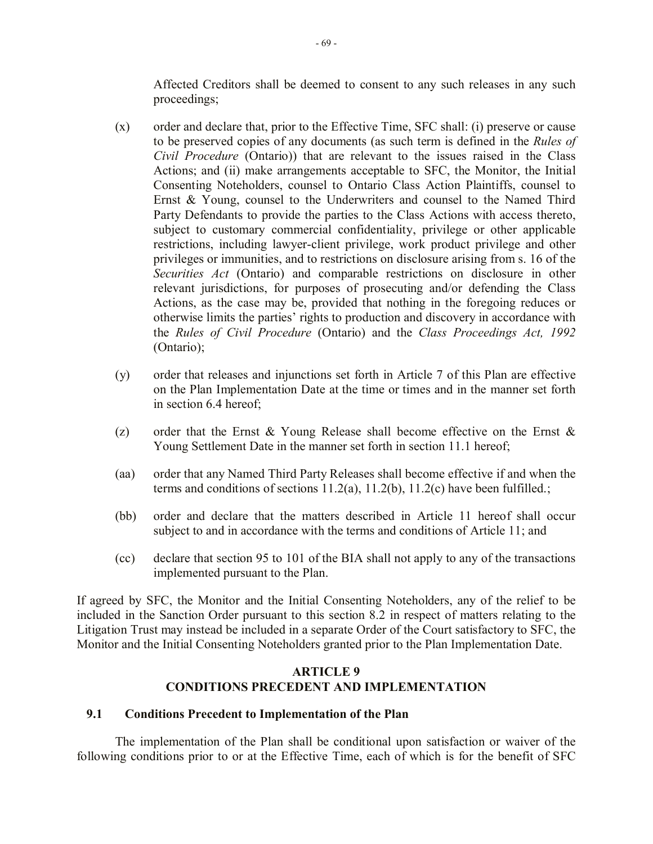Affected Creditors shall be deemed to consent to any such releases in any such proceedings;

- (x) order and declare that, prior to the Effective Time, SFC shall: (i) preserve or cause to be preserved copies of any documents (as such term is defined in the *Rules of Civil Procedure* (Ontario)) that are relevant to the issues raised in the Class Actions; and (ii) make arrangements acceptable to SFC, the Monitor, the Initial Consenting Noteholders, counsel to Ontario Class Action Plaintiffs, counsel to Ernst & Young, counsel to the Underwriters and counsel to the Named Third Party Defendants to provide the parties to the Class Actions with access thereto, subject to customary commercial confidentiality, privilege or other applicable restrictions, including lawyer-client privilege, work product privilege and other privileges or immunities, and to restrictions on disclosure arising from s. 16 of the *Securities Act* (Ontario) and comparable restrictions on disclosure in other relevant jurisdictions, for purposes of prosecuting and/or defending the Class Actions, as the case may be, provided that nothing in the foregoing reduces or otherwise limits the parties' rights to production and discovery in accordance with the *Rules of Civil Procedure* (Ontario) and the *Class Proceedings Act, 1992*  (Ontario);
- (y) order that releases and injunctions set forth in Article 7 of this Plan are effective on the Plan Implementation Date at the time or times and in the manner set forth in section 6.4 hereof;
- (z) order that the Ernst & Young Release shall become effective on the Ernst & Young Settlement Date in the manner set forth in section 11.1 hereof;
- (aa) order that any Named Third Party Releases shall become effective if and when the terms and conditions of sections  $11.2(a)$ ,  $11.2(b)$ ,  $11.2(c)$  have been fulfilled.;
- (bb) order and declare that the matters described in Article 11 hereof shall occur subject to and in accordance with the terms and conditions of Article 11; and
- (cc) declare that section 95 to 101 of the BIA shall not apply to any of the transactions implemented pursuant to the Plan.

If agreed by SFC, the Monitor and the Initial Consenting Noteholders, any of the relief to be included in the Sanction Order pursuant to this section 8.2 in respect of matters relating to the Litigation Trust may instead be included in a separate Order of the Court satisfactory to SFC, the Monitor and the Initial Consenting Noteholders granted prior to the Plan Implementation Date.

# **ARTICLE 9 CONDITIONS PRECEDENT AND IMPLEMENTATION**

## **9.1 Conditions Precedent to Implementation of the Plan**

The implementation of the Plan shall be conditional upon satisfaction or waiver of the following conditions prior to or at the Effective Time, each of which is for the benefit of SFC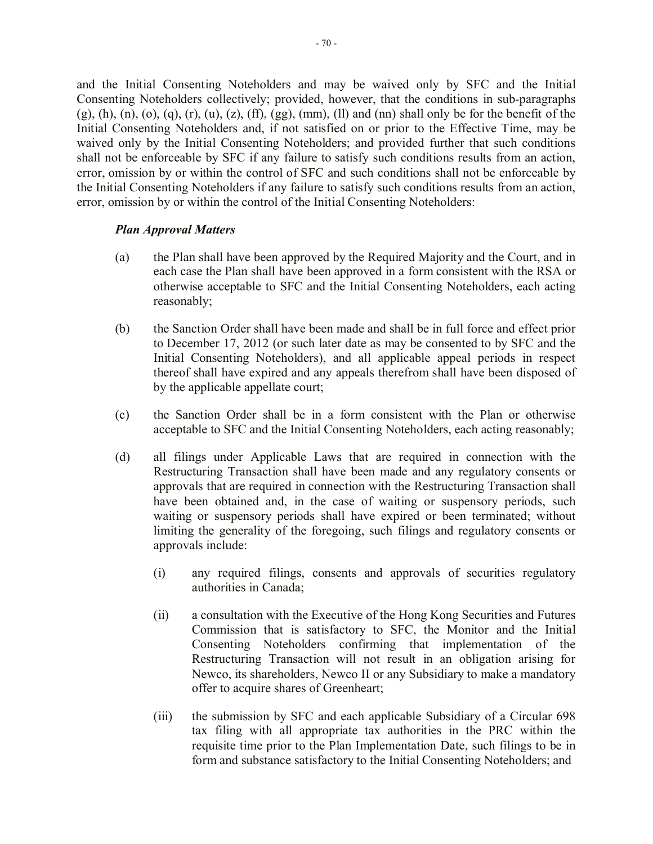and the Initial Consenting Noteholders and may be waived only by SFC and the Initial Consenting Noteholders collectively; provided, however, that the conditions in sub-paragraphs  $(g)$ , (h), (n), (o), (q), (r), (u), (z), (ff), (gg), (mm), (ll) and (nn) shall only be for the benefit of the Initial Consenting Noteholders and, if not satisfied on or prior to the Effective Time, may be waived only by the Initial Consenting Noteholders; and provided further that such conditions shall not be enforceable by SFC if any failure to satisfy such conditions results from an action, error, omission by or within the control of SFC and such conditions shall not be enforceable by the Initial Consenting Noteholders if any failure to satisfy such conditions results from an action, error, omission by or within the control of the Initial Consenting Noteholders:

## *Plan Approval Matters*

- (a) the Plan shall have been approved by the Required Majority and the Court, and in each case the Plan shall have been approved in a form consistent with the RSA or otherwise acceptable to SFC and the Initial Consenting Noteholders, each acting reasonably;
- (b) the Sanction Order shall have been made and shall be in full force and effect prior to December 17, 2012 (or such later date as may be consented to by SFC and the Initial Consenting Noteholders), and all applicable appeal periods in respect thereof shall have expired and any appeals therefrom shall have been disposed of by the applicable appellate court;
- (c) the Sanction Order shall be in a form consistent with the Plan or otherwise acceptable to SFC and the Initial Consenting Noteholders, each acting reasonably;
- (d) all filings under Applicable Laws that are required in connection with the Restructuring Transaction shall have been made and any regulatory consents or approvals that are required in connection with the Restructuring Transaction shall have been obtained and, in the case of waiting or suspensory periods, such waiting or suspensory periods shall have expired or been terminated; without limiting the generality of the foregoing, such filings and regulatory consents or approvals include:
	- (i) any required filings, consents and approvals of securities regulatory authorities in Canada;
	- (ii) a consultation with the Executive of the Hong Kong Securities and Futures Commission that is satisfactory to SFC, the Monitor and the Initial Consenting Noteholders confirming that implementation of the Restructuring Transaction will not result in an obligation arising for Newco, its shareholders, Newco II or any Subsidiary to make a mandatory offer to acquire shares of Greenheart;
	- (iii) the submission by SFC and each applicable Subsidiary of a Circular 698 tax filing with all appropriate tax authorities in the PRC within the requisite time prior to the Plan Implementation Date, such filings to be in form and substance satisfactory to the Initial Consenting Noteholders; and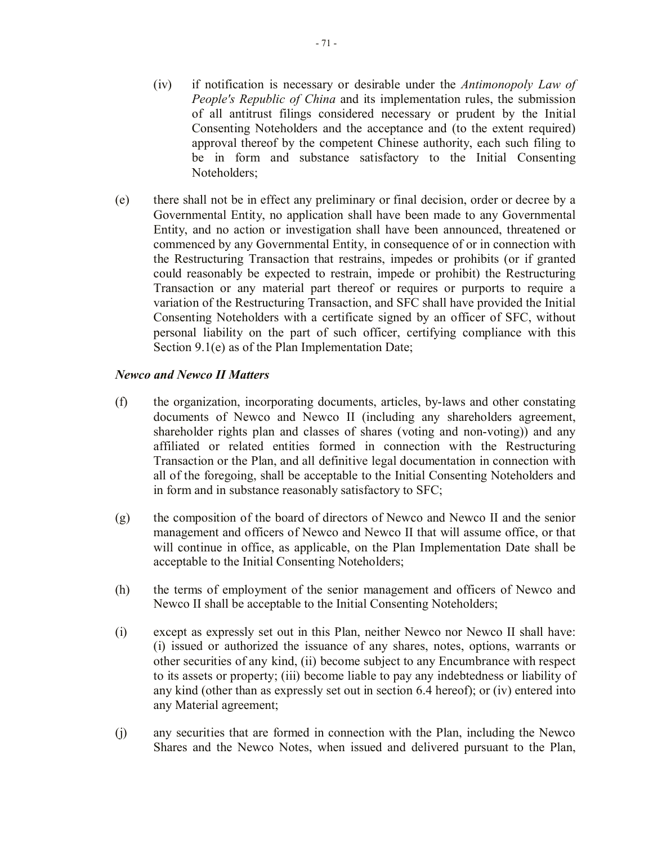- (iv) if notification is necessary or desirable under the *Antimonopoly Law of People's Republic of China* and its implementation rules, the submission of all antitrust filings considered necessary or prudent by the Initial Consenting Noteholders and the acceptance and (to the extent required) approval thereof by the competent Chinese authority, each such filing to be in form and substance satisfactory to the Initial Consenting Noteholders;
- (e) there shall not be in effect any preliminary or final decision, order or decree by a Governmental Entity, no application shall have been made to any Governmental Entity, and no action or investigation shall have been announced, threatened or commenced by any Governmental Entity, in consequence of or in connection with the Restructuring Transaction that restrains, impedes or prohibits (or if granted could reasonably be expected to restrain, impede or prohibit) the Restructuring Transaction or any material part thereof or requires or purports to require a variation of the Restructuring Transaction, and SFC shall have provided the Initial Consenting Noteholders with a certificate signed by an officer of SFC, without personal liability on the part of such officer, certifying compliance with this Section 9.1(e) as of the Plan Implementation Date;

## *Newco and Newco II Matters*

- (f) the organization, incorporating documents, articles, by-laws and other constating documents of Newco and Newco II (including any shareholders agreement, shareholder rights plan and classes of shares (voting and non-voting)) and any affiliated or related entities formed in connection with the Restructuring Transaction or the Plan, and all definitive legal documentation in connection with all of the foregoing, shall be acceptable to the Initial Consenting Noteholders and in form and in substance reasonably satisfactory to SFC;
- (g) the composition of the board of directors of Newco and Newco II and the senior management and officers of Newco and Newco II that will assume office, or that will continue in office, as applicable, on the Plan Implementation Date shall be acceptable to the Initial Consenting Noteholders;
- (h) the terms of employment of the senior management and officers of Newco and Newco II shall be acceptable to the Initial Consenting Noteholders;
- (i) except as expressly set out in this Plan, neither Newco nor Newco II shall have: (i) issued or authorized the issuance of any shares, notes, options, warrants or other securities of any kind, (ii) become subject to any Encumbrance with respect to its assets or property; (iii) become liable to pay any indebtedness or liability of any kind (other than as expressly set out in section 6.4 hereof); or (iv) entered into any Material agreement;
- (j) any securities that are formed in connection with the Plan, including the Newco Shares and the Newco Notes, when issued and delivered pursuant to the Plan,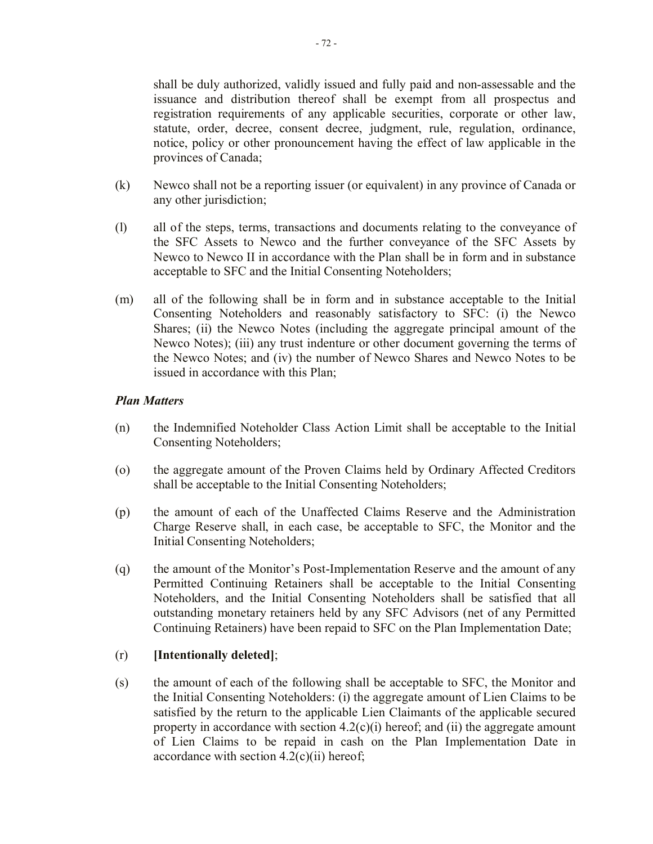shall be duly authorized, validly issued and fully paid and non-assessable and the issuance and distribution thereof shall be exempt from all prospectus and registration requirements of any applicable securities, corporate or other law, statute, order, decree, consent decree, judgment, rule, regulation, ordinance, notice, policy or other pronouncement having the effect of law applicable in the provinces of Canada;

- (k) Newco shall not be a reporting issuer (or equivalent) in any province of Canada or any other jurisdiction;
- (l) all of the steps, terms, transactions and documents relating to the conveyance of the SFC Assets to Newco and the further conveyance of the SFC Assets by Newco to Newco II in accordance with the Plan shall be in form and in substance acceptable to SFC and the Initial Consenting Noteholders;
- (m) all of the following shall be in form and in substance acceptable to the Initial Consenting Noteholders and reasonably satisfactory to SFC: (i) the Newco Shares; (ii) the Newco Notes (including the aggregate principal amount of the Newco Notes); (iii) any trust indenture or other document governing the terms of the Newco Notes; and (iv) the number of Newco Shares and Newco Notes to be issued in accordance with this Plan;

# *Plan Matters*

- (n) the Indemnified Noteholder Class Action Limit shall be acceptable to the Initial Consenting Noteholders;
- (o) the aggregate amount of the Proven Claims held by Ordinary Affected Creditors shall be acceptable to the Initial Consenting Noteholders;
- (p) the amount of each of the Unaffected Claims Reserve and the Administration Charge Reserve shall, in each case, be acceptable to SFC, the Monitor and the Initial Consenting Noteholders;
- (q) the amount of the Monitor's Post-Implementation Reserve and the amount of any Permitted Continuing Retainers shall be acceptable to the Initial Consenting Noteholders, and the Initial Consenting Noteholders shall be satisfied that all outstanding monetary retainers held by any SFC Advisors (net of any Permitted Continuing Retainers) have been repaid to SFC on the Plan Implementation Date;

# (r) **[Intentionally deleted]**;

(s) the amount of each of the following shall be acceptable to SFC, the Monitor and the Initial Consenting Noteholders: (i) the aggregate amount of Lien Claims to be satisfied by the return to the applicable Lien Claimants of the applicable secured property in accordance with section  $4.2(c)(i)$  hereof; and (ii) the aggregate amount of Lien Claims to be repaid in cash on the Plan Implementation Date in accordance with section  $4.2(c)(ii)$  hereof;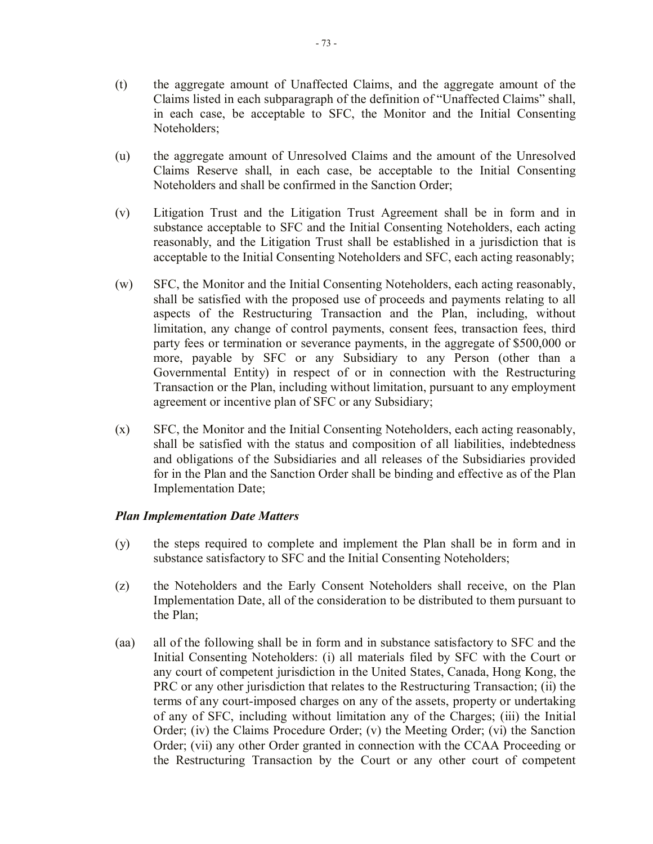- (t) the aggregate amount of Unaffected Claims, and the aggregate amount of the Claims listed in each subparagraph of the definition of "Unaffected Claims" shall, in each case, be acceptable to SFC, the Monitor and the Initial Consenting Noteholders;
- (u) the aggregate amount of Unresolved Claims and the amount of the Unresolved Claims Reserve shall, in each case, be acceptable to the Initial Consenting Noteholders and shall be confirmed in the Sanction Order;
- (v) Litigation Trust and the Litigation Trust Agreement shall be in form and in substance acceptable to SFC and the Initial Consenting Noteholders, each acting reasonably, and the Litigation Trust shall be established in a jurisdiction that is acceptable to the Initial Consenting Noteholders and SFC, each acting reasonably;
- (w) SFC, the Monitor and the Initial Consenting Noteholders, each acting reasonably, shall be satisfied with the proposed use of proceeds and payments relating to all aspects of the Restructuring Transaction and the Plan, including, without limitation, any change of control payments, consent fees, transaction fees, third party fees or termination or severance payments, in the aggregate of \$500,000 or more, payable by SFC or any Subsidiary to any Person (other than a Governmental Entity) in respect of or in connection with the Restructuring Transaction or the Plan, including without limitation, pursuant to any employment agreement or incentive plan of SFC or any Subsidiary;
- (x) SFC, the Monitor and the Initial Consenting Noteholders, each acting reasonably, shall be satisfied with the status and composition of all liabilities, indebtedness and obligations of the Subsidiaries and all releases of the Subsidiaries provided for in the Plan and the Sanction Order shall be binding and effective as of the Plan Implementation Date;

# *Plan Implementation Date Matters*

- (y) the steps required to complete and implement the Plan shall be in form and in substance satisfactory to SFC and the Initial Consenting Noteholders;
- (z) the Noteholders and the Early Consent Noteholders shall receive, on the Plan Implementation Date, all of the consideration to be distributed to them pursuant to the Plan;
- (aa) all of the following shall be in form and in substance satisfactory to SFC and the Initial Consenting Noteholders: (i) all materials filed by SFC with the Court or any court of competent jurisdiction in the United States, Canada, Hong Kong, the PRC or any other jurisdiction that relates to the Restructuring Transaction; (ii) the terms of any court-imposed charges on any of the assets, property or undertaking of any of SFC, including without limitation any of the Charges; (iii) the Initial Order; (iv) the Claims Procedure Order; (v) the Meeting Order; (vi) the Sanction Order; (vii) any other Order granted in connection with the CCAA Proceeding or the Restructuring Transaction by the Court or any other court of competent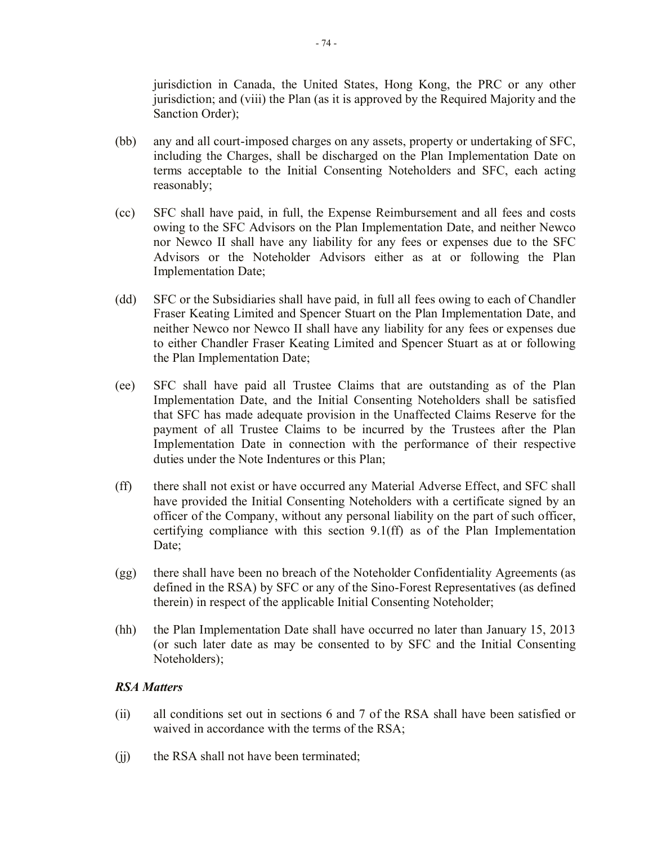jurisdiction in Canada, the United States, Hong Kong, the PRC or any other jurisdiction; and (viii) the Plan (as it is approved by the Required Majority and the Sanction Order);

- (bb) any and all court-imposed charges on any assets, property or undertaking of SFC, including the Charges, shall be discharged on the Plan Implementation Date on terms acceptable to the Initial Consenting Noteholders and SFC, each acting reasonably;
- (cc) SFC shall have paid, in full, the Expense Reimbursement and all fees and costs owing to the SFC Advisors on the Plan Implementation Date, and neither Newco nor Newco II shall have any liability for any fees or expenses due to the SFC Advisors or the Noteholder Advisors either as at or following the Plan Implementation Date;
- (dd) SFC or the Subsidiaries shall have paid, in full all fees owing to each of Chandler Fraser Keating Limited and Spencer Stuart on the Plan Implementation Date, and neither Newco nor Newco II shall have any liability for any fees or expenses due to either Chandler Fraser Keating Limited and Spencer Stuart as at or following the Plan Implementation Date;
- (ee) SFC shall have paid all Trustee Claims that are outstanding as of the Plan Implementation Date, and the Initial Consenting Noteholders shall be satisfied that SFC has made adequate provision in the Unaffected Claims Reserve for the payment of all Trustee Claims to be incurred by the Trustees after the Plan Implementation Date in connection with the performance of their respective duties under the Note Indentures or this Plan;
- (ff) there shall not exist or have occurred any Material Adverse Effect, and SFC shall have provided the Initial Consenting Noteholders with a certificate signed by an officer of the Company, without any personal liability on the part of such officer, certifying compliance with this section 9.1(ff) as of the Plan Implementation Date;
- (gg) there shall have been no breach of the Noteholder Confidentiality Agreements (as defined in the RSA) by SFC or any of the Sino-Forest Representatives (as defined therein) in respect of the applicable Initial Consenting Noteholder;
- (hh) the Plan Implementation Date shall have occurred no later than January 15, 2013 (or such later date as may be consented to by SFC and the Initial Consenting Noteholders);

# *RSA Matters*

- (ii) all conditions set out in sections 6 and 7 of the RSA shall have been satisfied or waived in accordance with the terms of the RSA;
- (ii) the RSA shall not have been terminated;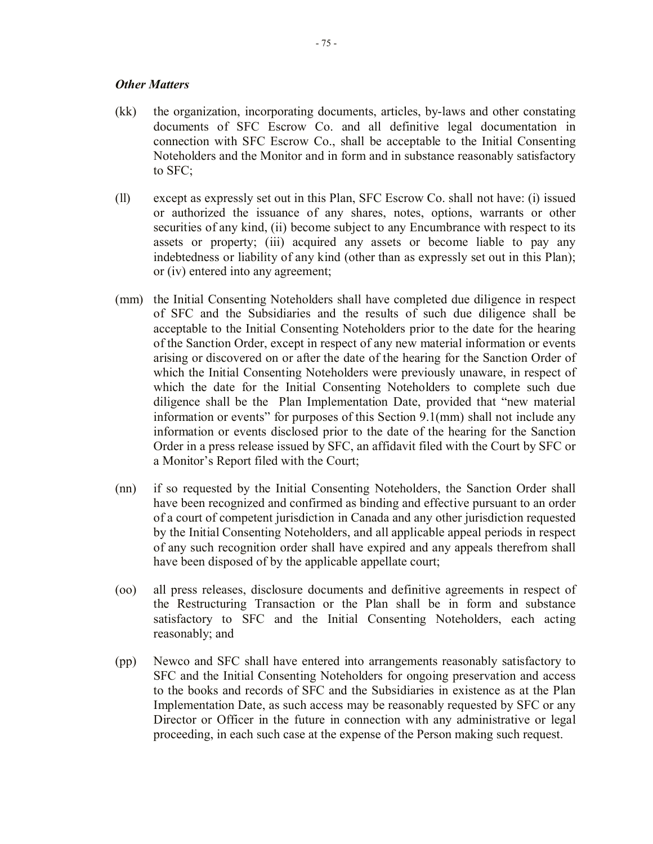### *Other Matters*

- (kk) the organization, incorporating documents, articles, by-laws and other constating documents of SFC Escrow Co. and all definitive legal documentation in connection with SFC Escrow Co., shall be acceptable to the Initial Consenting Noteholders and the Monitor and in form and in substance reasonably satisfactory to SFC;
- (ll) except as expressly set out in this Plan, SFC Escrow Co. shall not have: (i) issued or authorized the issuance of any shares, notes, options, warrants or other securities of any kind, (ii) become subject to any Encumbrance with respect to its assets or property; (iii) acquired any assets or become liable to pay any indebtedness or liability of any kind (other than as expressly set out in this Plan); or (iv) entered into any agreement;
- (mm) the Initial Consenting Noteholders shall have completed due diligence in respect of SFC and the Subsidiaries and the results of such due diligence shall be acceptable to the Initial Consenting Noteholders prior to the date for the hearing of the Sanction Order, except in respect of any new material information or events arising or discovered on or after the date of the hearing for the Sanction Order of which the Initial Consenting Noteholders were previously unaware, in respect of which the date for the Initial Consenting Noteholders to complete such due diligence shall be the Plan Implementation Date, provided that "new material information or events" for purposes of this Section 9.1(mm) shall not include any information or events disclosed prior to the date of the hearing for the Sanction Order in a press release issued by SFC, an affidavit filed with the Court by SFC or a Monitor's Report filed with the Court;
- (nn) if so requested by the Initial Consenting Noteholders, the Sanction Order shall have been recognized and confirmed as binding and effective pursuant to an order of a court of competent jurisdiction in Canada and any other jurisdiction requested by the Initial Consenting Noteholders, and all applicable appeal periods in respect of any such recognition order shall have expired and any appeals therefrom shall have been disposed of by the applicable appellate court;
- (oo) all press releases, disclosure documents and definitive agreements in respect of the Restructuring Transaction or the Plan shall be in form and substance satisfactory to SFC and the Initial Consenting Noteholders, each acting reasonably; and
- (pp) Newco and SFC shall have entered into arrangements reasonably satisfactory to SFC and the Initial Consenting Noteholders for ongoing preservation and access to the books and records of SFC and the Subsidiaries in existence as at the Plan Implementation Date, as such access may be reasonably requested by SFC or any Director or Officer in the future in connection with any administrative or legal proceeding, in each such case at the expense of the Person making such request.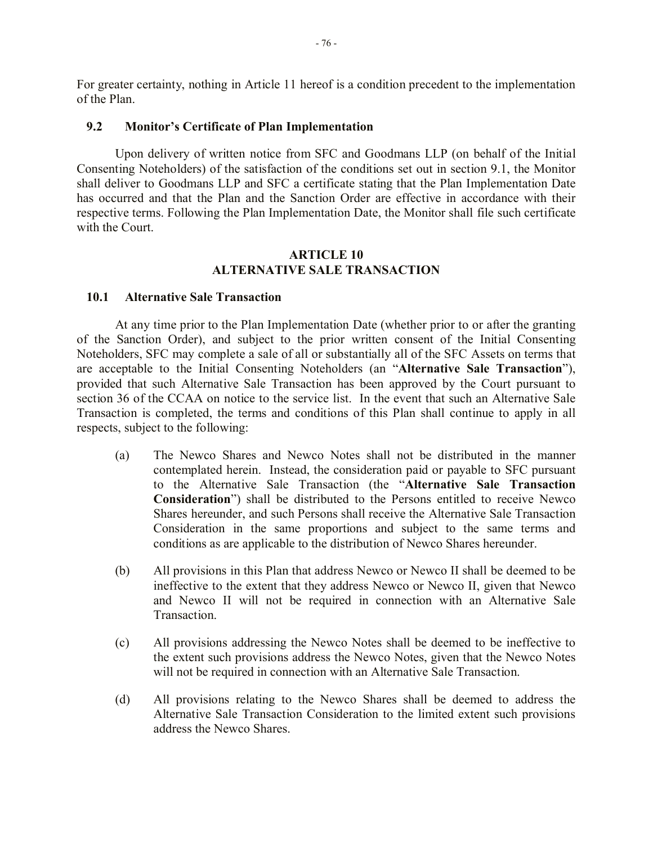For greater certainty, nothing in Article 11 hereof is a condition precedent to the implementation of the Plan.

### **9.2 Monitor's Certificate of Plan Implementation**

Upon delivery of written notice from SFC and Goodmans LLP (on behalf of the Initial Consenting Noteholders) of the satisfaction of the conditions set out in section 9.1, the Monitor shall deliver to Goodmans LLP and SFC a certificate stating that the Plan Implementation Date has occurred and that the Plan and the Sanction Order are effective in accordance with their respective terms. Following the Plan Implementation Date, the Monitor shall file such certificate with the Court.

### **ARTICLE 10 ALTERNATIVE SALE TRANSACTION**

### **10.1 Alternative Sale Transaction**

At any time prior to the Plan Implementation Date (whether prior to or after the granting of the Sanction Order), and subject to the prior written consent of the Initial Consenting Noteholders, SFC may complete a sale of all or substantially all of the SFC Assets on terms that are acceptable to the Initial Consenting Noteholders (an "**Alternative Sale Transaction**"), provided that such Alternative Sale Transaction has been approved by the Court pursuant to section 36 of the CCAA on notice to the service list. In the event that such an Alternative Sale Transaction is completed, the terms and conditions of this Plan shall continue to apply in all respects, subject to the following:

- (a) The Newco Shares and Newco Notes shall not be distributed in the manner contemplated herein. Instead, the consideration paid or payable to SFC pursuant to the Alternative Sale Transaction (the "**Alternative Sale Transaction Consideration**") shall be distributed to the Persons entitled to receive Newco Shares hereunder, and such Persons shall receive the Alternative Sale Transaction Consideration in the same proportions and subject to the same terms and conditions as are applicable to the distribution of Newco Shares hereunder.
- (b) All provisions in this Plan that address Newco or Newco II shall be deemed to be ineffective to the extent that they address Newco or Newco II, given that Newco and Newco II will not be required in connection with an Alternative Sale Transaction.
- (c) All provisions addressing the Newco Notes shall be deemed to be ineffective to the extent such provisions address the Newco Notes, given that the Newco Notes will not be required in connection with an Alternative Sale Transaction.
- (d) All provisions relating to the Newco Shares shall be deemed to address the Alternative Sale Transaction Consideration to the limited extent such provisions address the Newco Shares.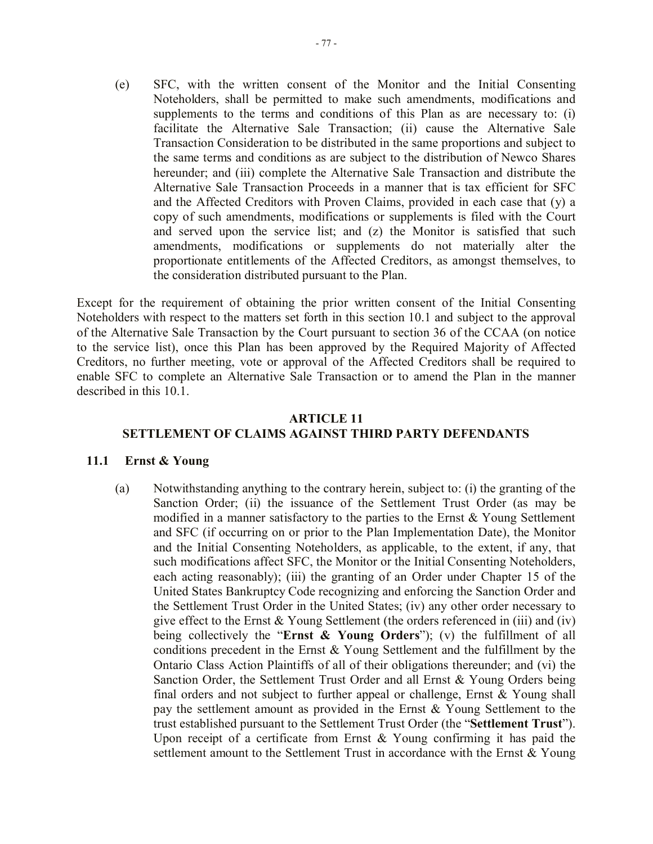(e) SFC, with the written consent of the Monitor and the Initial Consenting Noteholders, shall be permitted to make such amendments, modifications and supplements to the terms and conditions of this Plan as are necessary to: (i) facilitate the Alternative Sale Transaction; (ii) cause the Alternative Sale Transaction Consideration to be distributed in the same proportions and subject to the same terms and conditions as are subject to the distribution of Newco Shares hereunder; and (iii) complete the Alternative Sale Transaction and distribute the Alternative Sale Transaction Proceeds in a manner that is tax efficient for SFC and the Affected Creditors with Proven Claims, provided in each case that (y) a copy of such amendments, modifications or supplements is filed with the Court and served upon the service list; and (z) the Monitor is satisfied that such amendments, modifications or supplements do not materially alter the proportionate entitlements of the Affected Creditors, as amongst themselves, to the consideration distributed pursuant to the Plan.

Except for the requirement of obtaining the prior written consent of the Initial Consenting Noteholders with respect to the matters set forth in this section 10.1 and subject to the approval of the Alternative Sale Transaction by the Court pursuant to section 36 of the CCAA (on notice to the service list), once this Plan has been approved by the Required Majority of Affected Creditors, no further meeting, vote or approval of the Affected Creditors shall be required to enable SFC to complete an Alternative Sale Transaction or to amend the Plan in the manner described in this 10.1.

# **ARTICLE 11 SETTLEMENT OF CLAIMS AGAINST THIRD PARTY DEFENDANTS**

# **11.1 Ernst & Young**

(a) Notwithstanding anything to the contrary herein, subject to: (i) the granting of the Sanction Order; (ii) the issuance of the Settlement Trust Order (as may be modified in a manner satisfactory to the parties to the Ernst & Young Settlement and SFC (if occurring on or prior to the Plan Implementation Date), the Monitor and the Initial Consenting Noteholders, as applicable, to the extent, if any, that such modifications affect SFC, the Monitor or the Initial Consenting Noteholders, each acting reasonably); (iii) the granting of an Order under Chapter 15 of the United States Bankruptcy Code recognizing and enforcing the Sanction Order and the Settlement Trust Order in the United States; (iv) any other order necessary to give effect to the Ernst & Young Settlement (the orders referenced in (iii) and (iv) being collectively the "**Ernst & Young Orders**"); (v) the fulfillment of all conditions precedent in the Ernst & Young Settlement and the fulfillment by the Ontario Class Action Plaintiffs of all of their obligations thereunder; and (vi) the Sanction Order, the Settlement Trust Order and all Ernst & Young Orders being final orders and not subject to further appeal or challenge, Ernst  $&$  Young shall pay the settlement amount as provided in the Ernst & Young Settlement to the trust established pursuant to the Settlement Trust Order (the "**Settlement Trust**"). Upon receipt of a certificate from Ernst  $&$  Young confirming it has paid the settlement amount to the Settlement Trust in accordance with the Ernst & Young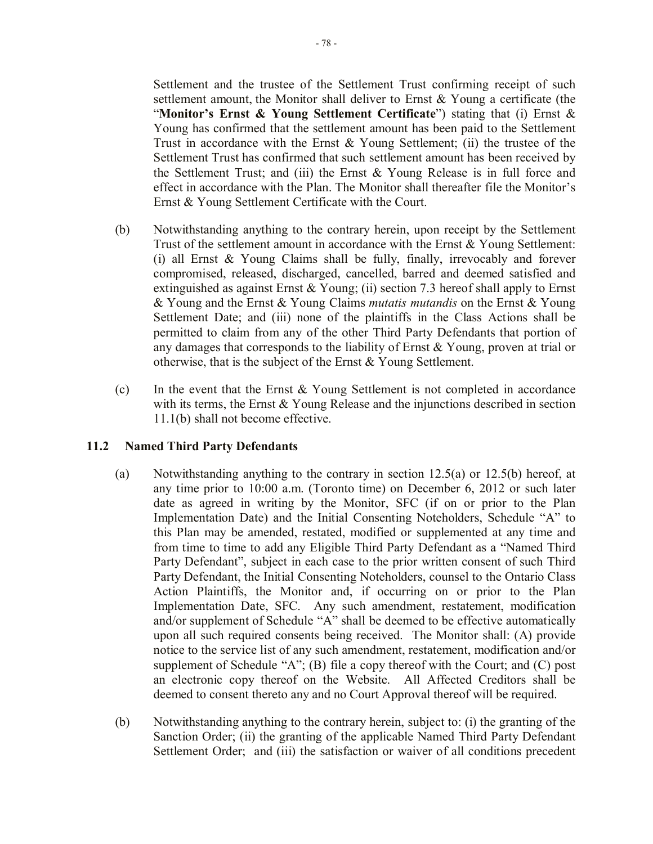Settlement and the trustee of the Settlement Trust confirming receipt of such settlement amount, the Monitor shall deliver to Ernst & Young a certificate (the "**Monitor's Ernst & Young Settlement Certificate**") stating that (i) Ernst & Young has confirmed that the settlement amount has been paid to the Settlement Trust in accordance with the Ernst  $\&$  Young Settlement; (ii) the trustee of the Settlement Trust has confirmed that such settlement amount has been received by the Settlement Trust; and (iii) the Ernst & Young Release is in full force and effect in accordance with the Plan. The Monitor shall thereafter file the Monitor's Ernst & Young Settlement Certificate with the Court.

- (b) Notwithstanding anything to the contrary herein, upon receipt by the Settlement Trust of the settlement amount in accordance with the Ernst & Young Settlement: (i) all Ernst & Young Claims shall be fully, finally, irrevocably and forever compromised, released, discharged, cancelled, barred and deemed satisfied and extinguished as against Ernst & Young; (ii) section 7.3 hereof shall apply to Ernst & Young and the Ernst & Young Claims *mutatis mutandis* on the Ernst & Young Settlement Date; and (iii) none of the plaintiffs in the Class Actions shall be permitted to claim from any of the other Third Party Defendants that portion of any damages that corresponds to the liability of Ernst & Young, proven at trial or otherwise, that is the subject of the Ernst & Young Settlement.
- (c) In the event that the Ernst  $&$  Young Settlement is not completed in accordance with its terms, the Ernst  $&$  Young Release and the injunctions described in section 11.1(b) shall not become effective.

# **11.2 Named Third Party Defendants**

- (a) Notwithstanding anything to the contrary in section 12.5(a) or 12.5(b) hereof, at any time prior to 10:00 a.m. (Toronto time) on December 6, 2012 or such later date as agreed in writing by the Monitor, SFC (if on or prior to the Plan Implementation Date) and the Initial Consenting Noteholders, Schedule "A" to this Plan may be amended, restated, modified or supplemented at any time and from time to time to add any Eligible Third Party Defendant as a "Named Third Party Defendant", subject in each case to the prior written consent of such Third Party Defendant, the Initial Consenting Noteholders, counsel to the Ontario Class Action Plaintiffs, the Monitor and, if occurring on or prior to the Plan Implementation Date, SFC. Any such amendment, restatement, modification and/or supplement of Schedule "A" shall be deemed to be effective automatically upon all such required consents being received. The Monitor shall: (A) provide notice to the service list of any such amendment, restatement, modification and/or supplement of Schedule "A"; (B) file a copy thereof with the Court; and (C) post an electronic copy thereof on the Website. All Affected Creditors shall be deemed to consent thereto any and no Court Approval thereof will be required.
- (b) Notwithstanding anything to the contrary herein, subject to: (i) the granting of the Sanction Order; (ii) the granting of the applicable Named Third Party Defendant Settlement Order; and (iii) the satisfaction or waiver of all conditions precedent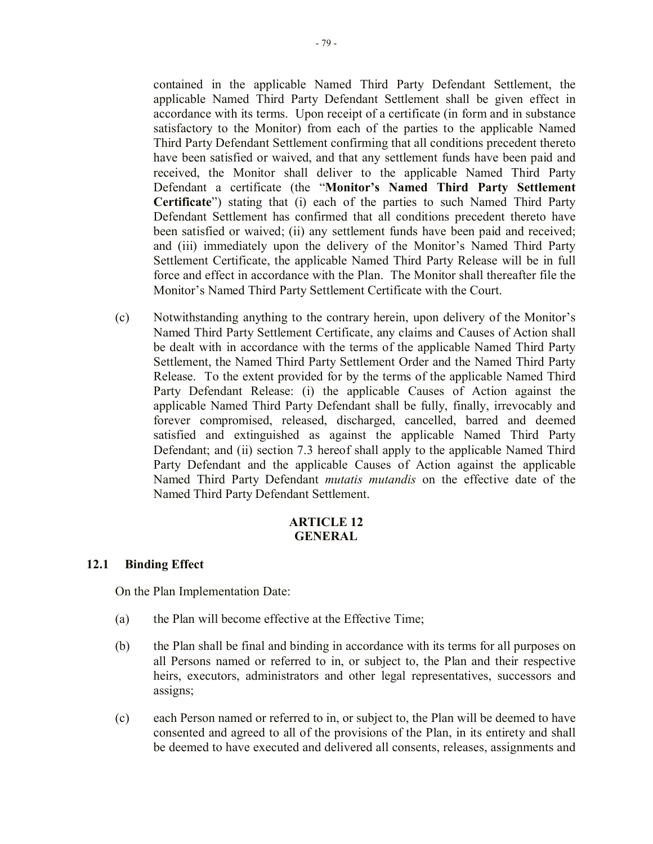contained in the applicable Named Third Party Defendant Settlement, the applicable Named Third Party Defendant Settlement shall be given effect in accordance with its terms. Upon receipt of a certificate (in form and in substance satisfactory to the Monitor) from each of the parties to the applicable Named Third Party Defendant Settlement confirming that all conditions precedent thereto have been satisfied or waived, and that any settlement funds have been paid and received, the Monitor shall deliver to the applicable Named Third Party Defendant a certificate (the "**Monitor's Named Third Party Settlement Certificate**") stating that (i) each of the parties to such Named Third Party Defendant Settlement has confirmed that all conditions precedent thereto have been satisfied or waived; (ii) any settlement funds have been paid and received; and (iii) immediately upon the delivery of the Monitor's Named Third Party Settlement Certificate, the applicable Named Third Party Release will be in full force and effect in accordance with the Plan. The Monitor shall thereafter file the Monitor's Named Third Party Settlement Certificate with the Court.

(c) Notwithstanding anything to the contrary herein, upon delivery of the Monitor's Named Third Party Settlement Certificate, any claims and Causes of Action shall be dealt with in accordance with the terms of the applicable Named Third Party Settlement, the Named Third Party Settlement Order and the Named Third Party Release. To the extent provided for by the terms of the applicable Named Third Party Defendant Release: (i) the applicable Causes of Action against the applicable Named Third Party Defendant shall be fully, finally, irrevocably and forever compromised, released, discharged, cancelled, barred and deemed satisfied and extinguished as against the applicable Named Third Party Defendant; and (ii) section 7.3 hereof shall apply to the applicable Named Third Party Defendant and the applicable Causes of Action against the applicable Named Third Party Defendant *mutatis mutandis* on the effective date of the Named Third Party Defendant Settlement.

# **ARTICLE 12 GENERAL**

# **12.1 Binding Effect**

On the Plan Implementation Date:

- (a) the Plan will become effective at the Effective Time;
- (b) the Plan shall be final and binding in accordance with its terms for all purposes on all Persons named or referred to in, or subject to, the Plan and their respective heirs, executors, administrators and other legal representatives, successors and assigns;
- (c) each Person named or referred to in, or subject to, the Plan will be deemed to have consented and agreed to all of the provisions of the Plan, in its entirety and shall be deemed to have executed and delivered all consents, releases, assignments and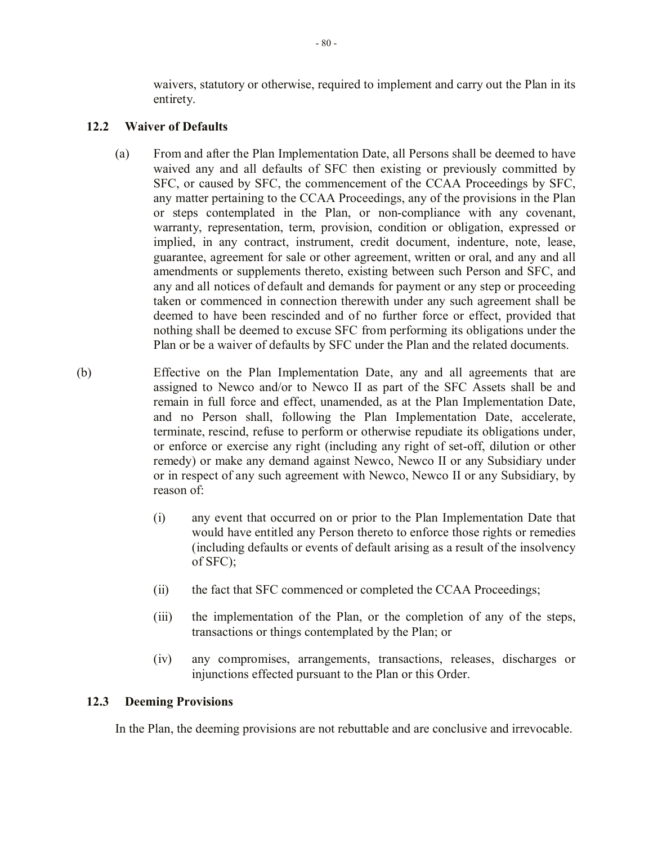waivers, statutory or otherwise, required to implement and carry out the Plan in its entirety.

# **12.2 Waiver of Defaults**

- (a) From and after the Plan Implementation Date, all Persons shall be deemed to have waived any and all defaults of SFC then existing or previously committed by SFC, or caused by SFC, the commencement of the CCAA Proceedings by SFC, any matter pertaining to the CCAA Proceedings, any of the provisions in the Plan or steps contemplated in the Plan, or non-compliance with any covenant, warranty, representation, term, provision, condition or obligation, expressed or implied, in any contract, instrument, credit document, indenture, note, lease, guarantee, agreement for sale or other agreement, written or oral, and any and all amendments or supplements thereto, existing between such Person and SFC, and any and all notices of default and demands for payment or any step or proceeding taken or commenced in connection therewith under any such agreement shall be deemed to have been rescinded and of no further force or effect, provided that nothing shall be deemed to excuse SFC from performing its obligations under the Plan or be a waiver of defaults by SFC under the Plan and the related documents.
- (b) Effective on the Plan Implementation Date, any and all agreements that are assigned to Newco and/or to Newco II as part of the SFC Assets shall be and remain in full force and effect, unamended, as at the Plan Implementation Date, and no Person shall, following the Plan Implementation Date, accelerate, terminate, rescind, refuse to perform or otherwise repudiate its obligations under, or enforce or exercise any right (including any right of set-off, dilution or other remedy) or make any demand against Newco, Newco II or any Subsidiary under or in respect of any such agreement with Newco, Newco II or any Subsidiary, by reason of:
	- (i) any event that occurred on or prior to the Plan Implementation Date that would have entitled any Person thereto to enforce those rights or remedies (including defaults or events of default arising as a result of the insolvency of SFC);
	- (ii) the fact that SFC commenced or completed the CCAA Proceedings;
	- (iii) the implementation of the Plan, or the completion of any of the steps, transactions or things contemplated by the Plan; or
	- (iv) any compromises, arrangements, transactions, releases, discharges or injunctions effected pursuant to the Plan or this Order.

# **12.3 Deeming Provisions**

In the Plan, the deeming provisions are not rebuttable and are conclusive and irrevocable.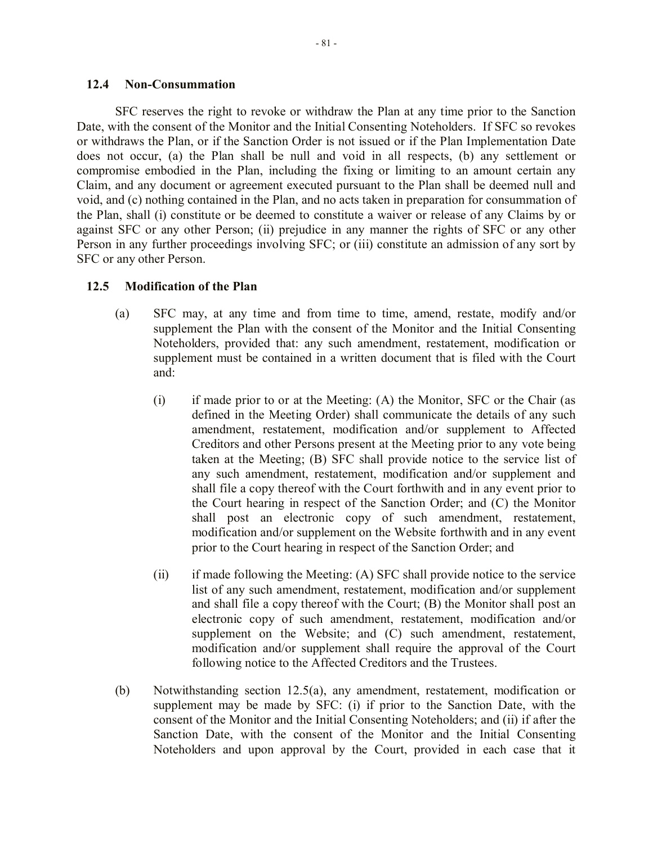### **12.4 Non-Consummation**

SFC reserves the right to revoke or withdraw the Plan at any time prior to the Sanction Date, with the consent of the Monitor and the Initial Consenting Noteholders. If SFC so revokes or withdraws the Plan, or if the Sanction Order is not issued or if the Plan Implementation Date does not occur, (a) the Plan shall be null and void in all respects, (b) any settlement or compromise embodied in the Plan, including the fixing or limiting to an amount certain any Claim, and any document or agreement executed pursuant to the Plan shall be deemed null and void, and (c) nothing contained in the Plan, and no acts taken in preparation for consummation of the Plan, shall (i) constitute or be deemed to constitute a waiver or release of any Claims by or against SFC or any other Person; (ii) prejudice in any manner the rights of SFC or any other Person in any further proceedings involving SFC; or (iii) constitute an admission of any sort by SFC or any other Person.

# **12.5 Modification of the Plan**

- (a) SFC may, at any time and from time to time, amend, restate, modify and/or supplement the Plan with the consent of the Monitor and the Initial Consenting Noteholders, provided that: any such amendment, restatement, modification or supplement must be contained in a written document that is filed with the Court and:
	- (i) if made prior to or at the Meeting: (A) the Monitor, SFC or the Chair (as defined in the Meeting Order) shall communicate the details of any such amendment, restatement, modification and/or supplement to Affected Creditors and other Persons present at the Meeting prior to any vote being taken at the Meeting; (B) SFC shall provide notice to the service list of any such amendment, restatement, modification and/or supplement and shall file a copy thereof with the Court forthwith and in any event prior to the Court hearing in respect of the Sanction Order; and (C) the Monitor shall post an electronic copy of such amendment, restatement, modification and/or supplement on the Website forthwith and in any event prior to the Court hearing in respect of the Sanction Order; and
	- (ii) if made following the Meeting: (A) SFC shall provide notice to the service list of any such amendment, restatement, modification and/or supplement and shall file a copy thereof with the Court; (B) the Monitor shall post an electronic copy of such amendment, restatement, modification and/or supplement on the Website; and (C) such amendment, restatement, modification and/or supplement shall require the approval of the Court following notice to the Affected Creditors and the Trustees.
- (b) Notwithstanding section 12.5(a), any amendment, restatement, modification or supplement may be made by SFC: (i) if prior to the Sanction Date, with the consent of the Monitor and the Initial Consenting Noteholders; and (ii) if after the Sanction Date, with the consent of the Monitor and the Initial Consenting Noteholders and upon approval by the Court, provided in each case that it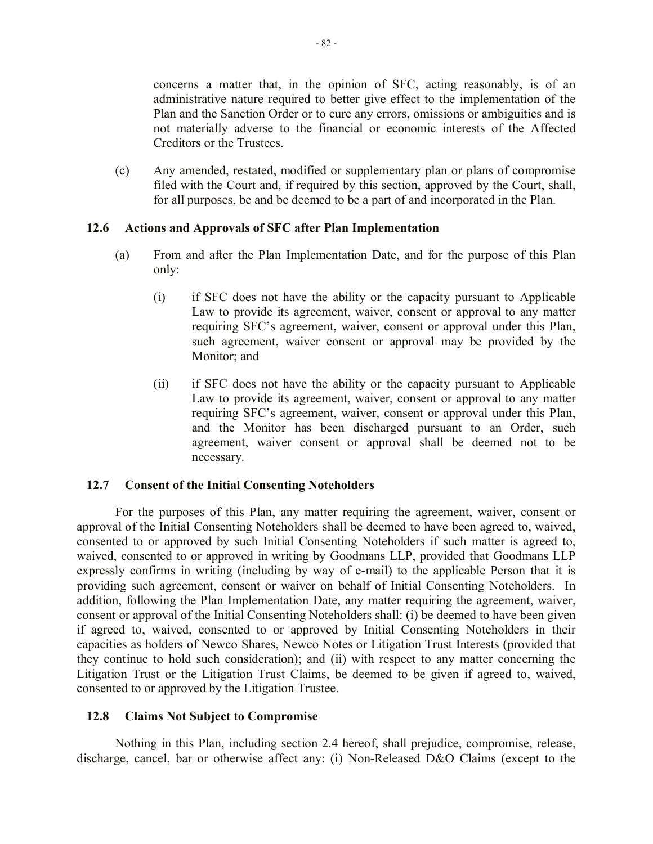concerns a matter that, in the opinion of SFC, acting reasonably, is of an administrative nature required to better give effect to the implementation of the Plan and the Sanction Order or to cure any errors, omissions or ambiguities and is not materially adverse to the financial or economic interests of the Affected Creditors or the Trustees.

(c) Any amended, restated, modified or supplementary plan or plans of compromise filed with the Court and, if required by this section, approved by the Court, shall, for all purposes, be and be deemed to be a part of and incorporated in the Plan.

# **12.6 Actions and Approvals of SFC after Plan Implementation**

- (a) From and after the Plan Implementation Date, and for the purpose of this Plan only:
	- (i) if SFC does not have the ability or the capacity pursuant to Applicable Law to provide its agreement, waiver, consent or approval to any matter requiring SFC's agreement, waiver, consent or approval under this Plan, such agreement, waiver consent or approval may be provided by the Monitor; and
	- (ii) if SFC does not have the ability or the capacity pursuant to Applicable Law to provide its agreement, waiver, consent or approval to any matter requiring SFC's agreement, waiver, consent or approval under this Plan, and the Monitor has been discharged pursuant to an Order, such agreement, waiver consent or approval shall be deemed not to be necessary.

# **12.7 Consent of the Initial Consenting Noteholders**

For the purposes of this Plan, any matter requiring the agreement, waiver, consent or approval of the Initial Consenting Noteholders shall be deemed to have been agreed to, waived, consented to or approved by such Initial Consenting Noteholders if such matter is agreed to, waived, consented to or approved in writing by Goodmans LLP, provided that Goodmans LLP expressly confirms in writing (including by way of e-mail) to the applicable Person that it is providing such agreement, consent or waiver on behalf of Initial Consenting Noteholders. In addition, following the Plan Implementation Date, any matter requiring the agreement, waiver, consent or approval of the Initial Consenting Noteholders shall: (i) be deemed to have been given if agreed to, waived, consented to or approved by Initial Consenting Noteholders in their capacities as holders of Newco Shares, Newco Notes or Litigation Trust Interests (provided that they continue to hold such consideration); and (ii) with respect to any matter concerning the Litigation Trust or the Litigation Trust Claims, be deemed to be given if agreed to, waived, consented to or approved by the Litigation Trustee.

# **12.8 Claims Not Subject to Compromise**

Nothing in this Plan, including section 2.4 hereof, shall prejudice, compromise, release, discharge, cancel, bar or otherwise affect any: (i) Non-Released D&O Claims (except to the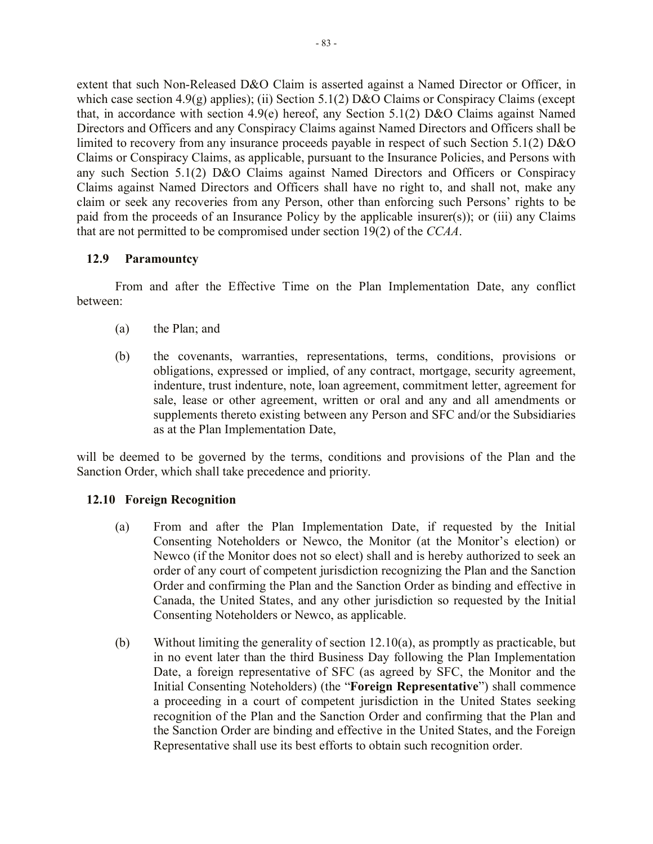extent that such Non-Released D&O Claim is asserted against a Named Director or Officer, in which case section 4.9(g) applies); (ii) Section 5.1(2) D&O Claims or Conspiracy Claims (except that, in accordance with section 4.9(e) hereof, any Section 5.1(2) D&O Claims against Named Directors and Officers and any Conspiracy Claims against Named Directors and Officers shall be limited to recovery from any insurance proceeds payable in respect of such Section 5.1(2) D&O Claims or Conspiracy Claims, as applicable, pursuant to the Insurance Policies, and Persons with any such Section 5.1(2) D&O Claims against Named Directors and Officers or Conspiracy Claims against Named Directors and Officers shall have no right to, and shall not, make any claim or seek any recoveries from any Person, other than enforcing such Persons' rights to be paid from the proceeds of an Insurance Policy by the applicable insurer(s)); or (iii) any Claims that are not permitted to be compromised under section 19(2) of the *CCAA*.

# **12.9 Paramountcy**

From and after the Effective Time on the Plan Implementation Date, any conflict between:

- (a) the Plan; and
- (b) the covenants, warranties, representations, terms, conditions, provisions or obligations, expressed or implied, of any contract, mortgage, security agreement, indenture, trust indenture, note, loan agreement, commitment letter, agreement for sale, lease or other agreement, written or oral and any and all amendments or supplements thereto existing between any Person and SFC and/or the Subsidiaries as at the Plan Implementation Date,

will be deemed to be governed by the terms, conditions and provisions of the Plan and the Sanction Order, which shall take precedence and priority.

# **12.10 Foreign Recognition**

- (a) From and after the Plan Implementation Date, if requested by the Initial Consenting Noteholders or Newco, the Monitor (at the Monitor's election) or Newco (if the Monitor does not so elect) shall and is hereby authorized to seek an order of any court of competent jurisdiction recognizing the Plan and the Sanction Order and confirming the Plan and the Sanction Order as binding and effective in Canada, the United States, and any other jurisdiction so requested by the Initial Consenting Noteholders or Newco, as applicable.
- (b) Without limiting the generality of section 12.10(a), as promptly as practicable, but in no event later than the third Business Day following the Plan Implementation Date, a foreign representative of SFC (as agreed by SFC, the Monitor and the Initial Consenting Noteholders) (the "**Foreign Representative**") shall commence a proceeding in a court of competent jurisdiction in the United States seeking recognition of the Plan and the Sanction Order and confirming that the Plan and the Sanction Order are binding and effective in the United States, and the Foreign Representative shall use its best efforts to obtain such recognition order.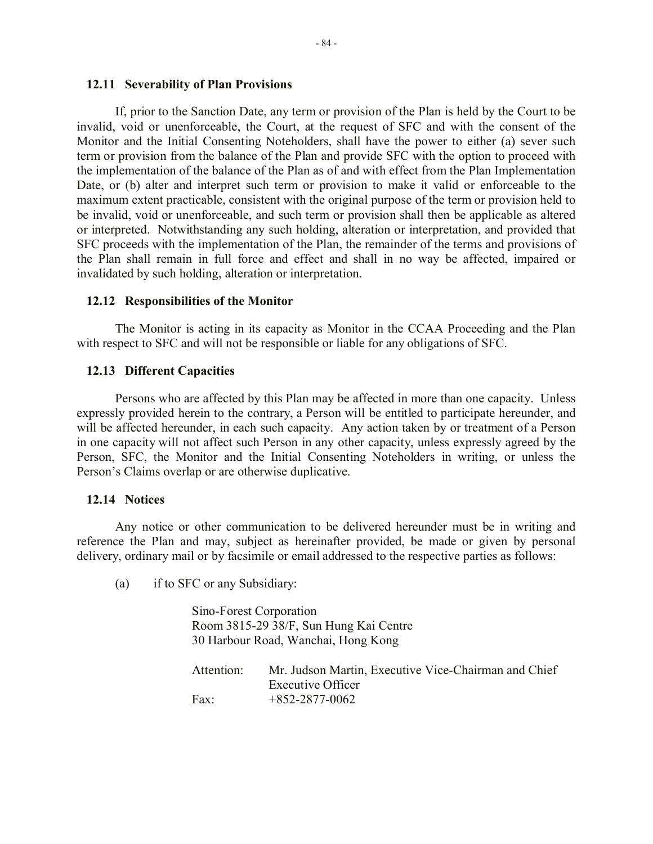### **12.11 Severability of Plan Provisions**

If, prior to the Sanction Date, any term or provision of the Plan is held by the Court to be invalid, void or unenforceable, the Court, at the request of SFC and with the consent of the Monitor and the Initial Consenting Noteholders, shall have the power to either (a) sever such term or provision from the balance of the Plan and provide SFC with the option to proceed with the implementation of the balance of the Plan as of and with effect from the Plan Implementation Date, or (b) alter and interpret such term or provision to make it valid or enforceable to the maximum extent practicable, consistent with the original purpose of the term or provision held to be invalid, void or unenforceable, and such term or provision shall then be applicable as altered or interpreted. Notwithstanding any such holding, alteration or interpretation, and provided that SFC proceeds with the implementation of the Plan, the remainder of the terms and provisions of the Plan shall remain in full force and effect and shall in no way be affected, impaired or invalidated by such holding, alteration or interpretation.

# **12.12 Responsibilities of the Monitor**

The Monitor is acting in its capacity as Monitor in the CCAA Proceeding and the Plan with respect to SFC and will not be responsible or liable for any obligations of SFC.

# **12.13 Different Capacities**

Persons who are affected by this Plan may be affected in more than one capacity. Unless expressly provided herein to the contrary, a Person will be entitled to participate hereunder, and will be affected hereunder, in each such capacity. Any action taken by or treatment of a Person in one capacity will not affect such Person in any other capacity, unless expressly agreed by the Person, SFC, the Monitor and the Initial Consenting Noteholders in writing, or unless the Person's Claims overlap or are otherwise duplicative.

### **12.14 Notices**

Any notice or other communication to be delivered hereunder must be in writing and reference the Plan and may, subject as hereinafter provided, be made or given by personal delivery, ordinary mail or by facsimile or email addressed to the respective parties as follows:

(a) if to SFC or any Subsidiary:

| Sino-Forest Corporation |                                                      |
|-------------------------|------------------------------------------------------|
|                         | Room 3815-29 38/F, Sun Hung Kai Centre               |
|                         | 30 Harbour Road, Wanchai, Hong Kong                  |
|                         |                                                      |
| Attention:              | Mr. Judson Martin, Executive Vice-Chairman and Chief |
|                         | <b>Executive Officer</b>                             |
| Fax:                    | $+852-2877-0062$                                     |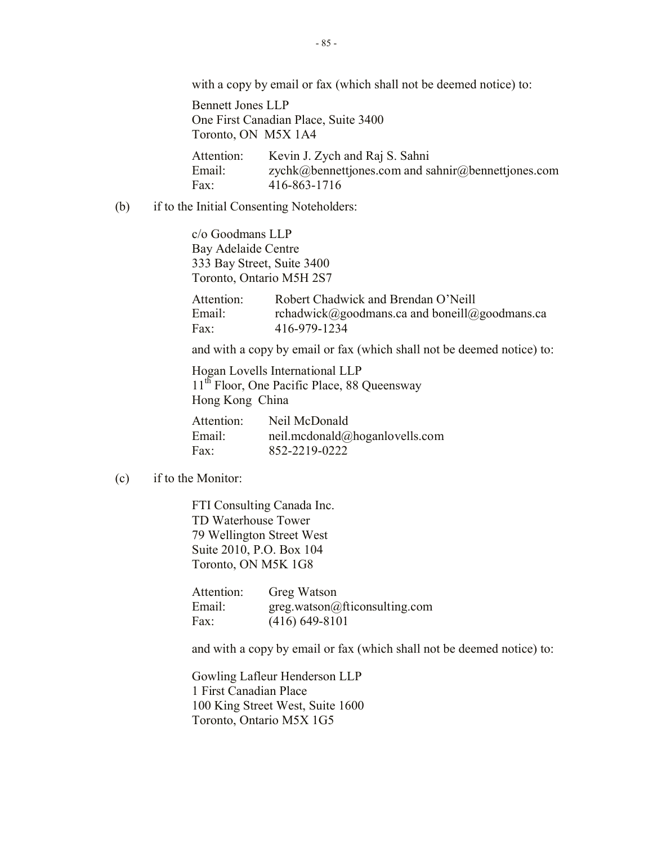with a copy by email or fax (which shall not be deemed notice) to:

Bennett Jones LLP One First Canadian Place, Suite 3400 Toronto, ON M5X 1A4

Attention: Kevin J. Zych and Raj S. Sahni Email: zychk@bennettjones.com and sahnir@bennettjones.com Fax: 416-863-1716

(b) if to the Initial Consenting Noteholders:

c/o Goodmans LLP Bay Adelaide Centre 333 Bay Street, Suite 3400 Toronto, Ontario M5H 2S7

Attention: Robert Chadwick and Brendan O'Neill Email: rchadwick@goodmans.ca and boneill@goodmans.ca Fax: 416-979-1234

and with a copy by email or fax (which shall not be deemed notice) to:

Hogan Lovells International LLP 11<sup>th</sup> Floor, One Pacific Place, 88 Queensway Hong Kong China

Attention: Neil McDonald Email: neil.mcdonald@hoganlovells.com Fax: 852-2219-0222

### (c) if to the Monitor:

FTI Consulting Canada Inc. TD Waterhouse Tower 79 Wellington Street West Suite 2010, P.O. Box 104 Toronto, ON M5K 1G8

| Attention: | Greg Watson                   |
|------------|-------------------------------|
| Email:     | greg.watson@fticonsulting.com |
| Fax:       | $(416) 649 - 8101$            |

and with a copy by email or fax (which shall not be deemed notice) to:

Gowling Lafleur Henderson LLP 1 First Canadian Place 100 King Street West, Suite 1600 Toronto, Ontario M5X 1G5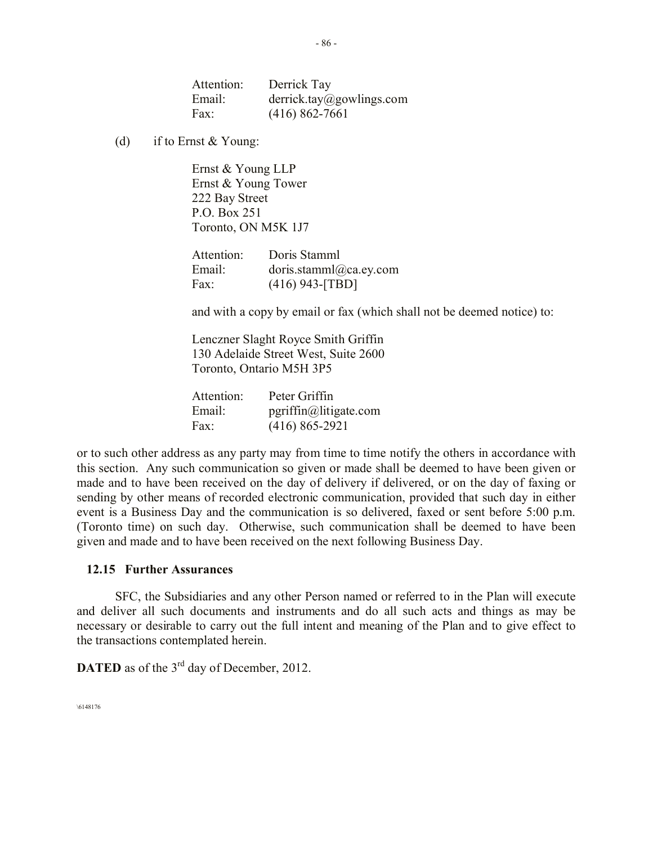| Attention: | Derrick Tay              |
|------------|--------------------------|
| Email:     | derrick.tay@gowlings.com |
| Fax:       | $(416) 862 - 7661$       |

(d) if to Ernst  $& Young$ :

Ernst & Young LLP Ernst & Young Tower 222 Bay Street P.O. Box 251 Toronto, ON M5K 1J7

| Attention: | Doris Stamml           |
|------------|------------------------|
| Email:     | doris.stamml@ca.ey.com |
| Fax:       | $(416)$ 943-[TBD]      |

and with a copy by email or fax (which shall not be deemed notice) to:

Lenczner Slaght Royce Smith Griffin 130 Adelaide Street West, Suite 2600 Toronto, Ontario M5H 3P5

| Attention: | Peter Griffin            |
|------------|--------------------------|
| Email:     | $pgriffin@$ litigate.com |
| Fax:       | $(416) 865 - 2921$       |

or to such other address as any party may from time to time notify the others in accordance with this section. Any such communication so given or made shall be deemed to have been given or made and to have been received on the day of delivery if delivered, or on the day of faxing or sending by other means of recorded electronic communication, provided that such day in either event is a Business Day and the communication is so delivered, faxed or sent before 5:00 p.m. (Toronto time) on such day. Otherwise, such communication shall be deemed to have been given and made and to have been received on the next following Business Day.

### **12.15 Further Assurances**

SFC, the Subsidiaries and any other Person named or referred to in the Plan will execute and deliver all such documents and instruments and do all such acts and things as may be necessary or desirable to carry out the full intent and meaning of the Plan and to give effect to the transactions contemplated herein.

**DATED** as of the  $3<sup>rd</sup>$  day of December, 2012.

\6148176